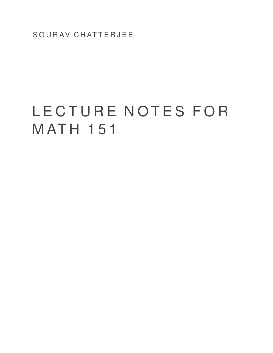SOURAV CHATTERJEE

# L E C T U R E N O T E S F O R **MATH 151**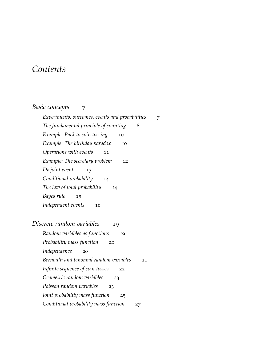# *Contents*

## *[Basic concepts](#page-6-0)* 7

*[Experiments, outcomes, events and probabilities](#page-6-1)* 7 *[The fundamental principle of counting](#page-7-0)* 8 *[Example: Back to coin tossing](#page-9-0)* 10 *[Example: The birthday paradox](#page-9-1)* 10 *[Operations with events](#page-10-0)* 11 *[Example: The secretary problem](#page-11-0)* 12 *[Disjoint events](#page-12-0)* 13 *[Conditional probability](#page-13-0)* 14 *[The law of total probability](#page-13-1)* 14 *[Bayes rule](#page-14-0)* 15 *[Independent events](#page-15-0)* 16 *[Discrete random variables](#page-18-0)* 19 *[Random variables as functions](#page-18-1)* 19 *[Probability mass function](#page-19-0)* 20 *[Independence](#page-19-1)* 20 *[Bernoulli and binomial random variables](#page-20-0)* 21 *[Infinite sequence of coin tosses](#page-21-0)* 22 *[Geometric random variables](#page-22-0)* 23 *[Poisson random variables](#page-22-1)* 23 *[Joint probability mass function](#page-24-0)* 25 *[Conditional probability mass function](#page-26-0)* 27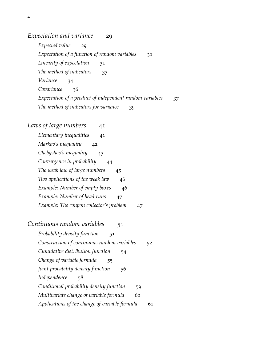*[Expectation and variance](#page-28-0)* 29

*[Expected value](#page-28-1)[Expectation of a function of random variables](#page-30-0)[Linearity of expectation](#page-30-1)*[The method of indicators](#page-32-0)*[Variance](#page-33-0)* 34 [Covariance](#page-35-0)*[Expectation of a product of independent random variables](#page-36-0)* 37 *[The method of indicators for variance](#page-38-0)* 39

- [Laws of large numbers](#page-40-0) 41
	- *[Elementary inequalities](#page-40-1)* 41 *[Markov's inequality](#page-41-0)* 42 *[Chebyshev's inequality](#page-42-0)* 43 *[Convergence in probability](#page-43-0)* 44 *[The weak law of large numbers](#page-44-0)* 45 *[Two applications of the weak law](#page-45-0)* 46 *[Example: Number of empty boxes](#page-45-1)* 46 *[Example: Number of head runs](#page-46-0)* 47 *[Example: The coupon collector's problem](#page-46-1)* 47
- *[Continuous random variables](#page-50-0)* 51
	- *[Probability density function](#page-50-1)* 51 *[Construction of continuous random variables](#page-51-0)* 52 *[Cumulative distribution function](#page-53-0)* 54 *[Change of variable formula](#page-54-0)* 55 *[Joint probability density function](#page-55-0)* 56 *[Independence](#page-57-0)* 58 *[Conditional probability density function](#page-58-0)* 59 *[Multivariate change of variable formula](#page-59-0)* 60 *[Applications of the change of variable formula](#page-60-0)* 61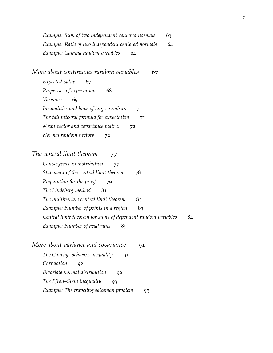*[Example: Sum of two independent centered normals](#page-62-0)* 63 *[Example: Ratio of two independent centered normals](#page-63-0)* 64 *[Example: Gamma random variables](#page-63-1)* 64

*[More about continuous random variables](#page-66-0)* 67

*[Expected value](#page-66-1)[Properties of expectation](#page-67-0)* 68 *[Variance](#page-68-0)* 69 *[Inequalities and laws of large numbers](#page-70-0)[The tail integral formula for expectation](#page-70-1)[Mean vector and covariance matrix](#page-71-0)[Normal random vectors](#page-71-1)*

*[The central limit theorem](#page-76-0)* 77

*[Convergence in distribution](#page-76-1)[Statement of the central limit theorem](#page-77-0)* 78 *[Preparation for the proof](#page-78-0)[The Lindeberg method](#page-80-0)[The multivariate central limit theorem](#page-82-0)* 83 *[Example: Number of points in a region](#page-82-1)[Central limit theorem for sums of dependent random variables](#page-83-0)* 84 *[Example: Number of head runs](#page-88-0)*

*[More about variance and covariance](#page-90-0)[The Cauchy–Schwarz inequality](#page-90-1)[Correlation](#page-91-0)[Bivariate normal distribution](#page-91-1)[The Efron–Stein inequality](#page-92-0)[Example: The traveling salesman problem](#page-94-0)*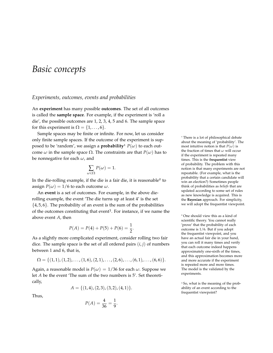## <span id="page-6-0"></span>*Basic concepts*

#### <span id="page-6-1"></span>*Experiments, outcomes, events and probabilities*

An **experiment** has many possible **outcomes**. The set of all outcomes is called the **sample space**. For example, if the experiment is 'roll a die', the possible outcomes are 1, 2, 3, 4, 5 and 6. The sample space for this experiment is  $\Omega = \{1, \ldots, 6\}.$ 

Sample spaces may be finite or infinite. For now, let us consider only finite sample spaces. If the outcome of the experiment is supposed to be 'random', we assign a **probability**<sup>1</sup>  $P(\omega)$  to each outcome *ω* in the sample space  $Ω$ . The constraints are that  $P(ω)$  has to be nonnegative for each *ω*, and

$$
\sum_{\omega \in \Omega} P(\omega) = 1.
$$

In the die-rolling example, if the die is a fair die, it is reasonable<sup>2</sup> to assign  $P(\omega) = 1/6$  to each outcome  $\omega$ .

An **event** is a set of outcomes. For example, in the above dierolling example, the event 'The die turns up at least 4' is the set  $\{4, 5, 6\}$ . The probability of an event is the sum of the probabilities of the outcomes constituting that event<sup>3</sup> . For instance, if we name the above event *A*, then

$$
P(A) = P(4) + P(5) + P(6) = \frac{1}{2}.
$$

As a slightly more complicated experiment, consider rolling two fair dice. The sample space is the set of all ordered pairs (*i*, *j*) of numbers between 1 and 6, that is,

$$
\Omega = \{(1,1), (1,2), \ldots, (1,6), (2,1), \ldots, (2,6), \ldots, (6,1), \ldots, (6,6)\}.
$$

Again, a reasonable model is  $P(\omega) = 1/36$  for each  $\omega$ . Suppose we let *A* be the event 'The sum of the two numbers is 5'. Set theoretically,

$$
A = \{(1,4), (2,3), (3,2), (4,1)\}.
$$

Thus,

$$
P(A) = \frac{4}{36} = \frac{1}{9}.
$$

<sup>1</sup> There is a lot of philosophical debate about the meaning of 'probability'. The most intuitive notion is that  $P(\omega)$  is the fraction of times that *ω* will occur if the experiment is repeated many times. This is the **frequentist** view of probability. The problem with this notion is that many experiments are not repeatable. (For example, what is the probability that a certain candidate will win an election?) Sometimes people think of probabilities as *beliefs* that are updated according to some set of rules as new knowledge is acquired. This is the **Bayesian** approach. For simplicity, we will adopt the frequentist viewpoint.

<sup>2</sup> One should view this as a kind of scientific theory. You cannot really 'prove' that the probability of each outcome is 1/6. But if you adopt the frequentist viewpoint, and you have an actual fair die in your hand, you can roll it many times and verify that each outcome indeed happens approximately one-sixth of the times, and this approximation becomes more and more accurate if the experiment is repeated more and more times. The model is the validated by the experiments.

<sup>3</sup> So, what is the meaning of the probability of an event according to the frequentist viewpoint?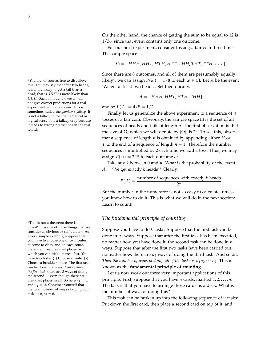this. You may say that after two heads, it is more likely to get a tail than a head; that is, *HHT* is more likely than *HHH*. Such a model, however, will not give correct predictions for a real experiment with a real coin. This is sometimes called the *gambler's fallacy.* It is not a fallacy in the mathematical or logical sense; it is a fallacy only because it leads to wrong predictions in the real world.

<sup>5</sup> This is not a theorem; there is no 'proof'. It is one of those things that we consider as obvious or self-evident. As a very simple example, suppose that you have to choose one of two routes to come to class, and on each route, there are three breakfast places from which you can pick up breakfast. You have two tasks: (1) Choose a route. (2) Choose a breakfast place. The first task can be done in 2 ways. *Having done the first task,* there are 3 ways of doing the second — even though there are 6 breakfast places in all. So here  $n_1 = 2$ and  $n_2 = 3$ . Convince yourself that the total number of ways of doing both tasks is  $n_1 n_2 = 6$ .

On the other hand, the chance of getting the sum to be equal to 12 is 1/36, since that event contains only one outcome.

For our next experiment, consider tossing a fair coin three times. The sample space is

$$
\Omega = \{HHH, HHT, HTH, HTT, THH, THT, TTH, TTT\}.
$$

Since there are 8 outcomes, and all of them are presumably equally <sup>4</sup> You are, of course, free to disbelieve likely<sup>4</sup>, we can assign  $P(\omega) = 1/8$  to each  $\omega \in \Omega$ . Let *A* be the event 'We get at least two heads'. Set theoretically,

$$
A = \{HHH, HHT, HTH, THH\},\
$$

and so  $P(A) = 4/8 = 1/2$ .

Finally, let us generalize the above experiment to a sequence of *n* tosses of a fair coin. Obviously, the sample space  $\Omega$  is the set of all sequences of heads and tails of length *n*. The first observation is that the size of Ω, which we will denote by  $|\Omega|$ , is  $2<sup>n</sup>$ . To see this, observe that a sequence of length *n* is obtained by appending either *H* or *T* to the end of a sequence of length *n* − 1. Therefore the number sequences is multiplied by 2 each time we add a toss. Thus, we may assign  $P(\omega) = 2^{-n}$  to each outcome  $\omega$ .

Take any *k* between 0 and *n*. What is the probability of the event  $A =$  'We get exactly *k* heads'? Clearly,

$$
P(A) = \frac{\text{number of sequences with exactly } k \text{ heads}}{2^n}
$$

.

But the number in the numerator is not so easy to calculate, unless you know how to do it. This is what we will do in the next section: Learn to count!

#### <span id="page-7-0"></span>*The fundamental principle of counting*

Suppose you have to do *k* tasks. Suppose that the first task can be done in  $n_1$  ways. Suppose that after the first task has been executed, no matter how you have done it, the second task can be done in  $n_2$ ways. Suppose that after the first two tasks have been carried out, no matter how, there are  $n_3$  ways of doing the third task. And so on. *Then the number of ways of doing all of the tasks is*  $n_1 n_2 \cdots n_k$ *. This is* known as the **fundamental principle of counting**<sup>5</sup> .

Let us now work out three very important applications of this principle. First, suppose that you have *n* cards, marked 1, 2, . . . , *n*. The task is that you have to arrange those cards as a deck. What is the number of ways of doing this?

This task can be broken up into the following sequence of *n* tasks: Put down the first card, then place a second card on top of it, and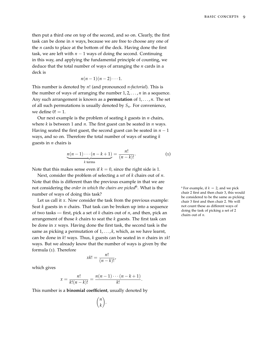then put a third one on top of the second, and so on. Clearly, the first task can be done in *n* ways, because we are free to choose any one of the *n* cards to place at the bottom of the deck. Having done the first task, we are left with  $n - 1$  ways of doing the second. Continuing in this way, and applying the fundamental principle of counting, we deduce that the total number of ways of arranging the *n* cards in a deck is

$$
n(n-1)(n-2)\cdots 1.
$$

This number is denoted by *n*! (and pronounced *n*-*factorial*). This is the number of ways of arranging the number  $1, 2, \ldots, n$  in a sequence. Any such arrangement is known as a **permutation** of 1, . . . , *n*. The set of all such permutations is usually denoted by *Sn*. For convenience, we define  $0! = 1$ .

Our next example is the problem of seating *k* guests in *n* chairs, where *k* is between 1 and *n*. The first guest can be seated in *n* ways. Having seated the first guest, the second guest can be seated in  $n - 1$ ways, and so on. Therefore the total number of ways of seating *k* guests in *n* chairs is

$$
\underbrace{n(n-1)\cdots(n-k+1)}_{k \text{ terms}} = \frac{n!}{(n-k)!}.
$$
 (1)

Note that this makes sense even if  $k = 0$ , since the right side is 1.

Next, consider the problem of selecting a *set* of *k* chairs out of *n*. Note that this is different than the previous example in that we are not considering the *order in which the chairs are picked*<sup>6</sup> number of ways of doing this task?

Let us call it *x*. Now consider the task from the previous example: Seat *k* guests in *n* chairs. That task can be broken up into a sequence of two tasks — first, pick a set of *k* chairs out of *n*, and then, pick an arrangement of those *k* chairs to seat the *k* guests. The first task can be done in *x* ways. Having done the first task, the second task is the same as picking a permutation of 1, . . . , *k*, which, as we have learnt, can be done in *k*! ways. Thus, *k* guests can be seated in *n* chairs in *xk*! ways. But we already know that the number of ways is given by the formula ([1](#page-8-0)). Therefore

 $x_k! = \frac{n!}{(n+1)!}$  $\frac{n}{(n-k)!}$ 

which gives

$$
x = \frac{n!}{k!(n-k)!} = \frac{n(n-1)\cdots(n-k+1)}{k!}.
$$

This number is a **binomial coefficient**, usually denoted by

 *n k* . <span id="page-8-0"></span> $6$  For example, if  $k = 2$ , and we pick chair 2 first and then chair 3, this would be considered to be the same as picking chair 3 first and then chair 2. We will not count these as different ways of doing the task of picking a set of 2 chairs out of *n*.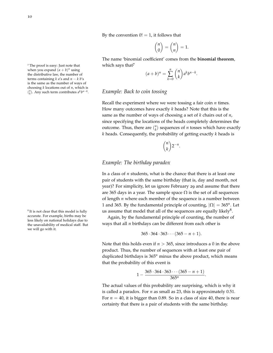10

By the convention  $0! = 1$ , it follows that

$$
\binom{n}{0} = \binom{n}{n} = 1.
$$

The name 'binomial coefficient' comes from the **binomial theorem**,

$$
(a+b)^n = \sum_{k=0}^n \binom{n}{k} a^k b^{n-k}.
$$

#### <span id="page-9-0"></span>*Example: Back to coin tossing*

Recall the experiment where we were tossing a fair coin *n* times. How many outcomes have exactly *k* heads? Note that this is the same as the number of ways of choosing a set of *k* chairs out of *n*, since specifying the locations of the heads completely determines the outcome. Thus, there are  $\binom{n}{k}$  sequences of *n* tosses which have exactly *k* heads. Consequently, the probability of getting exactly *k* heads is

$$
\binom{n}{k} 2^{-n}.
$$

#### <span id="page-9-1"></span>*Example: The birthday paradox*

In a class of *n* students, what is the chance that there is at least one pair of students with the same birthday (that is, day and month, not year)? For simplicity, let us ignore February 29 and assume that there are 365 days in a year. The sample space  $\Omega$  is the set of all sequences of length *n* where each member of the sequence is a number between 1 and 365. By the fundamental principle of counting,  $|\Omega| = 365^n$ . Let us assume that model that all of the sequences are equally likely $8$ .

Again, by the fundamental principle of counting, the number of ways that all *n* birthdays can be different from each other is

$$
365 \cdot 364 \cdot 363 \cdots (365 - n + 1).
$$

Note that this holds even if *n* > 365, since introduces a 0 in the above product. Thus, the number of sequences with at least one pair of duplicated birthdays is 365*<sup>n</sup>* minus the above product, which means that the probability of this event is

$$
1-\frac{365\cdot 364\cdot 363\cdots (365-n+1)}{365^n}.
$$

The actual values of this probability are surprising, which is why it is called a paradox. For *n* as small as 23, this is approximately 0.51. For  $n = 40$ , it is bigger than 0.89. So in a class of size 40, there is near certainty that there is a pair of students with the same birthday.

 $7$  The proof is easy: Just note that  $10^{7}$  which says that  $7$ when you expand  $(a + b)^n$  using the distributive law, the number of terms containing  $k$  *a*'s and  $n - k$  *b*'s is the same as the number of ways of choosing *k* locations out of *n*, which is  $\binom{n}{k}$ . Any such term contributes  $a^k b^{n-k}$ .

<sup>8</sup> It is not clear that this model is fully accurate. For example, births may be less likely on national holidays due to the unavailability of medical staff. But we will go with it.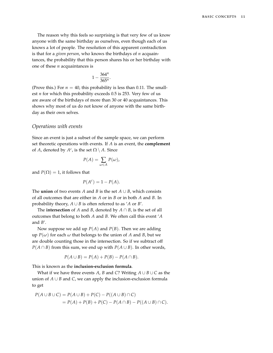The reason why this feels so surprising is that very few of us know anyone with the same birthday as ourselves, even though each of us knows a lot of people. The resolution of this apparent contradiction is that for a *given person*, who knows the birthdays of *n* acquaintances, the probability that this person shares his or her birthday with one of these *n* acquaintances is

$$
1-\frac{364^n}{365^n}.
$$

(Prove this.) For  $n = 40$ , this probability is less than 0.11. The smallest *n* for which this probability exceeds 0.5 is 253. Very few of us are aware of the birthdays of more than 30 or 40 acquaintances. This shows why most of us do not know of anyone with the same birthday as their own selves.

#### <span id="page-10-0"></span>*Operations with events*

Since an event is just a subset of the sample space, we can perform set theoretic operations with events. If *A* is an event, the **complement** of *A*, denoted by  $A^c$ , is the set  $\Omega \setminus A$ . Since

$$
P(A) = \sum_{\omega \in A} P(\omega),
$$

and  $P(\Omega) = 1$ , it follows that

$$
P(A^c) = 1 - P(A).
$$

The **union** of two events *A* and *B* is the set  $A \cup B$ , which consists of all outcomes that are either in *A* or in *B* or in both *A* and *B*. In probability theory,  $A \cup B$  is often referred to as '*A* or *B*'.

The **intersection** of *A* and *B*, denoted by  $A \cap B$ , is the set of all outcomes that belong to both *A* and *B*. We often call this event '*A* and *B*'.

Now suppose we add up *P*(*A*) and *P*(*B*). Then we are adding up  $P(\omega)$  for each  $\omega$  that belongs to the union of *A* and *B*, but we are double counting those in the intersection. So if we subtract off *P*( $A \cap B$ ) from this sum, we end up with *P*( $A \cup B$ ). In other words,

$$
P(A \cup B) = P(A) + P(B) - P(A \cap B).
$$

This is known as the **inclusion-exclusion formula**.

What if we have three events *A*, *B* and *C*? Writing  $A \cup B \cup C$  as the union of  $A \cup B$  and  $C$ , we can apply the inclusion-exclusion formula to get

$$
P(A \cup B \cup C) = P(A \cup B) + P(C) - P((A \cup B) \cap C)
$$
  
= P(A) + P(B) + P(C) - P(A \cap B) - P((A \cup B) \cap C).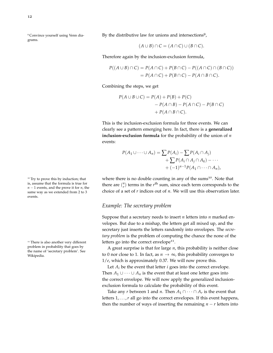<sup>9</sup> Convince yourself using Venn diagrams.

By the distributive law for unions and intersections<sup>9</sup>,

$$
(A \cup B) \cap C = (A \cap C) \cup (B \cap C).
$$

Therefore again by the inclusion-exclusion formula,

$$
P((A \cup B) \cap C) = P(A \cap C) + P(B \cap C) - P((A \cap C) \cap (B \cap C))
$$
  
= 
$$
P(A \cap C) + P(B \cap C) - P(A \cap B \cap C).
$$

Combining the steps, we get

$$
P(A \cup B \cup C) = P(A) + P(B) + P(C)
$$
  
- P(A \cap B) - P(A \cap C) - P(B \cap C)  
+ P(A \cap B \cap C).

This is the inclusion-exclusion formula for three events. We can clearly see a pattern emerging here. In fact, there is a **generalized inclusion-exclusion formula** for the probability of the union of *n* events:

$$
P(A_1 \cup \cdots \cup A_n) = \sum P(A_i) - \sum P(A_i \cap A_j)
$$
  
+ 
$$
\sum P(A_i \cap A_j \cap A_k) - \cdots
$$
  
+ 
$$
(-1)^{n-1} P(A_1 \cap \cdots \cap A_n),
$$

<sup>10</sup> Try to prove this by induction; that where there is no double counting in any of the sums<sup>10</sup>. Note that there are  $\binom{n}{r}$  terms in the  $r^{\text{th}}$  sum, since each term corresponds to the

choice of a set of *r* indices out of *n*. We will use this observation later.

#### <span id="page-11-0"></span>*Example: The secretary problem*

Suppose that a secretary needs to insert *n* letters into *n* marked envelopes. But due to a mishap, the letters get all mixed up, and the secretary just inserts the letters randomly into envelopes. The *secretary problem* is the problem of computing the chance the none of the letters go into the correct envelope<sup>11</sup>.

A great surprise is that for large *n*, this probability is neither close to 0 nor close to 1. In fact, as  $n \to \infty$ , this probability converges to 1/*e*, which is approximately 0.37. We will now prove this.

Let  $A_i$  be the event that letter  $i$  goes into the correct envelope. Then  $A_1 \cup \cdots \cup A_n$  is the event that at least one letter goes into the correct envelope. We will now apply the generalized inclusionexclusion formula to calculate the probability of this event.

Take any *r* between 1 and *n*. Then  $A_1 \cap \cdots \cap A_r$  is the event that letters 1, . . . , *r* all go into the correct envelopes. If this event happens, then the number of ways of inserting the remaining  $n - r$  letters into

is, assume that the formula is true for *n* − 1 events, and the prove it for *n*, the same way as we extended from 2 to 3 events.

<sup>11</sup> There is also another very different problem in probability that goes by the name of 'secretary problem'. See Wikipedia.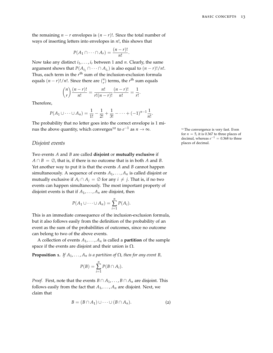the remaining  $n - r$  envelopes is  $(n - r)!$ . Since the total number of ways of inserting letters into envelopes in *n*!, this shows that

$$
P(A_1 \cap \cdots \cap A_r) = \frac{(n-r)!}{n!}.
$$

Now take any distinct  $i_1, \ldots, i_r$  between 1 and *n*. Clearly, the same argument shows that  $P(A_{i_1} \cap \cdots \cap A_{i_r})$  is also equal to  $(n-r)!/n!$ . Thus, each term in the *r*<sup>th</sup> sum of the inclusion-exclusion formula equals  $(n - r)! / n!$ . Since there are  $\binom{n}{r}$  terms, the  $r<sup>th</sup>$  sum equals

$$
\binom{n}{r}\frac{(n-r)!}{n!} = \frac{n!}{r!(n-r)!}\frac{(n-r)!}{n!} = \frac{1}{r!}.
$$

Therefore,

$$
P(A_1 \cup \cdots \cup A_n) = \frac{1}{1!} - \frac{1}{2!} + \frac{1}{3!} - \cdots + (-1)^{n-1} \frac{1}{n!}.
$$

The probability that no letter goes into the correct envelope is 1 minus the above quantity, which converges<sup>12</sup> to  $e^{-1}$  as  $n \to \infty$ .

#### <span id="page-12-0"></span>*Disjoint events* places of decimal.

Two events *A* and *B* are called **disjoint** or **mutually exclusive** if  $A \cap B = \emptyset$ , that is, if there is no outcome that is in both *A* and *B*. Yet another way to put it is that the events *A* and *B* cannot happen simultaneously. A sequence of events  $A_1, \ldots, A_n$  is called disjoint or mutually exclusive if  $A_i \cap A_j = \emptyset$  for any  $i \neq j$ . That is, if no two events can happen simultaneously. The most important property of disjoint events is that if  $A_1, \ldots, A_n$  are disjoint, then

$$
P(A_1 \cup \cdots \cup A_n) = \sum_{i=1}^n P(A_i).
$$

This is an immediate consequence of the inclusion-exclusion formula, but it also follows easily from the definition of the probability of an event as the sum of the probabilities of outcomes, since no outcome can belong to two of the above events.

A collection of events  $A_1, \ldots, A_n$  is called a **partition** of the sample space if the events are disjoint and their union is  $\Omega$ .

<span id="page-12-2"></span>**Proposition 1.** *If*  $A_1, \ldots, A_n$  *is a partition of*  $\Omega$ *, then for any event B,* 

<span id="page-12-1"></span>
$$
P(B) = \sum_{i=1}^{n} P(B \cap A_i).
$$

*Proof.* First, note that the events  $B \cap A_1, \ldots, B \cap A_n$  are disjoint. This follows easily from the fact that  $A_1, \ldots, A_n$  are disjoint. Next, we claim that

$$
B = (B \cap A_1) \cup \cdots \cup (B \cap A_n).
$$
 (2)

<sup>12</sup> The convergence is very fast. Even for  $n = 5$ , it is 0.367 to three places of decimal, whereas  $e^{-1} = 0.368$  to three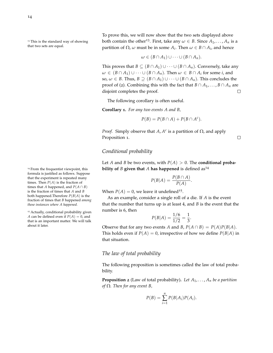formula is justified as follows. Suppose that the experiment is repeated many times. Then  $P(A)$  is the fraction of times that *A* happened, and  $P(A \cap B)$ is the fraction of times that *A* and *B* both happened.Therefore *P*(*B*|*A*) is the fraction of times that *B* happened *among those instances where A happened.*

<sup>15</sup> Actually, conditional probability given *A* can be defined even if  $P(A) = 0$ , and that is an important matter. We will talk about it later.

To prove this, we will now show that the two sets displayed above <sup>13</sup>This is the standard way of showing both contain the other<sup>13</sup>. First, take any  $\omega \in B$ . Since  $A_1, \ldots, A_n$  is a that two sets are equal. that two sets are equal. **partition of**  $\Omega$ **,**  $\omega$  **must be in some**  $A_i$ **. Then**  $\omega \in B \cap A_i$ **, and hence** 

$$
\omega \in (B \cap A_1) \cup \cdots \cup (B \cap A_n).
$$

This proves that  $B \subseteq (B \cap A_1) \cup \cdots \cup (B \cap A_n)$ . Conversely, take any  $\omega \in (B \cap A_1) \cup \cdots \cup (B \cap A_n)$ . Then  $\omega \in B \cap A_i$  for some *i*, and so,  $\omega \in B$ . Thus,  $B \supseteq (B \cap A_1) \cup \cdots \cup (B \cap A_n)$ . This concludes the proof of ([2](#page-12-1)). Combining this with the fact that  $B \cap A_1, \ldots, B \cap A_n$  are disjoint completes the proof. П

The following corollary is often useful.

<span id="page-13-2"></span>**Corollary 1.** *For any two events A and B,*

$$
P(B) = P(B \cap A) + P(B \cap A^c).
$$

*Proof.* Simply observe that *A*,  $A^c$  is a partition of  $\Omega$ , and apply Proposition [1](#page-12-2).

#### <span id="page-13-0"></span>*Conditional probability*

Let *A* and *B* be two events, with  $P(A) > 0$ . The **conditional proba-**<sup>14</sup> From the frequentist viewpoint, this **bility of** *B* given that *A* has happened is defined as<sup>14</sup>

$$
P(B|A) = \frac{P(B \cap A)}{P(A)}.
$$

When  $P(A) = 0$ , we leave it undefined<sup>15</sup>.

As an example, consider a single roll of a die. If *A* is the event that the number that turns up is at least 4, and *B* is the event that the number is 6, then

$$
P(B|A) = \frac{1/6}{1/2} = \frac{1}{3}
$$

.

 $\Box$ 

Observe that for any two events *A* and *B*,  $P(A \cap B) = P(A)P(B|A)$ . This holds even if  $P(A) = 0$ , irrespective of how we define  $P(B|A)$  in that situation.

#### <span id="page-13-1"></span>*The law of total probability*

The following proposition is sometimes called the law of total probability.

**Proposition 2** (Law of total probability). Let  $A_1, \ldots, A_n$  be a partition *of* Ω*. Then for any event B,*

$$
P(B) = \sum_{i=1}^{n} P(B|A_i)P(A_i).
$$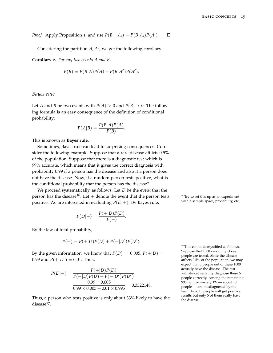*Proof.* Apply Proposition [1](#page-12-2), and use  $P(B \cap A_i) = P(B|A_i)P(A_i)$ .  $\Box$ 

Considering the partition  $A$ ,  $A<sup>c</sup>$ , we get the following corollary.

**Corollary 2.** *For any two events A and B,*

$$
P(B) = P(B|A)P(A) + P(B|Ac)P(Ac).
$$

#### <span id="page-14-0"></span>*Bayes rule*

Let *A* and *B* be two events with  $P(A) > 0$  and  $P(B) > 0$ . The following formula is an easy consequence of the definition of conditional probability:

$$
P(A|B) = \frac{P(B|A)P(A)}{P(B)}.
$$

This is known as **Bayes rule**.

Sometimes, Bayes rule can lead to surprising consequences. Consider the following example. Suppose that a rare disease afflicts 0.5% of the population. Suppose that there is a diagnostic test which is 99% accurate, which means that it gives the correct diagnosis with probability 0.99 if a person has the disease and also if a person does not have the disease. Now, if a random person tests positive, what is the conditional probability that the person has the disease?

We proceed systematically, as follows. Let *D* be the event that the person has the disease<sup>16</sup>. Let + denote the event that the person tests  $\frac{16}{17}$  Try to set this up as an experiment positive. We are interested in evaluating  $P(D|\perp)$ . By Bayes rule with a sample space, probability, positive. We are interested in evaluating  $P(D|+)$ . By Bayes rule,

$$
P(D|+) = \frac{P(+|D)P(D)}{P(+)}.
$$

By the law of total probability,

$$
P(+) = P(+|D)P(D) + P(+|D^{c})P(D^{c}).
$$

By the given information, we know that  $P(D) = 0.005$ ,  $P(+|D) =$ 0.99 and  $P(+|D^c) = 0.01$ . Thus,

$$
P(D|+) = \frac{P(+|D)P(D)}{P(+|D)P(D) + P(+|D^c)P(D^c)}
$$
  
= 
$$
\frac{0.99 \times 0.005}{0.99 \times 0.005 + 0.01 \times 0.995} = 0.3322148.
$$

Thus, a person who tests positive is only about 33% likely to have the  $disease<sup>17</sup>$ .

<sup>17</sup> This can be demystified as follows. Suppose that 1000 randomly chosen people are tested. Since the disease afflicts 0.5% of the population, we may expect that 5 people out of these 1000 actually have the disease. The test will almost certainly diagnose these 5 people correctly. Among the remaining 995, approximately 1% — about 10 people — are misdiagnosed by the test. Thus, 15 people will get positive results but only 5 of them really have the disease.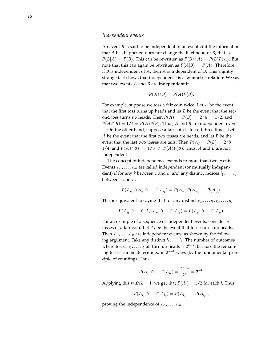#### <span id="page-15-0"></span>*Independent events*

An event *B* is said to be independent of an event *A* if the information that *A* has happened does not change the likelihood of *B*; that is,  $P(B|A) = P(B)$ . This can be rewritten as  $P(B \cap A) = P(B)P(A)$ . But note that this can again be rewritten as  $P(A|B) = P(A)$ . Therefore, if *B* is independent of *A*, then *A* is independent of *B*. This slightly strange fact shows that independence is a symmetric relation: We say that two events *A* and *B* are **independent** if

$$
P(A \cap B) = P(A)P(B).
$$

For example, suppose we toss a fair coin twice. Let *A* be the event that the first toss turns up heads and let *B* be the event that the second toss turns up heads. Then  $P(A) = P(B) = 2/4 = 1/2$ , and  $P(A \cap B) = 1/4 = P(A)P(B)$ . Thus, *A* and *B* are independent events.

On the other hand, suppose a fair coin is tossed three times. Let *A* be the event that the first two tosses are heads, and let *B* be the event that the last two tosses are tails. Then  $P(A) = P(B) = 2/8$ 1/4, and  $P(A \cap B) = 1/8 \neq P(A)P(B)$ . Thus, *A* and *B* are not independent.

The concept of independence extends to more than two events. Events  $A_1, \ldots, A_n$  are called independent (or **mutually independent**) if for any *k* between 1 and *n*, and any distinct indices  $i_1, \ldots, i_k$ between 1 and *n*,

$$
P(A_{i_1} \cap A_{i_2} \cap \cdots \cap A_{i_k}) = P(A_{i_1})P(A_{i_2})\cdots P(A_{i_k}).
$$

This is equivalent to saying that for any distinct  $i_1, \ldots, i_k, j_1, \ldots, j_l$ ,

$$
P(A_{j_1} \cap \cdots \cap A_{j_l} | A_{i_1} \cap \cdots \cap A_{i_k}) = P(A_{j_1} \cap \cdots \cap A_{j_l}).
$$

For an example of a sequence of independent events, consider *n* tosses of a fair coin. Let  $A_i$  be the event that toss *i* turns up heads. Then  $A_1, \ldots, A_n$  are independent events, as shown by the following argument. Take any distinct *i*1, . . . , *i<sup>k</sup>* . The number of outcomes where tosses *i*1, . . . , *i<sup>k</sup>* all turn up heads is 2*n*−*<sup>k</sup>* , because the remaining tosses can be determined in 2*n*−*<sup>k</sup>* ways (by the fundamental principle of counting). Thus,

$$
P(A_{i_1} \cap \cdots \cap A_{i_k}) = \frac{2^{n-k}}{2^n} = 2^{-k}.
$$

Applying this with  $k = 1$ , we get that  $P(A_i) = 1/2$  for each *i*. Thus,

$$
P(A_{i_1} \cap \cdots \cap A_{i_k}) = P(A_{i_1}) \cdots P(A_{i_k}),
$$

proving the independence of  $A_1, \ldots, A_n$ .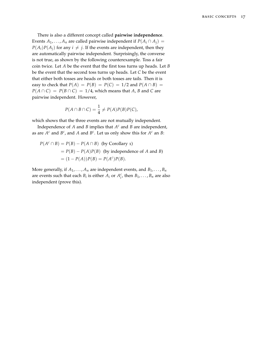There is also a different concept called **pairwise independence**. Events  $A_1, \ldots, A_n$  are called pairwise independent if  $P(A_i \cap A_j) =$  $P(A_i)P(A_j)$  for any  $i \neq j$ . If the events are independent, then they are automatically pairwise independent. Surprisingly, the converse is not true, as shown by the following counterexample. Toss a fair coin twice. Let *A* be the event that the first toss turns up heads. Let *B* be the event that the second toss turns up heads. Let *C* be the event that either both tosses are heads or both tosses are tails. Then it is easy to check that  $P(A) = P(B) = P(C) = 1/2$  and  $P(A \cap B) =$  $P(A \cap C) = P(B \cap C) = 1/4$ , which means that *A*, *B* and *C* are pairwise independent. However,

$$
P(A \cap B \cap C) = \frac{1}{4} \neq P(A)P(B)P(C),
$$

which shows that the three events are not mutually independent.

Independence of *A* and *B* implies that *A <sup>c</sup>* and *B* are independent, as are  $A^c$  and  $B^c$ , and A and  $B^c$ . Let us only show this for  $A^c$  an B:

$$
P(Ac \cap B) = P(B) - P(A \cap B)
$$
 (by Corollary 1)  
=  $P(B) - P(A)P(B)$  (by independence of *A* and *B*)  
=  $(1 - P(A))P(B) = P(Ac)P(B)$ .

More generally, if  $A_1, \ldots, A_n$  are independent events, and  $B_1, \ldots, B_n$ are events such that each  $B_i$  is either  $A_i$  or  $A_i^c$ , then  $B_1, \ldots, B_n$  are also independent (prove this).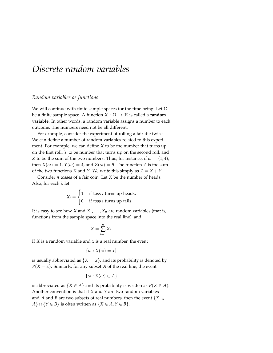# <span id="page-18-0"></span>*Discrete random variables*

#### <span id="page-18-1"></span>*Random variables as functions*

We will continue with finite sample spaces for the time being. Let  $\Omega$ be a finite sample space. A function  $X : \Omega \to \mathbb{R}$  is called a **random variable**. In other words, a random variable assigns a number to each outcome. The numbers need not be all different.

For example, consider the experiment of rolling a fair die twice. We can define a number of random variables related to this experiment. For example, we can define *X* to be the number that turns up on the first roll, *Y* to be number that turns up on the second roll, and *Z* to be the sum of the two numbers. Thus, for instance, if  $\omega = (1, 4)$ , then  $X(\omega) = 1$ ,  $Y(\omega) = 4$ , and  $Z(\omega) = 5$ . The function *Z* is the sum of the two functions *X* and *Y*. We write this simply as  $Z = X + Y$ .

Consider *n* tosses of a fair coin. Let *X* be the number of heads. Also, for each *i*, let

$$
X_i = \begin{cases} 1 & \text{if toss } i \text{ turns up heads,} \\ 0 & \text{if toss } i \text{ turns up tails.} \end{cases}
$$

It is easy to see how *X* and  $X_1, \ldots, X_n$  are random variables (that is, functions from the sample space into the real line), and

$$
X = \sum_{i=1}^{n} X_i.
$$

If *X* is a random variable and *x* is a real number, the event

$$
\{\omega : X(\omega) = x\}
$$

is usually abbreviated as  ${X = x}$ , and its probability is denoted by  $P(X = x)$ . Similarly, for any subset *A* of the real line, the event

$$
\{\omega : X(\omega) \in A\}
$$

is abbreviated as  $\{X \in A\}$  and its probability is written as  $P(X \in A)$ . Another convention is that if *X* and *Y* are two random variables and *A* and *B* are two subsets of real numbers, then the event  $\{X \in \mathbb{R}^n\}$ *A*} ∩ {*Y* ∈ *B*} is often written as {*X* ∈ *A*, *Y* ∈ *B*}.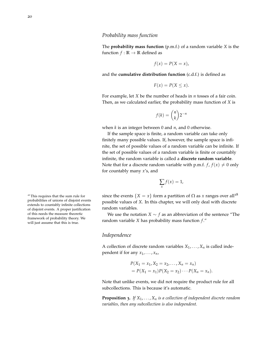#### <span id="page-19-0"></span>*Probability mass function*

The **probability mass function** (p.m.f.) of a random variable *X* is the function  $f : \mathbb{R} \to \mathbb{R}$  defined as

$$
f(x) = P(X = x),
$$

and the **cumulative distribution function** (c.d.f.) is defined as

$$
F(x) = P(X \le x).
$$

For example, let *X* be the number of heads in *n* tosses of a fair coin. Then, as we calculated earlier, the probability mass function of *X* is

$$
f(k) = \binom{n}{k} 2^{-n}
$$

when *k* is an integer between 0 and *n*, and 0 otherwise.

If the sample space is finite, a random variable can take only finitely many possible values. If, however, the sample space is infinite, the set of possible values of a random variable can be infinite. If the set of possible values of a random variable is finite or countably infinite, the random variable is called a **discrete random variable**. Note that for a discrete random variable with p.m.f.  $f, f(x) \neq 0$  only for countably many *x*'s, and

$$
\sum_{x} f(x) = 1,
$$

<sup>18</sup> This requires that the sum rule for since the events  $\{X = x\}$  form a partition of  $\Omega$  as *x* ranges over all<sup>18</sup> possible values of *X*. In this chapter, we will only deal with discrete random variables.

> We use the notation *X*  $\sim$  *f* as an abbreviation of the sentence "The random variable *X* has probability mass function *f* ."

#### <span id="page-19-1"></span>*Independence*

A collection of discrete random variables  $X_1, \ldots, X_n$  is called independent if for any  $x_1, \ldots, x_n$ ,

$$
P(X_1 = x_1, X_2 = x_2, \dots, X_n = x_n)
$$
  
=  $P(X_1 = x_1)P(X_2 = x_2) \cdots P(X_n = x_n).$ 

Note that unlike events, we did not require the product rule for all subcollections. This is because it's automatic.

**Proposition 3.** *If X*1, . . . , *X<sup>n</sup> is a collection of independent discrete random variables, then any subcollection is also independent.*

probabilities of unions of disjoint events extends to countably infinite collections of disjoint events. A proper justification of this needs the measure theoretic framework of probability theory. We will just assume that this is true.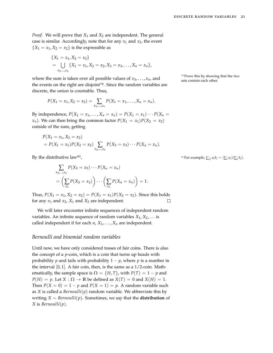*Proof.* We will prove that *X*<sup>1</sup> and *X*<sup>2</sup> are independent. The general case is similar. Accordingly, note that for any  $x_1$  and  $x_2$ , the event  ${X_1 = x_1, X_2 = x_2}$  is the expressible as

{
$$
X_1 = x_1, X_2 = x_2
$$
}  
=  $\bigcup_{x_3,...,x_n} \{X_1 = x_1, X_2 = x_2, X_3 = x_3,..., X_n = x_n\},$ 

where the sum is taken over all possible values of  $x_3, \ldots, x_n$ , and the events on the right are disjoint<sup>19</sup>. Since the random variables are discrete, the union is countable. Thus,

$$
P(X_1 = x_1, X_2 = x_2) = \sum_{x_3, ..., x_n} P(X_1 = x_1, ..., X_n = x_n).
$$

By independence,  $P(X_1 = x_1, ..., X_n = x_n) = P(X_1 = x_1) \cdots P(X_n = x_n)$ *x<sub>n</sub>*). We can then bring the common factor  $P(X_1 = x_1)P(X_2 = x_2)$ outside of the sum, getting

$$
P(X_1 = x_1, X_2 = x_2)
$$
  
=  $P(X_1 = x_1)P(X_2 = x_2) \sum_{x_3,\dots,x_n} P(X_3 = x_3) \cdots P(X_n = x_n).$ 

By the distributive law<sup>20</sup>,

$$
\sum_{x_3,\dots,x_n} P(X_3 = x_3) \cdots P(X_n = x_n)
$$
  
= 
$$
\left(\sum_{x_3} P(X_3 = x_3)\right) \cdots \left(\sum_{x_n} P(X_n = x_n)\right) = 1.
$$

Thus,  $P(X_1 = x_1, X_2 = x_2) = P(X_1 = x_1)P(X_2 = x_2)$ . Since this holds for any  $x_1$  and  $x_2$ ,  $X_1$  and  $X_2$  are independent.  $\Box$ 

We will later encounter infinite sequences of independent random variables. An infinite sequence of random variables  $X_1, X_2, \ldots$  is called independent if for each  $n$ ,  $X_1$ , . . . ,  $X_n$  are independent.

#### <span id="page-20-0"></span>*Bernoulli and binomial random variables*

Until now, we have only considered tosses of fair coins. There is also the concept of a *p*-coin, which is a coin that turns up heads with probability *p* and tails with probability  $1 - p$ , where *p* is a number in the interval  $[0, 1]$ . A fair coin, then, is the same as a  $1/2$ -coin. Mathematically, the sample space is  $\Omega = \{H, T\}$ , with  $P(T) = 1 - p$  and  $P(H) = p$ . Let  $X : \Omega \to \mathbb{R}$  be defined as  $X(T) = 0$  and  $X(H) = 1$ . Then  $P(X = 0) = 1 - p$  and  $P(X = 1) = p$ . A random variable such as *X* is called a *Bernoulli*( $p$ ) random variable. We abbreviate this by writing *X* ∼ *Bernoulli*(*p*). Sometimes, we say that the **distribution** of *X* is *Bernoulli*(*p*).

<sup>19</sup> Prove this by showing that the two sets contain each other.

<sup>20</sup> For example,  $\sum_{i,j} a_i b_j = (\sum_i a_i)(\sum_j b_j)$ .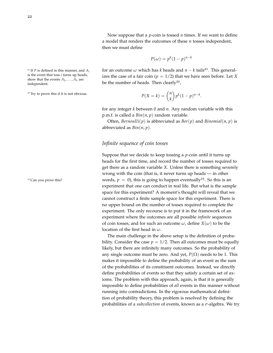Now suppose that a *p*-coin is tossed *n* times. If we want to define a model that renders the outcomes of these *n* tosses independent, then we must define

$$
P(\omega) = p^k (1 - p)^{n - k}
$$

is the event that toss *i* turns up heads, show that the events  $A_1, \ldots, A_n$  are independent.

<sup>22</sup> Try to prove this if it is not obvious.

<sup>21</sup> If *P* is defined in this manner, and  $A_i$  for an outcome  $\omega$  which has *k* heads and  $n - k$  tails<sup>21</sup>. This generalizes the case of a fair coin ( $p = 1/2$ ) that we have seen before. Let *X* be the number of heads. Then  $clearly<sup>22</sup>$ ,

$$
P(X=k) = \binom{n}{k} p^k (1-p)^{n-k}.
$$

for any integer *k* between 0 and *n*. Any random variable with this p.m.f. is called a *Bin*(*n*, *p*) random variable.

Often, *Bernoulli*(*p*) is abbreviated as *Ber*(*p*) and *Binomial*(*n*, *p*) is abbreviated as *Bin*(*n*, *p*).

#### <span id="page-21-0"></span>*Infinite sequence of coin tosses*

Suppose that we decide to keep tossing a *p*-coin until it turns up heads for the first time, and record the number of tosses required to get there as a random variable *X*. Unless there is something severely wrong with the coin (that is, it never turns up heads — in other <sup>23</sup> Can you prove this? words,  $p = 0$ , this is going to happen eventually<sup>23</sup>. So this is an experiment that one can conduct in real life. But what is the sample space for this experiment? A moment's thought will reveal that we cannot construct a finite sample space for this experiment. There is no upper bound on the number of tosses required to complete the experiment. The only recourse is to put it in the framework of an experiment where the outcomes are all possible *infinite* sequences of coin tosses, and for such an outcome  $\omega$ , define  $X(\omega)$  to be the location of the first head in *ω*.

> The main challenge in the above setup is the definition of probability. Consider the case  $p = 1/2$ . Then all outcomes must be equally likely, but there are infinitely many outcomes. So the probability of any single outcome must be zero. And yet,  $P(\Omega)$  needs to be 1. This makes it impossible to define the probability of an event as the sum of the probabilities of its constituent outcomes. Instead, we directly define probabilities of events so that they satisfy a certain set of axioms. The problem with this approach, again, is that it is generally impossible to define probabilities of *all* events in this manner without running into contradictions. In the rigorous mathematical definition of probability theory, this problem is resolved by defining the probabilities of a *subcollection* of events, known as a *σ*-algebra. We try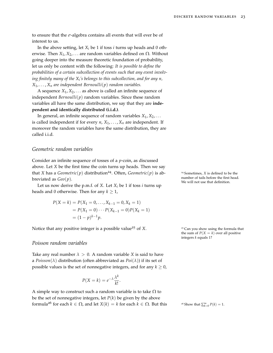to ensure that the *σ*-algebra contains all events that will ever be of interest to us.

In the above setting, let  $X_i$  be 1 if toss *i* turns up heads and 0 otherwise. Then  $X_1, X_2, \ldots$  are random variables defined on  $Ω$ . Without going deeper into the measure theoretic foundation of probability, let us only be content with the following: *It is possible to define the probabilities of a certain subcollection of events such that any event involving finitely many of the X<sup>i</sup> 's belongs to this subcollection, and for any n,*  $X_1, \ldots, X_n$  *are independent Bernoulli*(*p*) *random variables.* 

A sequence  $X_1, X_2, \ldots$  as above is called an infinite sequence of independent *Bernoulli* $(p)$  random variables. Since these random variables all have the same distribution, we say that they are **independent and identically distributed (i.i.d.)**.

In general, an infinite sequence of random variables  $X_1, X_2, \ldots$ is called independent if for every  $n$ ,  $X_1, \ldots, X_n$  are independent. If moreover the random variables have the same distribution, they are called i.i.d.

#### <span id="page-22-0"></span>*Geometric random variables*

Consider an infinite sequence of tosses of a *p*-coin, as discussed above. Let *X* be the first time the coin turns up heads. Then we say that *X* has a *Geometric*(*p*) distribution<sup>24</sup>. Often, *Geometric*(*p*) is ab- <sup>24</sup> Sometimes, *X* is defined to be the breviated as *Geo*(*p*).

Let us now derive the p.m.f. of *X*. Let  $X_i$  be 1 if toss *i* turns up heads and 0 otherwise. Then for any  $k \geq 1$ ,

$$
P(X = k) = P(X_1 = 0, ..., X_{k-1} = 0, X_k = 1)
$$
  
=  $P(X_1 = 0) \cdots P(X_{k-1} = 0)P(X_k = 1)$   
=  $(1 - p)^{k-1}p$ .

Notice that any positive integer is a possible value<sup>25</sup> of *<sup>X</sup>*.

#### <span id="page-22-1"></span>*Poisson random variables*

Take any real number  $\lambda > 0$ . A random variable *X* is said to have a *Poisson*( $\lambda$ ) distribution (often abbreviated as  $Poi(\lambda)$ ) if its set of possible values is the set of nonnegative integers, and for any  $k \geq 0$ ,

$$
P(X = k) = e^{-\lambda} \frac{\lambda^k}{k!}.
$$

A simple way to construct such a random variable is to take  $\Omega$  to be the set of nonnegative integers, let  $P(k)$  be given by the above formula<sup>26</sup> for each  $k \in \Omega$ , and let  $X(k) = k$  for each  $k \in \Omega$ . But this number of tails before the first head. We will not use that definition.

<sup>25</sup> Can you show using the formula that the sum of  $P(X = k)$  over all positive integers *k* equals 1?

 $\sum_{k=0}^{\infty} P(k) = 1.$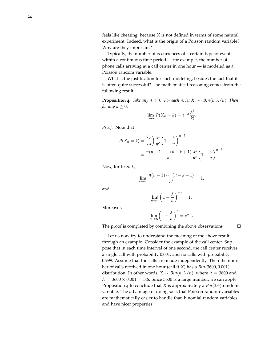feels like cheating, because *X* is not defined in terms of some natural experiment. Indeed, what is the origin of a Poisson random variable? Why are they important?

Typically, the number of occurrences of a certain type of event within a continuous time period — for example, the number of phone calls arriving at a call center in one hour — is modeled as a Poisson random variable.

What is the justification for such modeling, besides the fact that it is often quite successful? The mathematical reasoning comes from the following result.

<span id="page-23-0"></span>**Proposition 4.** Take any  $\lambda > 0$ . For each n, let  $X_n \sim Bin(n, \lambda/n)$ . Then *for any k* ≥ 0 *,*

$$
\lim_{n\to\infty} P(X_n = k) = e^{-\lambda} \frac{\lambda^k}{k!}.
$$

*Proof.* Note that

$$
P(X_n = k) = {n \choose k} \frac{\lambda^k}{n^k} \left(1 - \frac{\lambda}{n}\right)^{n-k}
$$
  
= 
$$
\frac{n(n-1)\cdots(n-k+1)}{k!} \frac{\lambda^k}{n^k} \left(1 - \frac{\lambda}{n}\right)^{n-k}.
$$

Now, for fixed *k* ,

$$
\lim_{n\to\infty}\frac{n(n-1)\cdots(n-k+1)}{n^k}=1,
$$

and

$$
\lim_{n\to\infty}\left(1-\frac{\lambda}{n}\right)^{-k}=1.
$$

Moreover,

$$
\lim_{n \to \infty} \left(1 - \frac{\lambda}{n}\right)^n = e^{-\lambda}.
$$

The proof is completed by combining the above observations

Let us now try to understand the meaning of the above result through an example. Consider the example of the call center. Suppose that in each time interval of one second, the call center receives a single call with probability 0.001, and no calls with probability 0.999. Assume that the calls are made independently. Then the number of calls received in one hour (call it *X*) has a *Bin*(3600, 0.001) distribution. In other words,  $X \sim Bin(n, \lambda/n)$ , where  $n = 3600$  and  $\lambda = 3600 \times 0.001 = 3.6$ . Since 3600 is a large number, we can apply Proposition [4](#page-23-0) to conclude that *X* is approximately a *Poi* (3.6 ) random variable. The advantage of doing so is that Poisson random variables are mathematically easier to handle than binomial random variables and have nicer properties.

 $\Box$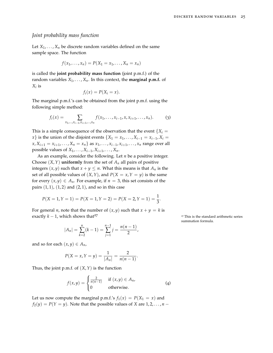#### <span id="page-24-0"></span>*Joint probability mass function*

Let  $X_1, \ldots, X_n$  be discrete random variables defined on the same sample space. The function

$$
f(x_1,\ldots,x_n)=P(X_1=x_1,\ldots,X_n=x_n)
$$

is called the **joint probability mass function** (joint p.m.f.) of the random variables  $X_1, \ldots, X_n$ . In this context, the **marginal p.m.f.** of *Xi* is

<span id="page-24-1"></span>
$$
f_i(x) = P(X_i = x).
$$

The marginal p.m.f.'s can be obtained from the joint p.m.f. using the following simple method:

$$
f_i(x) = \sum_{x_1, \dots, x_{i-1}, x_{i+1}, \dots, x_n} f(x_1, \dots, x_{i-1}, x, x_{i+1}, \dots, x_n).
$$
 (3)

This is a simple consequence of the observation that the event  ${X_i}$  = *x*} is the union of the disjoint events  $\{X_1 = x_1, ..., X_{i-1} = x_{i-1}, X_i =$  $x, X_{i+1} = x_{i+1}, \ldots, X_n = x_n$  as  $x_1, \ldots, x_{i-1}, x_{i+1}, \ldots, x_n$  range over all possible values of  $X_1, \ldots, X_{i-1}, X_{i+1}, \ldots, X_n$ .

As an example, consider the following. Let *n* be a positive integer. Choose  $(X, Y)$  **uniformly** from the set of  $A_n$  all pairs of positive integers  $(x, y)$  such that  $x + y \leq n$ . What this means is that  $A_n$  is the set of all possible values of  $(X, Y)$ , and  $P(X = x, Y = y)$  is the same for every  $(x, y) \in A_n$ . For example, if  $n = 3$ , this set consists of the pairs  $(1, 1)$ ,  $(1, 2)$  and  $(2, 1)$ , and so in this case

$$
P(X = 1, Y = 1) = P(X = 1, Y = 2) = P(X = 2, Y = 1) = \frac{1}{3}.
$$

*n*−1 ∑ *j*=1

 $j = \frac{n(n-1)}{2}$ 

<span id="page-24-2"></span> $\frac{1}{2}$ ,

For general *n*, note that the number of  $(x, y)$  such that  $x + y = k$  is exactly  $k - 1$ , which shows that<sup>27</sup> 27 This is the standard arithmetic series

 $(k-1) =$ 

and so for each  $(x, y) \in A_n$ ,

 $|A_n| =$ 

*n* ∑ *k*=2

$$
P(X = x, Y = y) = \frac{1}{|A_n|} = \frac{2}{n(n-1)}.
$$

Thus, the joint p.m.f. of  $(X, Y)$  is the function

$$
f(x,y) = \begin{cases} \frac{2}{n(n-1)} & \text{if } (x,y) \in A_n, \\ 0 & \text{otherwise.} \end{cases}
$$
 (4)

Let us now compute the marginal p.m.f.'s  $f_1(x) = P(X_1 = x)$  and  $f_2(y) = P(Y = y)$ . Note that the possible values of *X* are 1, 2, . . . , *n* − summation formula.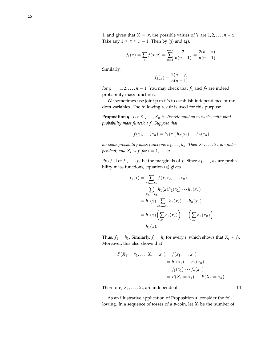1, and given that *X* = *x*, the possible values of *Y* are  $1, 2, ..., n - x$ . Take any  $1 \le x \le n - 1$ . Then by ([3](#page-24-1)) and ([4](#page-24-2)),

$$
f_1(x) = \sum_{y} f(x, y) = \sum_{y=1}^{n-x} \frac{2}{n(n-1)} = \frac{2(n-x)}{n(n-1)}.
$$

Similarly,

$$
f_2(y) = \frac{2(n - y)}{n(n - 1)}
$$

for  $y = 1, 2, ..., n - 1$ . You may check that  $f_1$  and  $f_2$  are indeed probability mass functions.

We sometimes use joint p.m.f.'s to establish independence of random variables. The following result is used for this purpose.

<span id="page-25-0"></span>**Proposition 5.** *Let X*1, . . . , *X<sup>n</sup> be discrete random variables with joint probability mass function f . Suppose that*

$$
f(x_1,\ldots,x_n)=h_1(x_1)h_2(x_2)\cdots h_n(x_n)
$$

*for some probability mass functions*  $h_1, \ldots, h_n$ . Then  $X_1, \ldots, X_n$  are inde*pendent, and*  $X_i \sim f_i$  *for*  $i = 1, \ldots, n$ .

*Proof.* Let  $f_1, \ldots, f_n$  be the marginals of  $f$ . Since  $h_1, \ldots, h_n$  are probability mass functions, equation ([3](#page-24-1)) gives

$$
f_1(x) = \sum_{x_2,...,x_n} f(x, x_2,...,x_n)
$$
  
= 
$$
\sum_{x_2,...,x_n} h_1(x)h_2(x_2) \cdots h_n(x_n)
$$
  
= 
$$
h_1(x) \sum_{x_2,...,x_n} h_2(x_2) \cdots h_n(x_n)
$$
  
= 
$$
h_1(x) \left( \sum_{x_2} h_2(x_2) \right) \cdots \left( \sum_{x_n} h_n(x_n) \right)
$$
  
= 
$$
h_1(x).
$$

Thus,  $f_1 = h_1$ . Similarly,  $f_i = h_i$  for every *i*, which shows that  $X_i \sim f_i$ . Moreover, this also shows that

$$
P(X_1 = x_1, ..., X_n = x_n) = f(x_1, ..., x_n)
$$
  
=  $h_1(x_1) \cdots h_n(x_n)$   
=  $f_1(x_1) \cdots f_n(x_n)$   
=  $P(X_1 = x_1) \cdots P(X_n = x_n)$ .

Therefore,  $X_1, \ldots, X_n$  are independent.

As an illustrative application of Proposition [5](#page-25-0), consider the following. In a sequence of tosses of a  $p$ -coin, let  $X_i$  be the number of

 $\Box$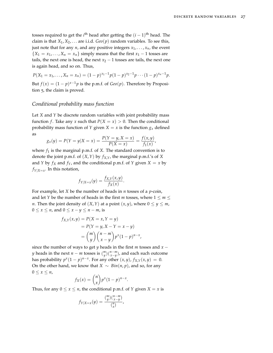tosses required to get the *i*<sup>th</sup> head after getting the  $(i - 1)$ <sup>th</sup> head. The claim is that  $X_1, X_2, \ldots$  are i.i.d.  $Geo(p)$  random variables. To see this, just note that for any *n*, and any positive integers  $x_1, \ldots, x_n$ , the event  ${X_1 = x_1, ..., X_n = x_n}$  simply means that the first  $x_1 - 1$  tosses are tails, the next one is head, the next  $x_2 - 1$  tosses are tails, the next one is again head, and so on. Thus,

$$
P(X_1 = x_1, ..., X_n = x_n) = (1-p)^{x_1-1}p(1-p)^{x_2-1}p \cdots (1-p)^{x_n-1}p.
$$

But  $f(x) = (1 - p)^{x-1}p$  is the p.m.f. of  $Geo(p)$ . Therefore by Proposition [5](#page-25-0), the claim is proved.

#### <span id="page-26-0"></span>*Conditional probability mass function*

Let *X* and *Y* be discrete random variables with joint probability mass function *f*. Take any *x* such that  $P(X = x) > 0$ . Then the conditional probability mass function of *Y* given *X* = *x* is the function  $g_x$  defined as

$$
g_x(y) = P(Y = y | X = x) = \frac{P(Y = y, X = x)}{P(X = x)} = \frac{f(x, y)}{f_1(x)},
$$

where  $f_1$  is the marginal p.m.f. of *X*. The standard convention is to denote the joint p.m.f. of (*X*,*Y*) by *fX*,*Y*, the marginal p.m.f.'s of *X* and *Y* by  $f_X$  and  $f_Y$ , and the conditional p.m.f. of *Y* given  $X = x$  by  $f_{Y|X=x}$ . In this notation,

$$
f_{Y|X=x}(y) = \frac{f_{X,Y}(x,y)}{f_X(x)}.
$$

For example, let *X* be the number of heads in *n* tosses of a *p*-coin, and let *Y* be the number of heads in the first *m* tosses, where  $1 \le m \le$ *n*. Then the joint density of  $(X, Y)$  at a point  $(x, y)$ , where  $0 \le y \le m$ ,  $0 \leq x \leq n$ , and  $0 \leq x - y \leq n - m$ , is

$$
f_{X,Y}(x,y) = P(X = x, Y = y)
$$
  
=  $P(Y = y, X - Y = x - y)$   
=  $\binom{m}{y} \binom{n-m}{x-y} p^x (1-p)^{n-x}$ 

,

since the number of ways to get *y* heads in the first *m* tosses and *x* − *y* heads in the next *n* − *m* tosses is  $\binom{m}{y}\binom{n-m}{x-y}$ , and each such outcome has probability  $p^x(1-p)^{n-x}$ . For any other  $(x, y)$ ,  $f_{X,Y}(x, y) = 0$ . On the other hand, we know that *X*  $\sim$  *Bin*(*n*, *p*), and so, for any  $0 \leq x \leq n$ ,

$$
f_X(x) = \binom{n}{x} p^x (1-p)^{n-x}.
$$

Thus, for any  $0 \le x \le n$ , the conditional p.m.f. of *Y* given *X* = *x* is

$$
f_{Y|X=x}(y) = \frac{\binom{m}{y}\binom{n-m}{x-y}}{\binom{n}{x}},
$$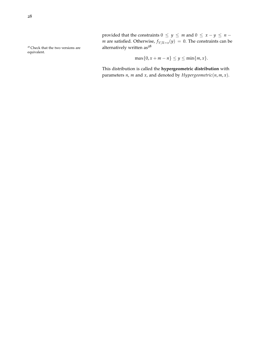provided that the constraints  $0 \le y \le m$  and  $0 \le x - y \le n - y$ *m* are satisfied. Otherwise,  $f_{Y|X=x}(y) = 0$ . The constraints can be <sup>28</sup> Check that the two versions are **alternatively written as**  $28$ 

$$
\max\{0, x + m - n\} \le y \le \min\{m, x\}.
$$

This distribution is called the **hypergeometric distribution** with parameters *n*, *m* and *x*, and denoted by *Hypergeometric*(*n*, *m*, *x*).

equivalent.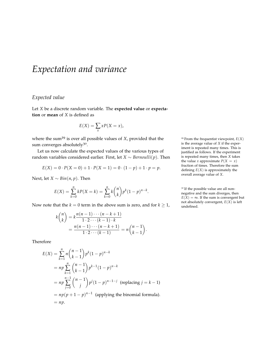# <span id="page-28-0"></span>*Expectation and variance*

### <span id="page-28-1"></span>*Expected value*

Let *X* be a discrete random variable. The **expected value** or **expectation** or **mean** of *X* is defined as

$$
E(X) = \sum_{x} xP(X = x),
$$

where the sum<sup>29</sup> is over all possible values of *X*, provided that the <sup>29</sup> From the frequentist viewpoint,  $E(X)$ sum converges absolutely<sup>30</sup>.

Let us now calculate the expected values of the various types of random variables considered earlier. First, let *X* ∼ *Bernoulli*(*p*). Then

$$
E(X) = 0 \cdot P(X = 0) + 1 \cdot P(X = 1) = 0 \cdot (1 - p) + 1 \cdot p = p.
$$

Next, let *X* ∼ *Bin*(*n*, *p*). Then

$$
E(X) = \sum_{k=0}^{n} kP(X = k) = \sum_{k=0}^{n} k {n \choose k} p^{k} (1-p)^{n-k}.
$$

Now note that the *k* = 0 term in the above sum is zero, and for *k*  $\geq$  1,

$$
k\binom{n}{k} = k \frac{n(n-1)\cdots(n-k+1)}{1\cdot 2\cdots(k-1)\cdot k} = \frac{n(n-1)\cdots(n-k+1)}{1\cdot 2\cdots(k-1)} = n\binom{n-1}{k-1}.
$$

Therefore

$$
E(X) = \sum_{k=1}^{n} n \binom{n-1}{k-1} p^k (1-p)^{n-k}
$$
  
=  $np \sum_{k=1}^{n} \binom{n-1}{k-1} p^{k-1} (1-p)^{n-k}$   
=  $np \sum_{j=0}^{n-1} \binom{n-1}{j} p^j (1-p)^{n-1-j}$  (replacing  $j = k - 1$ )  
=  $np(p + 1 - p)^{n-1}$  (applying the binomial formula).  
=  $np$ .

is the average value of *X* if the experiment is repeated many times. This is justified as follows. If the experiment is repeated many times, then *X* takes the value *x* approximate  $P(X = x)$ fraction of times. Therefore the sum defining  $E(X)$  is approximately the overall average value of *X*.

<sup>30</sup> If the possible value are all nonnegative and the sum diverges, then  $E(X) = \infty$ . If the sum is convergent but not absolutely convergent, *E*(*X*) is left undefined.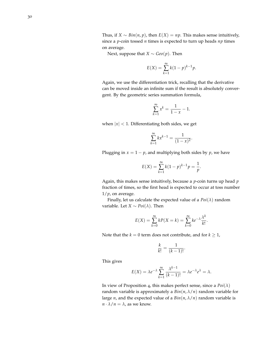Thus, if *X* ∼ *Bin*(*n*, *p*), then *E*(*X*) = *np*. This makes sense intuitively, since a *p*-coin tossed *n* times is expected to turn up heads *np* times on average.

Next, suppose that *X*  $\sim$  *Geo*( $p$ ). Then

$$
E(X) = \sum_{k=1}^{\infty} k(1-p)^{k-1}p.
$$

Again, we use the differentiation trick, recalling that the derivative can be moved inside an infinite sum if the result is absolutely convergent. By the geometric series summation formula,

$$
\sum_{k=1}^{\infty} x^k = \frac{1}{1-x} - 1.
$$

when  $|x|$  < 1. Differentiating both sides, we get

$$
\sum_{k=1}^{\infty} k x^{k-1} = \frac{1}{(1-x)^2}.
$$

Plugging in  $x = 1 - p$ , and multiplying both sides by  $p$ , we have

$$
E(X) = \sum_{k=1}^{\infty} k(1-p)^{k-1}p = \frac{1}{p}.
$$

Again, this makes sense intuitively, because a *p*-coin turns up head *p* fraction of times, so the first head is expected to occur at toss number  $1/p$ , on average.

Finally, let us calculate the expected value of a  $Poi(\lambda)$  random variable. Let *X* ∼ *Poi*( $\lambda$ ). Then

$$
E(X) = \sum_{k=0}^{\infty} kP(X = k) = \sum_{k=0}^{\infty} ke^{-\lambda} \frac{\lambda^k}{k!}.
$$

Note that the *k* = 0 term does not contribute, and for  $k \ge 1$ ,

$$
\frac{k}{k!} = \frac{1}{(k-1)!}.
$$

This gives

$$
E(X) = \lambda e^{-\lambda} \sum_{k=1}^{\infty} \frac{\lambda^{k-1}}{(k-1)!} = \lambda e^{-\lambda} e^{\lambda} = \lambda.
$$

In view of Proposition [4](#page-23-0), this makes perfect sense, since a  $Poi(\lambda)$ random variable is approximately a  $Bin(n, \lambda/n)$  random variable for large *n*, and the expected value of a  $Bin(n, \lambda/n)$  random variable is  $n \cdot \lambda / n = \lambda$ , as we know.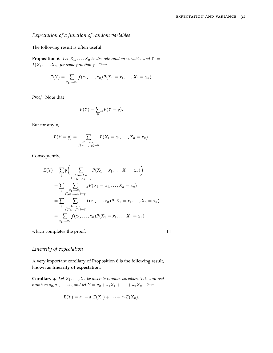## <span id="page-30-0"></span>*Expectation of a function of random variables*

The following result is often useful.

<span id="page-30-2"></span>**Proposition 6.** Let  $X_1, \ldots, X_n$  be discrete random variables and  $Y =$  $f(X_1, \ldots, X_n)$  *for some function f. Then* 

$$
E(Y) = \sum_{x_1,...,x_n} f(x_1,...,x_n) P(X_1 = x_1,...,X_n = x_n).
$$

*Proof.* Note that

$$
E(Y) = \sum_{y} yP(Y = y).
$$

But for any *y*,

$$
P(Y = y) = \sum_{\substack{x_1, \dots, x_n:\\f(x_1, \dots, x_n) = y}} P(X_1 = x_1, \dots, X_n = x_n).
$$

Consequently,

$$
E(Y) = \sum_{y} y \Biggl( \sum_{\substack{x_1, \dots, x_n:\\f(x_1, \dots, x_n) = y}} P(X_1 = x_1, \dots, X_n = x_n) \Biggr)
$$
  
= 
$$
\sum_{y} \sum_{\substack{x_1, \dots, x_n:\\f(x_1, \dots, x_n) = y}} y P(X_1 = x_1, \dots, X_n = x_n)
$$
  
= 
$$
\sum_{y} \sum_{\substack{x_1, \dots, x_n:\\f(x_1, \dots, x_n) = y}} f(x_1, \dots, x_n) P(X_1 = x_1, \dots, X_n = x_n)
$$
  
= 
$$
\sum_{x_1, \dots, x_n} f(x_1, \dots, x_n) P(X_1 = x_1, \dots, X_n = x_n),
$$

which completes the proof.

$$
\Box
$$

## <span id="page-30-1"></span>*Linearity of expectation*

A very important corollary of Proposition [6](#page-30-2) is the following result, known as **linearity of expectation**.

<span id="page-30-3"></span>**Corollary 3.** *Let X*1, . . . , *X<sup>n</sup> be discrete random variables. Take any real numbers*  $a_0, a_1, \ldots, a_n$  *and let*  $Y = a_0 + a_1 X_1 + \cdots + a_n X_n$ . Then

$$
E(Y) = a_0 + a_1 E(X_1) + \cdots + a_n E(X_n).
$$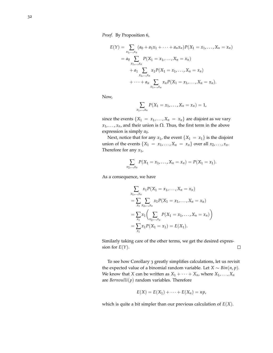*Proof.* By Proposition [6](#page-30-2),

$$
E(Y) = \sum_{x_1, ..., x_n} (a_0 + a_1 x_1 + \dots + a_n x_n) P(X_1 = x_1, ..., X_n = x_n)
$$
  
=  $a_0 \sum_{x_1, ..., x_n} P(X_1 = x_1, ..., X_n = x_n)$   
+  $a_1 \sum_{x_1, ..., x_n} x_1 P(X_1 = x_1, ..., X_n = x_n)$   
+  $\dots + a_n \sum_{x_1, ..., x_n} x_n P(X_1 = x_1, ..., X_n = x_n).$ 

Now,

$$
\sum_{x_1,...,x_n} P(X_1 = x_1,...,X_n = x_n) = 1,
$$

since the events  $\{X_1 = x_1, \ldots, X_n = x_n\}$  are disjoint as we vary  $x_1, \ldots, x_n$ , and their union is  $\Omega$ . Thus, the first term in the above expression is simply  $a_0$ .

Next, notice that for any  $x_1$ , the event  $\{X_1 = x_1\}$  is the disjoint union of the events  $\{X_1 = x_1, \ldots, X_n = x_n\}$  over all  $x_2, \ldots, x_n$ . Therefore for any *x*1,

$$
\sum_{x_2,\ldots,x_n} P(X_1 = x_1,\ldots,X_n = x_n) = P(X_1 = x_1).
$$

As a consequence, we have

$$
\sum_{x_1, \dots, x_n} x_1 P(X_1 = x_1, \dots, X_n = x_n)
$$
  
= 
$$
\sum_{x_1} \sum_{x_2, \dots, x_n} x_1 P(X_1 = x_1, \dots, X_n = x_n)
$$
  
= 
$$
\sum_{x_1} x_1 \left( \sum_{x_2, \dots, x_n} P(X_1 = x_1, \dots, X_n = x_n) \right)
$$
  
= 
$$
\sum_{x_1} x_1 P(X_1 = x_1) = E(X_1).
$$

Similarly taking care of the other terms, we get the desired expression for  $E(Y)$ .  $\Box$ 

To see how Corollary [3](#page-30-3) greatly simplifies calculations, let us revisit the expected value of a binomial random variable. Let *X* ∼ *Bin*(*n*, *p*). We know that *X* can be written as  $X_1 + \cdots + X_n$ , where  $X_1, \ldots, X_n$ are *Bernoulli*(*p*) random variables. Therefore

$$
E(X) = E(X_1) + \cdots + E(X_n) = np,
$$

which is quite a bit simpler than our previous calculation of *E*(*X*).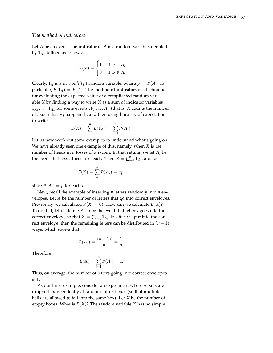#### <span id="page-32-0"></span>*The method of indicators*

Let *A* be an event. The **indicator** of *A* is a random variable, denoted by 1*A*, defined as follows:

$$
1_A(\omega) = \begin{cases} 1 & \text{if } \omega \in A, \\ 0 & \text{if } \omega \notin A. \end{cases}
$$

Clearly,  $1_A$  is a *Bernoulli*(*p*) random variable, where  $p = P(A)$ . In particular,  $E(1_A) = P(A)$ . The **method of indicators** is a technique for evaluating the expected value of a complicated random variable *X* by finding a way to write *X* as a sum of indicator variables  $1_{A_1}, \ldots, 1_{A_n}$  for some events  $A_1, \ldots, A_n$  (that is, *X* counts the number of *i* such that *A<sup>i</sup>* happened), and then using linearity of expectation to write

$$
E(X) = \sum_{i=1}^{n} E(1_{A_i}) = \sum_{i=1}^{n} P(A_i).
$$

Let us now work out some examples to understand what's going on. We have already seen one example of this, namely, when *X* is the number of heads in *n* tosses of a *p*-coin. In that setting, we let *A<sup>i</sup>* be the event that toss *i* turns up heads. Then  $X = \sum_{i=1}^{n} 1_{A_i}$ , and so

$$
E(X) = \sum_{i=1}^{n} P(A_i) = np,
$$

since  $P(A_i) = p$  for each *i*.

Next, recall the example of inserting *n* letters randomly into *n* envelopes. Let *X* be the number of letters that go into correct envelopes. Previously, we calculated  $P(X = 0)$ . How can we calculate  $E(X)$ ? To do that, let us define *A<sup>i</sup>* to be the event that letter *i* goes into the correct envelope, so that  $X = \sum_{i=1}^{n} 1_{A_i}$ . If letter *i* is put into the correct envelope, then the remaining letters can be distributed in  $(n - 1)!$ ways, which shows that

$$
P(A_i) = \frac{(n-1)!}{n!} = \frac{1}{n}.
$$

Therefore,

$$
E(X) = \sum_{i=1}^{n} P(A_i) = 1.
$$

Thus, on average, the number of letters going into correct envelopes is 1.

As our third example, consider an experiment where *n* balls are dropped independently at random into *n* boxes (so that multiple balls are allowed to fall into the same box). Let *X* be the number of empty boxes. What is  $E(X)$ ? The random variable *X* has no simple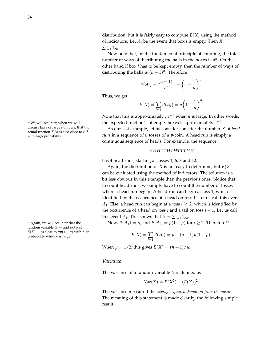distribution, but it is fairly easy to compute  $E(X)$  using the method of indicators. Let  $A_i$  be the event that box *i* is empty. Then  $X =$  $\sum_{i=1}^{n} 1_{A_i}$ 

Now note that, by the fundamental principle of counting, the total number of ways of distributing the balls in the boxes is  $n<sup>n</sup>$ . On the other hand if box *i* has to be kept empty, then the number of ways of distributing the balls is  $(n - 1)^n$ . Therefore

$$
P(A_i) = \frac{(n-1)^n}{n^n} = \left(1 - \frac{1}{n}\right)^n.
$$

Thus, we get

$$
E(X) = \sum_{i=1}^{n} P(A_i) = n \left( 1 - \frac{1}{n} \right)^n
$$

.

Note that this is approximately *ne*−<sup>1</sup> when *n* is large. In other words, the expected fraction<sup>31</sup> of empty boxes is approximately  $e^{-1}$ .

As our last example, let us consider consider the number *X* of *head runs* in a sequence of *n* tosses of a *p*-coin. A head run is simply a continuous sequence of heads. For example, the sequence

#### *HHHTTHTHTTTHH*

has 4 head runs, starting at tosses 1, 6, 8 and 12.

Again, the distribution of *X* is not easy to determine, but *E*(*X*) can be evaluated using the method of indicators. The solution is a bit less obvious in this example than the previous ones. Notice that to count head runs, we simply have to count the number of tosses where a head run began. A head run can begin at toss 1, which is identified by the occurrence of a head on toss 1. Let us call this event *A*<sub>1</sub>. Else, a head run can begin at a toss  $i \geq 2$ , which is identified by the occurrence of a head on toss *i* and a tail on toss *i* − 1. Let us call this event *A*<sup>*i*</sup>. This shows that  $X = \sum_{i=1}^{n} 1_{A_i}$ .

<sup>32</sup> Again, we will see later that the Now,  $P(A_1) = p$ , and  $P(A_i) = p(1 - p)$  for  $i \ge 2$ . Therefore<sup>32</sup>

$$
E(X) = \sum_{i=1}^{n} P(A_i) = p + (n-1)p(1-p).
$$

When  $p = 1/2$ , this gives  $E(X) = (n + 1)/4$ .

#### <span id="page-33-0"></span>*Variance*

The variance of a random variable *X* is defined as

$$
Var(X) = E(X^2) - (E(X))^2
$$
.

The variance measured the *average squared deviation from the mean*. The meaning of this statement is made clear by the following simple result.

<sup>31</sup> We will see later, when we will discuss laws of large numbers, that the actual fraction  $X/n$  is also close to  $e^{-1}$ with high probability.

random variable *X* — and not just  $E(X)$  — is close to  $np(1 - p)$  with high probability when  $n$  is large.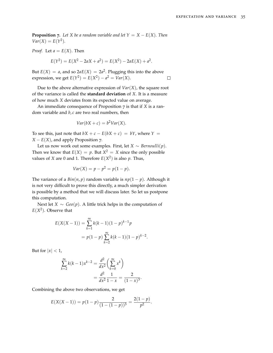<span id="page-34-0"></span>**Proposition 7.** *Let X be a random variable and let*  $Y = X - E(X)$ *. Then*  $Var(X) = E(Y^2)$ .

*Proof.* Let  $a = E(X)$ . Then

$$
E(Y^{2}) = E(X^{2} - 2aX + a^{2}) = E(X^{2}) - 2aE(X) + a^{2}.
$$

But  $E(X) = a$ , and so  $2aE(X) = 2a^2$ . Plugging this into the above expression, we get  $E(Y^2) = E(X^2) - a^2 = Var(X)$ .  $\Box$ 

Due to the above alternative expression of  $Var(X)$ , the square root of the variance is called the **standard deviation** of *X*. It is a measure of how much *X* deviates from its expected value on average.

An immediate consequence of Proposition [7](#page-34-0) is that if *X* is a random variable and *b*, *c* are two real numbers, then

$$
Var(bX + c) = b^2Var(X).
$$

To see this, just note that  $bX + c - E(bX + c) = bY$ , where  $Y =$ *X* −  $E(X)$ , and apply Proposition [7](#page-34-0).

Let us now work out some examples. First, let *X* ∼ *Bernoulli*(*p*). Then we know that  $E(X) = p$ . But  $X^2 = X$  since the only possible values of *X* are 0 and 1. Therefore  $E(X^2)$  is also *p*. Thus,

$$
Var(X) = p - p^2 = p(1 - p).
$$

The variance of a  $Bin(n, p)$  random variable is  $np(1 - p)$ . Although it is not very difficult to prove this directly, a much simpler derivation is possible by a method that we will discuss later. So let us postpone this computation.

Next let *X* ∼ *Geo*(*p*). A little trick helps in the computation of  $E(X^2)$ . Observe that

$$
E(X(X-1)) = \sum_{k=1}^{\infty} k(k-1)(1-p)^{k-1}p
$$
  
=  $p(1-p) \sum_{k=2}^{\infty} k(k-1)(1-p)^{k-2}$ .

But for  $|x| < 1$ ,

$$
\sum_{k=2}^{\infty} k(k-1)x^{k-2} = \frac{d^2}{dx^2} \left(\sum_{k=0}^{\infty} x^k\right)
$$

$$
= \frac{d^2}{dx^2} \frac{1}{1-x} = \frac{2}{(1-x)^3}.
$$

Combining the above two observations, we get

$$
E(X(X-1)) = p(1-p)\frac{2}{(1-(1-p))^3} = \frac{2(1-p)}{p^2}.
$$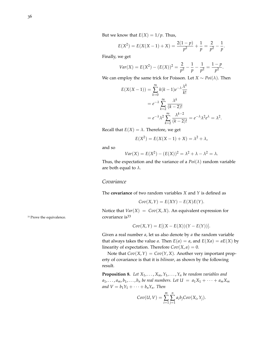$$
E(X^{2}) = E(X(X-1) + X) = \frac{2(1-p)}{p^{2}} + \frac{1}{p} = \frac{2}{p^{2}} - \frac{1}{p}.
$$

Finally, we get

$$
Var(X) = E(X^{2}) - (E(X))^{2} = \frac{2}{p^{2}} - \frac{1}{p} - \frac{1}{p^{2}} = \frac{1-p}{p^{2}}.
$$

We can employ the same trick for Poisson. Let *X* ∼  $Poi(\lambda)$ . Then

$$
E(X(X-1)) = \sum_{k=0}^{\infty} k(k-1)e^{-\lambda} \frac{\lambda^k}{k!}
$$
  
=  $e^{-\lambda} \sum_{k=2}^{\infty} \frac{\lambda^k}{(k-2)!}$   
=  $e^{-\lambda} \lambda^2 \sum_{k=2}^{\infty} \frac{\lambda^{k-2}}{(k-2)!} = e^{-\lambda} \lambda^2 e^{\lambda} = \lambda^2.$ 

Recall that  $E(X) = \lambda$ . Therefore, we get

$$
E(X2) = E(X(X – 1) + X) = \lambda2 + \lambda,
$$

and so

$$
Var(X) = E(X2) - (E(X))2 = \lambda2 + \lambda - \lambda2 = \lambda.
$$

Thus, the expectation and the variance of a  $Poi(\lambda)$  random variable are both equal to *λ*.

#### <span id="page-35-0"></span>*Covariance*

The **covariance** of two random variables *X* and *Y* is defined as

$$
Cov(X,Y) = E(XY) - E(X)E(Y).
$$

Notice that  $Var(X) = Cov(X, X)$ . An equivalent expression for

$$
Cov(X,Y) = E[(X - E(X))(Y - E(Y))].
$$

Given a real number *a*, let us also denote by *a* the random variable that always takes the value *a*. Then  $E(a) = a$ , and  $E(Xa) = aE(X)$  by linearity of expectation. Therefore  $Cov(X, a) = 0$ .

Note that  $Cov(X, Y) = Cov(Y, X)$ . Another very important property of covariance is that it is *bilinear*, as shown by the following result.

**Proposition 8.** Let  $X_1, \ldots, X_m, Y_1, \ldots, Y_n$  be random variables and  $a_1, \ldots, a_m, b_1, \ldots, b_n$  *be real numbers. Let*  $U = a_1 X_1 + \cdots + a_m X_m$ *and*  $V = b_1 Y_1 + \cdots + b_n Y_n$ *. Then* 

$$
Cov(U, V) = \sum_{i=1}^{m} \sum_{j=1}^{n} a_i b_j Cov(X_i, Y_j).
$$

 $33$  Prove the equivalence.  $\qquad \qquad \text{covariance is}$  is  $33$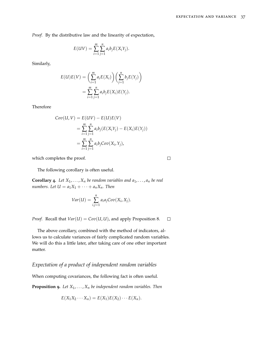$\Box$ 

*Proof.* By the distributive law and the linearity of expectation,

$$
E(UV) = \sum_{i=1}^{m} \sum_{j=1}^{n} a_i b_j E(X_i Y_j).
$$

Similarly,

$$
E(U)E(V) = \left(\sum_{i=1}^{m} a_i E(X_i)\right) \left(\sum_{j=1}^{n} b_j E(Y_j)\right)
$$
  
= 
$$
\sum_{i=1}^{m} \sum_{j=1}^{n} a_i b_j E(X_i) E(Y_j).
$$

Therefore

$$
Cov(U, V) = E(UV) - E(U)E(V)
$$
  
= 
$$
\sum_{i=1}^{m} \sum_{j=1}^{n} a_i b_j (E(X_i Y_j) - E(X_i)E(Y_j))
$$
  
= 
$$
\sum_{i=1}^{m} \sum_{j=1}^{n} a_i b_j Cov(X_i, Y_j),
$$

which completes the proof.

The following corollary is often useful.

<span id="page-36-1"></span>**Corollary** 4. Let  $X_1, \ldots, X_n$  be random variables and  $a_1, \ldots, a_n$  be real *numbers.* Let  $U = a_1 X_1 + \cdots + a_n X_n$ . Then

$$
Var(U) = \sum_{i,j=1}^{n} a_i a_j Cov(X_i, X_j).
$$

*Proof.* Recall that  $Var(U) = Cov(U, U)$ , and apply Proposition [8](#page-35-0).  $\Box$ 

The above corollary, combined with the method of indicators, allows us to calculate variances of fairly complicated random variables. We will do this a little later, after taking care of one other important matter.

# *Expectation of a product of independent random variables*

When computing covariances, the following fact is often useful.

<span id="page-36-0"></span>**Proposition 9.** *Let X*1, . . . , *X<sup>n</sup> be independent random variables. Then*

$$
E(X_1X_2\cdots X_n)=E(X_1)E(X_2)\cdots E(X_n).
$$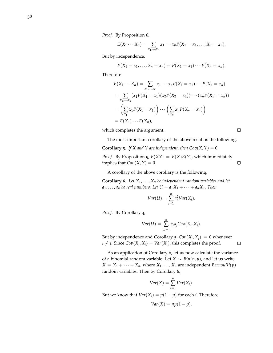*Proof.* By Proposition [6](#page-30-0),

$$
E(X_1\cdots X_n)=\sum_{x_1,\ldots,x_n}x_1\cdots x_nP(X_1=x_1,\ldots,X_n=x_n).
$$

But by independence,

$$
P(X_1 = x_1, ..., X_n = x_n) = P(X_1 = x_1) \cdots P(X_n = x_n).
$$

Therefore

$$
E(X_1 \cdots X_n) = \sum_{x_1, \dots, x_n} x_1 \cdots x_n P(X_1 = x_1) \cdots P(X_n = x_n)
$$
  
= 
$$
\sum_{x_1, \dots, x_n} (x_1 P(X_1 = x_1) (x_2 P(X_2 = x_2)) \cdots (x_n P(X_n = x_n))
$$
  
= 
$$
\left(\sum_{x_1} x_1 P(X_1 = x_1)\right) \cdots \left(\sum_{x_n} x_n P(X_n = x_n)\right)
$$
  
= 
$$
E(X_1) \cdots E(X_n),
$$

which completes the argument.

 $\Box$ 

The most important corollary of the above result is the following.

<span id="page-37-0"></span>**Corollary 5.** *If X* and *Y* are independent, then  $Cov(X, Y) = 0$ .

*Proof.* By Proposition [9](#page-36-0),  $E(XY) = E(X)E(Y)$ , which immediately implies that  $Cov(X, Y) = 0$ .  $\Box$ 

A corollary of the above corollary is the following.

<span id="page-37-1"></span>**Corollary 6.** Let  $X_1, \ldots, X_n$  be independent random variables and let  $a_1, \ldots, a_n$  *be real numbers. Let*  $U = a_1 X_1 + \cdots + a_n X_n$ *. Then* 

$$
Var(U) = \sum_{i=1}^{n} a_i^2 Var(X_i).
$$

*Proof.* By Corollary [4](#page-36-1),

$$
Var(U) = \sum_{i,j=1}^{n} a_i a_j Cov(X_i, X_j).
$$

But by independence and Corollary [5](#page-37-0),  $Cov(X_i, X_j) = 0$  whenever  $i \neq j$ . Since  $Cov(X_i, X_i) = Var(X_i)$ , this completes the proof.  $\Box$ 

As an application of Corollary [6](#page-37-1), let us now calculate the variance of a binomial random variable. Let *X* ∼ *Bin*(*n*, *p*), and let us write  $X = X_1 + \cdots + X_n$ , where  $X_1, \ldots, X_n$  are independent *Bernoulli*(*p*) random variables. Then by Corollary [6](#page-37-1),

$$
Var(X) = \sum_{i=1}^{n} Var(X_i).
$$

But we know that  $Var(X_i) = p(1 - p)$  for each *i*. Therefore

$$
Var(X) = np(1 - p).
$$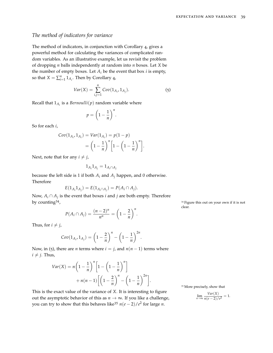# *The method of indicators for variance*

The method of indicators, in conjunction with Corollary [4](#page-36-1), gives a powerful method for calculating the variances of complicated random variables. As an illustrative example, let us revisit the problem of dropping *n* balls independently at random into *n* boxes. Let *X* be the number of empty boxes. Let  $A_i$  be the event that box  $i$  is empty, so that  $X = \sum_{i=1}^{n} 1_{A_i}$ . Then by Corollary [4](#page-36-1),

$$
Var(X) = \sum_{i,j=1}^{n} Cov(1_{A_i}, 1_{A_j}).
$$
 (5)

Recall that  $1_{A_i}$  is a *Bernoulli* $(p)$  random variable where

<span id="page-38-0"></span>
$$
p = \left(1 - \frac{1}{n}\right)^n.
$$

So for each *i*,

$$
Cov(1_{A_i}, 1_{A_i}) = Var(1_{A_i}) = p(1-p)
$$

$$
= \left(1 - \frac{1}{n}\right)^n \left[1 - \left(1 - \frac{1}{n}\right)^n\right].
$$

Next, note that for any  $i \neq j$ ,

$$
1_{A_i}1_{A_j}=1_{A_i\cap A_j}
$$

because the left side is 1 if both  $A_i$  and  $A_j$  happen, and 0 otherwise. Therefore

$$
E(1_{A_i}1_{A_j}) = E(1_{A_i \cap A_j}) = P(A_i \cap A_j).
$$

Now, *A<sup>i</sup>* ∩ *A<sup>j</sup>* is the event that boxes *i* and *j* are both empty. Therefore by counting $\overset{\circ}{^{34}}$ ,

$$
P(A_i \cap A_j) = \frac{(n-2)^n}{n^n} = \left(1 - \frac{2}{n}\right)^n.
$$

Thus, for  $i \neq j$ ,

$$
Cov(1_{A_i}, 1_{A_j}) = \left(1 - \frac{2}{n}\right)^n - \left(1 - \frac{1}{n}\right)^{2n}
$$

.

Now, in ([5](#page-38-0)), there are *n* terms where  $i = j$ , and  $n(n - 1)$  terms where  $i \neq j$ . Thus,

$$
Var(X) = n\left(1 - \frac{1}{n}\right)^n \left[1 - \left(1 - \frac{1}{n}\right)^n\right] + n(n-1)\left[\left(1 - \frac{2}{n}\right)^n - \left(1 - \frac{1}{n}\right)^{2n}\right].
$$

This is the exact value of the variance of *X*. It is interesting to figure out the asymptotic behavior of this as  $n \to \infty$ . If you like a challenge, you can try to show that this behaves like<sup>35</sup>  $n(e-2)/e^2$  for large *n*.

<sup>34</sup> Figure this out on your own if it is not clear.

<sup>35</sup> More precisely, show that

$$
\lim_{n \to \infty} \frac{Var(X)}{n(e-2)/e^2} = 1.
$$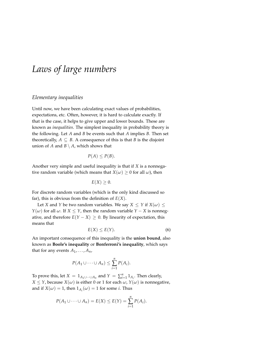# *Laws of large numbers*

#### *Elementary inequalities*

Until now, we have been calculating exact values of probabilities, expectations, etc. Often, however, it is hard to calculate exactly. If that is the case, it helps to give upper and lower bounds. These are known as *inequalities*. The simplest inequality in probability theory is the following. Let *A* and *B* be events such that *A* implies *B*. Then set theoretically,  $A \subseteq B$ . A consequence of this is that *B* is the disjoint union of *A* and  $B \setminus A$ , which shows that

$$
P(A) \le P(B).
$$

Another very simple and useful inequality is that if *X* is a nonnegative random variable (which means that  $X(\omega) \geq 0$  for all  $\omega$ ), then

$$
E(X)\geq 0.
$$

For discrete random variables (which is the only kind discussed so far), this is obvious from the definition of  $E(X)$ .

<span id="page-40-0"></span>Let *X* and *Y* be two random variables. We say  $X \leq Y$  if  $X(\omega) \leq$ *Y*( $\omega$ ) for all  $\omega$ . If *X*  $\leq$  *Y*, then the random variable *Y* − *X* is nonnegative, and therefore  $E(Y - X) ≥ 0$ . By linearity of expectation, this means that

$$
E(X) \le E(Y). \tag{6}
$$

An important consequence of this inequality is the **union bound**, also known as **Boole's inequality** or **Bonferroni's inequality**, which says that for any events  $A_1, \ldots, A_n$ ,

$$
P(A_1 \cup \cdots \cup A_n) \leq \sum_{i=1}^n P(A_i).
$$

To prove this, let  $X = 1_{A_1 \cup \cdots \cup A_n}$  and  $Y = \sum_{i=1}^n 1_{A_i}$ . Then clearly, *X*  $\leq$  *Y*, because *X*( $\omega$ ) is either 0 or 1 for each  $\omega$ , *Y*( $\omega$ ) is nonnegative, and if  $X(\omega) = 1$ , then  $1_{A_i}(\omega) = 1$  for some *i*. Thus

$$
P(A_1 \cup \cdots \cup A_n) = E(X) \leq E(Y) = \sum_{i=1}^n P(A_i).
$$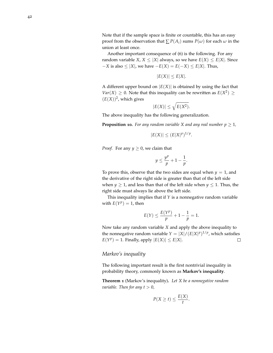Another important consequence of ([6](#page-40-0)) is the following. For any random variable *X*,  $X \leq |X|$  always, so we have  $E(X) \leq E|X|$ . Since  $-X$  is also  $\leq |X|$ , we have  $-E(X) = E(-X) \leq E|X|$ . Thus,

$$
|E(X)| \le E|X|.
$$

A different upper bound on  $|E(X)|$  is obtained by using the fact that  $Var(X) \geq 0$ . Note that this inequality can be rewritten as  $E(X^2) \geq 0$  $(E(X))^2$ , which gives

$$
|E(X)| \le \sqrt{E(X^2)}.
$$

The above inequality has the following generalization.

**Proposition 10.** For any random variable X and any real number  $p \geq 1$ ,

$$
|E(X)| \le (E|X|^p)^{1/p}
$$

.

.

*Proof.* For any  $y \ge 0$ , we claim that

$$
y \le \frac{y^p}{p} + 1 - \frac{1}{p}
$$

To prove this, observe that the two sides are equal when  $y = 1$ , and the derivative of the right side is greater than that of the left side when  $y \ge 1$ , and less than that of the left side when  $y \le 1$ . Thus, the right side must always lie above the left side.

This inequality implies that if *Y* is a nonnegative random variable with  $E(Y^p) = 1$ , then

$$
E(Y) \le \frac{E(Y^p)}{p} + 1 - \frac{1}{p} = 1.
$$

Now take any random variable *X* and apply the above inequality to the nonnegative random variable  $Y = |X| / (E|X|^p)^{1/p}$ , which satisfies  $E(Y^p) = 1$ . Finally, apply  $|E(X)| \le E|X|$ .  $\Box$ 

#### *Markov's inequality*

The following important result is the first nontrivial inequality in probability theory, commonly known as **Markov's inequality**.

**Theorem 1** (Markov's inequality)**.** *Let X be a nonnegative random variable. Then for any*  $t > 0$ *,* 

$$
P(X \ge t) \le \frac{E(X)}{t}.
$$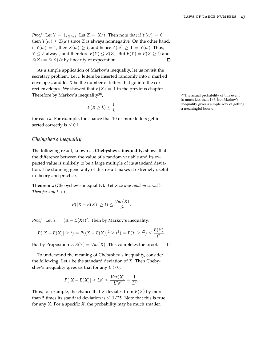*Proof.* Let  $Y = 1_{\{X \ge t\}}$ . Let  $Z = X/t$ . Then note that if  $Y(\omega) = 0$ , then  $Y(\omega) \leq Z(\omega)$  since *Z* is always nonnegative. On the other hand, if  $Y(\omega) = 1$ , then  $X(\omega) \ge t$ , and hence  $Z(\omega) \ge 1 = Y(\omega)$ . Thus, *Y*  $\leq$  *Z* always, and therefore *E*(*Y*)  $\leq$  *E*(*Z*). But *E*(*Y*) = *P*(*X*  $\geq$  *t*) and  $E(Z) = E(X)/t$  by linearity of expectation.  $\Box$ 

As a simple application of Markov's inequality, let us revisit the secretary problem. Let *n* letters be inserted randomly into *n* marked envelopes, and let *X* be the number of letters that go into the correct envelopes. We showed that  $E(X) = 1$  in the previous chapter. Therefore by Markov's inequality<sup>36</sup>,

$$
P(X \ge k) \le \frac{1}{k}
$$

for each *k*. For example, the chance that 10 or more letters get inserted correctly is  $\leq 0.1$ .

#### *Chebyshev's inequality*

The following result, known as **Chebyshev's inequality**, shows that the difference between the value of a random variable and its expected value is unlikely to be a large multiple of its standard deviation. The stunning generality of this result makes it extremely useful in theory and practice.

**Theorem 2** (Chebyshev's inequality)**.** *Let X be any random variable. Then for any*  $t > 0$ *,* 

$$
P(|X - E(X)| \ge t) \le \frac{Var(X)}{t^2}.
$$

*Proof.* Let  $Y := (X - E(X))^2$ . Then by Markov's inequality,

$$
P(|X - E(X)| \ge t) = P((X - E(X))^2 \ge t^2) = P(Y \ge t^2) \le \frac{E(Y)}{t^2}.
$$

But by Proposition [7](#page-34-0),  $E(Y) = Var(X)$ . This completes the proof.  $\Box$ 

To understand the meaning of Chebyshev's inequality, consider the following. Let *s* be the standard deviation of *X*. Then Chebyshev's inequality gives us that for any  $L > 0$ ,

$$
P(|X - E(X)| \ge Ls) \le \frac{Var(X)}{L^2s^2} = \frac{1}{L^2}.
$$

Thus, for example, the chance that *X* deviates from *E*(*X*) by more than 5 times its standard deviation is  $\leq 1/25$ . Note that this is true for any *X*. For a specific *X*, the probability may be much smaller.

<sup>36</sup> The actual probability of this event is much less than 1/*k*, but Markov's inequality gives a simple way of getting  $a$  meaningful bound.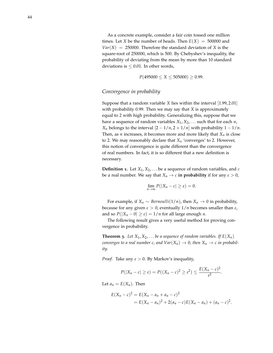As a concrete example, consider a fair coin tossed one million times. Let *X* be the number of heads. Then  $E(X) = 500000$  and  $Var(X) = 250000$ . Therefore the standard deviation of *X* is the square-root of 250000, which is 500. By Chebyshev's inequality, the probability of deviating from the mean by more than 10 standard deviations is  $\leq$  0.01. In other words,

$$
P(495000 \le X \le 505000) \ge 0.99.
$$

#### *Convergence in probability*

Suppose that a random variable *X* lies within the interval [1.99, 2.01] with probability 0.99. Then we may say that *X* is approximately equal to 2 with high probability. Generalizing this, suppose that we have a sequence of random variables  $X_1, X_2, \ldots$  such that for each *n*, *X<sub>n</sub>* belongs to the interval  $\left[2 - \frac{1}{n}, 2 + \frac{1}{n}\right]$  with probability  $1 - \frac{1}{n}$ . Then, as *n* increases, it becomes more and more likely that  $X_n$  is close to 2. We may reasonably declare that  $X_n$  'converges' to 2. However, this notion of convergence is quite different than the convergence of real numbers. In fact, it is so different that a new definition is necessary.

**Definition 1.** Let  $X_1, X_2, \ldots$  be a sequence of random variables, and  $c$ be a real number. We say that  $X_n \to c$  in probability if for any  $\varepsilon > 0$ ,

$$
\lim_{n\to\infty}P(|X_n-c|\geq\varepsilon)=0.
$$

For example, if *X<sub>n</sub>* ∼ *Bernoulli*(1/*n*), then *X<sub>n</sub>* → 0 in probability, because for any given *ε* > 0, eventually 1/*n* becomes smaller than *ε*, and so  $P(|X_n - 0| \ge \varepsilon) = 1/n$  for all large enough *n*.

The following result gives a very useful method for proving convergence in probability.

<span id="page-43-0"></span>**Theorem 3.** Let  $X_1, X_2, \ldots$  be a sequence of random variables. If  $E(X_n)$ *converges to a real number c, and*  $Var(X_n) \to 0$ *, then*  $X_n \to c$  *in probability.*

*Proof.* Take any  $\varepsilon > 0$ . By Markov's inequality,

$$
P(|X_n - c| \geq \varepsilon) = P((X_n - c)^2 \geq \varepsilon^2) \leq \frac{E(X_n - c)^2}{\varepsilon^2}.
$$

Let  $a_n = E(X_n)$ . Then

$$
E(X_n - c)^2 = E(X_n - a_n + a_n - c)^2
$$
  
=  $E(X_n - a_n)^2 + 2(a_n - c)E(X_n - a_n) + (a_n - c)^2$ .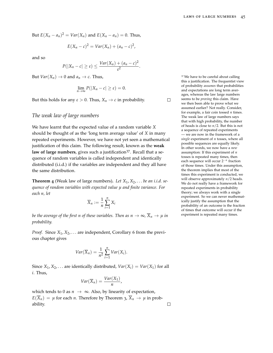But  $E(X_n - a_n)^2 = Var(X_n)$  and  $E(X_n - a_n) = 0$ . Thus,

$$
E(X_n-c)^2 = Var(X_n) + (a_n-c)^2,
$$

and so

$$
P(|X_n - c| \geq \varepsilon) \leq \frac{Var(X_n) + (a_n - c)^2}{\varepsilon^2}.
$$

But *Var*( $X_n$ )  $\rightarrow$  0 and  $a_n \rightarrow c$ . Thus,

$$
\lim_{n\to\infty}P(|X_n-c|\geq\varepsilon)=0.
$$

But this holds for any  $\varepsilon > 0$ . Thus,  $X_n \to c$  in probability.

# *The weak law of large numbers*

We have learnt that the expected value of a random variable *X* should be thought of as the 'long term average value' of *X* in many repeated experiments. However, we have not yet seen a mathematical justification of this claim. The following result, known as the **weak** law of large numbers, gives such a justification<sup>37</sup>. Recall that a sequence of random variables is called independent and identically distributed (i.i.d.) if the variables are independent and they all have the same distribution.

**Theorem 4** (Weak law of large numbers)**.** *Let X*1, *X*2, . . . *be an i.i.d. sequence of random variables with expected value µ and finite variance. For each n, let*

$$
\overline{X}_n := \frac{1}{n} \sum_{i=1}^n X_i
$$

*be the average of the first n of these variables. Then as*  $n \to \infty$ *,*  $\overline{X}_n \to \mu$  *in probability.*

*Proof.* Since  $X_1, X_2, \ldots$  are independent, Corollary [6](#page-37-1) from the previous chapter gives

$$
Var(\overline{X}_n) = \frac{1}{n^2} \sum_{i=1}^n Var(X_i).
$$

Since *X*<sub>1</sub>, *X*<sub>2</sub>, . . . are identically distributed, *Var*(*X*<sub>*i*</sub>) = *Var*(*X*<sub>1</sub>) for all *i*. Thus,

$$
Var(\overline{X}_n) = \frac{Var(X_1)}{n},
$$

which tends to 0 as  $n \to \infty$ . Also, by linearity of expectation,  $E(X_n) = \mu$  for each *n*. Therefore by Theorem [3](#page-43-0),  $\overline{X}_n \to \mu$  in probability.

<sup>37</sup> We have to be careful about calling this a justification. The frequentist view of probability *assumes* that probabilities and expectations are long term averages, whereas the law large numbers seems to be *proving* this claim. Have we then been able to prove what we assumed earlier? Not really. Consider, for example, a fair coin tossed *n* times. The weak law of large numbers says that with high probability, the number of heads is close to *n*/2. But this is not a sequence of repeated experiments — we are now in the framework of a *single* experiment of *n* tosses, where all possible sequences are equally likely. In other words, we now have a *new* assumption: If this experiment of *n* tosses is repeated many times, then each sequence will occur 2−*<sup>n</sup>* fraction of those times. Under this assumption, the theorem implies that most of the times this experiment is conducted, we will observe approximately *n*/2 heads. We do not really have a framework for repeated experiments in probability theory; we always work with a single experiment. So we can never mathematically justify the assumption that the probability of an outcome is the fraction of times that outcome will occur if the experiment is repeated many times.

 $\Box$ 

 $\Box$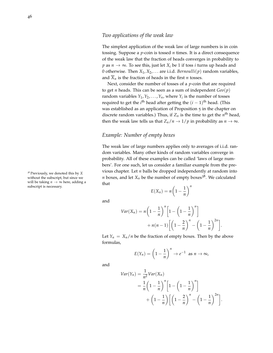The simplest application of the weak law of large numbers is in coin tossing. Suppose a *p*-coin is tossed *n* times. It is a direct consequence of the weak law that the fraction of heads converges in probability to *p* as  $n \to \infty$ . To see this, just let  $X_i$  be 1 if toss *i* turns up heads and 0 otherwise. Then  $X_1, X_2, \ldots$  are i.i.d. *Bernoulli(p)* random variables, and  $\overline{X}_n$  is the fraction of heads in the first *n* tosses.

Next, consider the number of tosses of a *p*-coin that are required to get *n* heads. This can be seen as a sum of independent *Geo*(*p*) random variables  $Y_1, Y_2, \ldots, Y_n$ , where  $Y_i$  is the number of tosses required to get the *i*<sup>th</sup> head after getting the  $(i - 1)$ <sup>th</sup> head. (This was established as an application of Proposition [5](#page-25-0) in the chapter on discrete random variables.) Thus, if  $Z_n$  is the time to get the  $n^{\text{th}}$  head, then the weak law tells us that  $Z_n/n \to 1/p$  in probability as  $n \to \infty$ .

# *Example: Number of empty boxes*

The weak law of large numbers applies only to averages of i.i.d. random variables. Many other kinds of random variables converge in probability. All of these examples can be called 'laws of large numbers'. For one such, let us consider a familiar example from the previous chapter. Let *n* balls be dropped independently at random into *n* boxes, and let  $X_n$  be the number of empty boxes<sup>38</sup>. We calculated that *n*

$$
E(X_n) = n\left(1 - \frac{1}{n}\right)^n
$$

and

$$
Var(X_n) = n\left(1 - \frac{1}{n}\right)^n \left[1 - \left(1 - \frac{1}{n}\right)^n\right] + n(n-1)\left[\left(1 - \frac{2}{n}\right)^n - \left(1 - \frac{1}{n}\right)^{2n}\right]
$$

.

Let  $Y_n = X_n/n$  be the fraction of empty boxes. Then by the above formulas,

$$
E(Y_n) = \left(1 - \frac{1}{n}\right)^n \to e^{-1} \text{ as } n \to \infty,
$$

and

$$
Var(Y_n) = \frac{1}{n^2} Var(X_n)
$$
  
= 
$$
\frac{1}{n} \left(1 - \frac{1}{n}\right)^n \left[1 - \left(1 - \frac{1}{n}\right)^n\right]
$$
  
+ 
$$
\left(1 - \frac{1}{n}\right) \left[\left(1 - \frac{2}{n}\right)^n - \left(1 - \frac{1}{n}\right)^{2n}\right].
$$

<sup>38</sup> Previously, we denoted this by *X* without the subscript, but since we will be taking  $n \to \infty$  here, adding a subscript is necessary.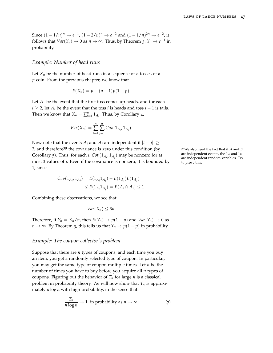Since  $(1 - 1/n)^n \to e^{-1}$ ,  $(1 - 2/n)^n \to e^{-2}$  and  $(1 - 1/n)^{2n} \to e^{-2}$ , it follows that  $Var(Y_n) \to 0$  as  $n \to \infty$ . Thus, by Theorem [3](#page-43-0),  $Y_n \to e^{-1}$  in probability.

#### *Example: Number of head runs*

Let  $X_n$  be the number of head runs in a sequence of *n* tosses of a *p*-coin. From the previous chapter, we know that

$$
E(X_n) = p + (n-1)p(1-p).
$$

Let  $A_1$  be the event that the first toss comes up heads, and for each *i* ≥ 2, let  $A_i$  be the event that the toss *i* is heads and toss *i* − 1 is tails. Then we know that  $X_n = \sum_{i=1}^n 1_{A_i}$ . Thus, by Corollary [4](#page-36-1),

$$
Var(X_n) = \sum_{i=1}^{n} \sum_{j=1}^{n} Cov(1_{A_i}, 1_{A_j}).
$$

Now note that the events  $A_i$  and  $A_j$  are independent if  $|i - j| \geq$ 2, and therefore<sup>39</sup> the covariance is zero under this condition (by <sup>39</sup> We also need the fact that if *A* and *B* Corollary [5](#page-37-0)). Thus, for each *i*,  $Cov(1_{A_i}, 1_{A_j})$  may be nonzero for at most 3 values of *j*. Even if the covariance is nonzero, it is bounded by 1, since

$$
Cov(1_{A_i}, 1_{A_j}) = E(1_{A_i}1_{A_j}) - E(1_{A_i})E(1_{A_j})
$$
  
\n
$$
\leq E(1_{A_i}1_{A_j}) = P(A_i \cap A_j) \leq 1.
$$

Combining these observations, we see that

$$
Var(X_n) \leq 3n.
$$

Therefore, if  $Y_n = X_n/n$ , then  $E(Y_n) \to p(1-p)$  and  $Var(Y_n) \to 0$  as *n* → ∞. By Theorem [3](#page-43-0), this tells us that  $Y_n$  →  $p(1-p)$  in probability.

#### *Example: The coupon collector's problem*

Suppose that there are *n* types of coupons, and each time you buy an item, you get a randomly selected type of coupon. In particular, you may get the same type of coupon multiple times. Let *n* be the number of times you have to buy before you acquire all *n* types of coupons. Figuring out the behavior of  $T_n$  for large *n* is a classical problem in probability theory. We will now show that  $T_n$  is approximately *n* log *n* with high probability, in the sense that

<span id="page-46-0"></span>
$$
\frac{T_n}{n \log n} \to 1 \text{ in probability as } n \to \infty. \tag{7}
$$

are independent events, the 1*<sup>A</sup>* and 1*<sup>B</sup>* are independent random variables. Try to prove this.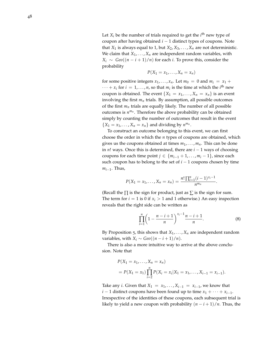Let  $X_i$  be the number of trials required to get the  $i^{\text{th}}$  new type of coupon after having obtained *i* − 1 distinct types of coupons. Note that  $X_1$  is always equal to 1, but  $X_2, X_3, \ldots, X_n$  are not deterministic. We claim that  $X_1, \ldots, X_n$  are independent random variables, with  $X_i \sim \text{Geo}((n-i+1)/n)$  for each *i*. To prove this, consider the probability

$$
P(X_1 = x_1, \ldots, X_n = x_n)
$$

for some positive integers  $x_1, \ldots, x_n$ . Let  $m_0 = 0$  and  $m_i = x_1 +$  $\cdots + x_i$  for  $i = 1, \ldots, n$ , so that  $m_i$  is the time at which the  $i^{\text{th}}$  new coupon is obtained. The event  $\{X_1 = x_1, \ldots, X_n = x_n\}$  is an event involving the first  $m_n$  trials. By assumption, all possible outcomes of the first  $m_n$  trials are equally likely. The number of all possible outcomes is  $n^{m_n}$ . Therefore the above probability can be obtained simply by counting the number of outcomes that result in the event  $\{X_1 = x_1, \ldots, X_n = x_n\}$  and dividing by  $n^{m_n}$ .

To construct an outcome belonging to this event, we can first choose the order in which the *n* types of coupons are obtained, which gives us the coupons obtained at times  $m_1, \ldots, m_n$ . This can be done in *n*! ways. Once this is determined, there are *i* − 1 ways of choosing coupons for each time point *j* ∈ { $m_{i-1} + 1, \ldots, m_i - 1$ }, since each such coupon has to belong to the set of *i* − 1 coupons chosen by time *mi*−<sup>1</sup> . Thus,

$$
P(X_1 = x_1, ..., X_n = x_n) = \frac{n! \prod_{i=1}^n (i-1)^{x_i-1}}{n^{m_n}}.
$$

(Recall the  $\Pi$  is the sign for product, just as  $\Sigma$  is the sign for sum. The term for  $i = 1$  is 0 if  $x_i > 1$  and 1 otherwise.) An easy inspection reveals that the right side can be written as

<span id="page-47-0"></span>
$$
\prod_{i=1}^{n} \left(1 - \frac{n-i+1}{n}\right)^{x_i - 1} \frac{n-i+1}{n}.\tag{8}
$$

By Proposition  $\overline{5}$  $\overline{5}$  $\overline{5}$ , this shows that  $X_1, \ldots, X_n$  are independent random variables, with  $X_i \sim \text{Geo}((n-i+1)/n)$ .

There is also a more intuitive way to arrive at the above conclusion. Note that

$$
P(X_1 = x_1, ..., X_n = x_n)
$$
  
=  $P(X_1 = x_1) \prod_{i=2}^{n} P(X_i = x_i | X_1 = x_1, ..., X_{i-1} = x_{i-1}).$ 

Take any *i*. Given that  $X_1 = x_1, \ldots, X_{i-1} = x_{i-1}$ , we know that *i* − 1 distinct coupons have been found up to time  $x_1 + \cdots + x_{i-1}$ . Irrespective of the identities of these coupons, each subsequent trial is likely to yield a new coupon with probability  $(n-i+1)/n$ . Thus, the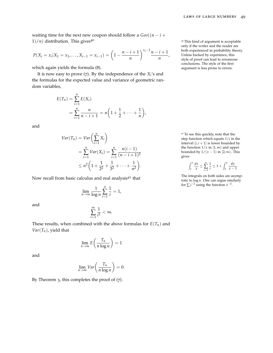waiting time for the next new coupon should follow a  $Geo((n - i +$  $1/n$  distribution. This gives<sup>40</sup>  $\frac{40}{10}$  This kind of argument is acceptable

$$
P(X_i = x_i | X_1 = x_1, \ldots, X_{i-1} = x_{i-1}) = \left(1 - \frac{n-i+1}{n}\right)^{x_i-1} \frac{n-i+1}{n},
$$

which again yields the formula ([8](#page-47-0)).

It is now easy to prove ([7](#page-46-0)). By the independence of the *X<sup>i</sup>* 's and the formulas for the expected value and variance of geometric random variables,

$$
E(T_n) = \sum_{i=1}^n E(X_i)
$$
  
= 
$$
\sum_{i=1}^n \frac{n}{n-i+1} = n \left( 1 + \frac{1}{2} + \dots + \frac{1}{n} \right),
$$

and

$$
Var(T_n) = Var\left(\sum_{i=1}^n X_i\right)
$$
  
= 
$$
\sum_{i=1}^n Var(X_i) = \sum_{i=1}^n \frac{n(i-1)}{(n-i+1)^2}
$$
  

$$
\leq n^2 \left(1 + \frac{1}{2^2} + \frac{1}{3^2} + \dots + \frac{1}{n^2}\right).
$$

Now recall from basic calculus and real analysis<sup>41</sup> that

$$
\lim_{n\to\infty}\frac{1}{\log n}\sum_{i=1}^n\frac{1}{i}=1,
$$

and

$$
\sum_{i=1}^{\infty} \frac{1}{i^2} < \infty.
$$

These results, when combined with the above formulas for  $E(T_n)$  and  $Var(T_n)$ , yield that

$$
\lim_{n \to \infty} E\left(\frac{T_n}{n \log n}\right) = 1
$$

and

$$
\lim_{n\to\infty} Var\left(\frac{T_n}{n\log n}\right) = 0.
$$

By Theorem [3](#page-43-0), this completes the proof of ([7](#page-46-0)).

only if the writer and the reader are both experienced in probability theory. Unless backed by experience, this style of proof can lead to erroneous conclusions. The style of the first argument is less prone to errors.

<sup>41</sup> To see this quickly, note that the step function which equals 1/*i* in the interval  $[i, i + 1]$  is lower bounded by the function  $1/x$  in  $[1, \infty)$  and upper bounded by  $1/(x-1)$  in  $[2,\infty)$ . This gives

$$
\int_1^n \frac{dx}{x} \le \sum_{i=1}^n \frac{1}{i} \le 1 + \int_2^n \frac{dx}{x-1}.
$$

The integrals on both sides are asymptotic to log *n*. One can argue similarly for  $\sum i^{-2}$  using the function  $x^{-2}$ .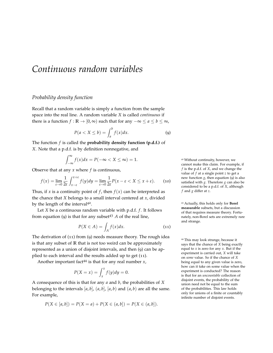# *Continuous random variables*

## *Probability density function*

Recall that a random variable is simply a function from the sample space into the real line. A random variable *X* is called *continuous* if there is a function *f* : **R**  $\rightarrow$  [0,  $\infty$ ) such that for any  $-\infty \le a \le b \le \infty$ ,

$$
P(a < X \le b) = \int_{a}^{b} f(x) \, dx. \tag{9}
$$

The function *f* is called the **probability density function (p.d.f.)** of *X*. Note that a p.d.f. is by definition nonnegative, and

$$
\int_{-\infty}^{\infty} f(x)dx = P(-\infty < X \leq \infty) = 1.
$$

Observe that at any *x* where *f* is continuous,

$$
f(x) = \lim_{\varepsilon \to 0} \frac{1}{2\varepsilon} \int_{x-\varepsilon}^{x+\varepsilon} f(y) dy = \lim_{\varepsilon \to 0} \frac{1}{2\varepsilon} P(x - \varepsilon < X \le x + \varepsilon). \tag{10}
$$

Thus, if *x* is a continuity point of *f*, then  $f(x)$  can be interpreted as the chance that *X* belongs to a small interval centered at *x*, divided by the length of the interval<sup>42</sup>.

Let *X* be a continuous random variable with p.d.f. *f*. It follows from equation ([9](#page-50-0)) is that for any subset<sup>43</sup> *<sup>A</sup>* of the real line,

$$
P(X \in A) = \int_{A} f(x) dx.
$$
 (11)

The derivation of ([11](#page-50-1)) from ([9](#page-50-0)) needs measure theory. The rough idea is that any subset of **R** that is not too weird can be approximately represented as a union of disjoint intervals, and then ([9](#page-50-0)) can be applied to each interval and the results added up to get ([11](#page-50-1)).

Another important fact<sup>44</sup> is that for any real number *x*,

$$
P(X = x) = \int_x^x f(y) dy = 0.
$$

A consequence of this is that for any *a* and *b*, the probabilities of *X* belonging to the intervals  $[a, b]$ ,  $(a, b]$ ,  $[a, b)$  and  $(a, b)$  are all the same. For example,

$$
P(X \in [a, b]) = P(X = a) + P(X \in (a, b]) = P(X \in (a, b]).
$$

<span id="page-50-0"></span><sup>42</sup> Without continuity, however, we cannot make this claim. For example, if *f* is the p.d.f. of *X*, and we change the value of *f* at a single point *z* to get a new function *g*, then equation ([9](#page-50-0)) is also satisfied with *g*. Therefore *g* can also be considered to be a p.d.f. of *X*, although *f* and *g* differ at *z*.

<sup>43</sup> Actually, this holds only for **Borel measurable** subsets, but a discussion of that requires measure theory. Fortunately, non-Borel sets are extremely rare and strange.

<span id="page-50-1"></span><sup>44</sup> This may look strange, because it says that the chance of *X* being exactly equal to *x* is zero for any *x*. But if the experiment is carried out, *X* will take on *some* value. So if the chance of *X* being equal to any given value is zero, how can it take on some value when the experiment is conducted? The reason is that for an *uncountable* collection of disjoint events, the probability of the union need not be equal to the sum of the probabilities. This law holds only for unions of a finite or countably infinite number of disjoint events.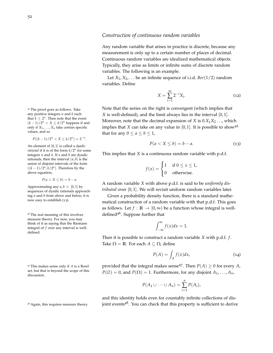#### <sup>45</sup> The proof goes as follows. Take any positive integers *n* and *k* such that  $k \leq 2^n$ . Then note that the event  $(k-1)/2<sup>n</sup> < X ≤ k/2<sup>n</sup>$  happens if and only if  $X_1, \ldots, X_n$  take certain specific values, and so

 $P((k-1)/2^n < X \leq k/2^n) = 2^{-n}.$ 

An element of [0, 1] is called a *dyadic rational* if it is of the form *k*/2*<sup>n</sup>* for some integers *n* and *k*. If *a* and *b* are dyadic rationals, then the interval  $(a, b]$  is the union of disjoint intervals of the form  $((k-1)/2<sup>n</sup>, k/2<sup>n</sup>]$ . Therefore by the above equation,

$$
P(a < X \leq b) = b - a.
$$

Approximating any  $a, b \in [0, 1]$  by sequences of dyadic rationals approaching *a* and *b* from above and below, it is now easy to establish ([13](#page-51-0)).

measure theory. For now, you may think of it as saying that the Riemann integral of *f* over any interval is welldefined.

<sup>47</sup> This makes sense only if *A* is a Borel set, but that is beyond the scope of this discussion.

#### *Construction of continuous random variables*

Any random variable that arises in practice is discrete, because any measurement is only up to a certain number of places of decimal. Continuous random variables are idealized mathematical objects. Typically, they arise as limits or infinite sums of discrete random variables. The following is an example.

Let  $X_1, X_2, \ldots$  be an infinite sequence of i.i.d. *Ber*(1/2) random variables. Define

$$
X = \sum_{i=1}^{\infty} 2^{-i} X_i.
$$
 (12)

Note that the series on the right is convergent (which implies that *X* is well-defined), and the limit always lies in the interval [0, 1]. Moreover, note that the decimal expansion of *X* is  $0.X_1X_2...$ , which implies that *X* can take on any value in  $[0, 1]$ . It is possible to show<sup>45</sup> that for any  $0 \le a \le b \le 1$ ,

<span id="page-51-0"></span>
$$
P(a < X \le b) = b - a. \tag{13}
$$

This implies that *X* is a continuous random variable with p.d.f.

$$
f(x) = \begin{cases} 1 & \text{if } 0 \le x \le 1, \\ 0 & \text{otherwise.} \end{cases}
$$

A random variable *X* with above p.d.f. is said to be *uniformly distributed* over [0, 1]. We will revisit uniform random variables later.

Given a probability density function, there is a standard mathematical construction of a random variable with that p.d.f. This goes as follows. Let  $f : \mathbb{R} \to [0, \infty)$  be a function whose integral is well-<sup>46</sup> The real meaning of this involves  $\qquad \qquad$  defined<sup>46</sup>. Suppose further that

$$
\int_{-\infty}^{\infty} f(x)dx = 1.
$$

Then it is possible to construct a random variable *X* with p.d.f. *f* . Take  $\Omega = \mathbb{R}$ . For each  $A \subseteq \Omega$ , define

<span id="page-51-1"></span>
$$
P(A) = \int_{A} f(x)dx,
$$
 (14)

provided that the integral makes sense<sup>47</sup>. Then  $P(A) \geq 0$  for every *A*,  $P(\emptyset) = 0$ , and  $P(\Omega) = 1$ . Furthermore, for any disjoint  $A_1, \ldots, A_n$ ,

$$
P(A_1 \cup \cdots \cup A_n) = \sum_{i=1}^n P(A_i),
$$

and this identity holds even for countably infinite collections of dis- $48$  Again, this requires measure theory.  $\qquad \qquad$  joint events $48$ . You can check that this property is sufficient to derive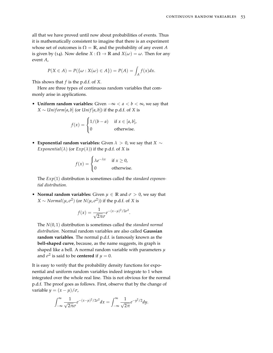all that we have proved until now about probabilities of events. Thus it is mathematically consistent to imagine that there is an experiment whose set of outcomes is  $\Omega = \mathbb{R}$ , and the probability of any event *A* is given by ([14](#page-51-1)). Now define *X* :  $\Omega \to \mathbb{R}$  and  $X(\omega) = \omega$ . Then for any event *A*,

$$
P(X \in A) = P(\{\omega : X(\omega) \in A\}) = P(A) = \int_A f(x)dx.
$$

This shows that *f* is the p.d.f. of *X*.

Here are three types of continuous random variables that commonly arise in applications.

• **Uniform random variables:** Given −∞ < *a* < *b* < ∞, we say that  $X \sim Uniform[a, b]$  (or *Unif* [ $a, b$ ]) if the p.d.f. of *X* is

$$
f(x) = \begin{cases} 1/(b-a) & \text{if } x \in [a,b], \\ 0 & \text{otherwise.} \end{cases}
$$

• **Exponential random variables:** Given *λ* > 0, we say that *X* ∼ *Exponential*( $\lambda$ ) (or  $Exp(\lambda)$ ) if the p.d.f. of *X* is

$$
f(x) = \begin{cases} \lambda e^{-\lambda x} & \text{if } x \ge 0, \\ 0 & \text{otherwise.} \end{cases}
$$

The *Exp*(1) distribution is sometimes called the *standard exponential distribution.*

• **Normal random variables:** Given  $\mu \in \mathbb{R}$  and  $\sigma > 0$ , we say that  $X \sim Normal(\mu, \sigma^2)$  (or  $N(\mu, \sigma^2)$ ) if the p.d.f. of *X* is

$$
f(x) = \frac{1}{\sqrt{2\pi}\sigma}e^{-(x-\mu)^2/2\sigma^2}.
$$

The *N*(0, 1) distribution is sometimes called the *standard normal distribution.* Normal random variables are also called **Gaussian random variables**. The normal p.d.f. is famously known as the **bell-shaped curve**, because, as the name suggests, its graph is shaped like a bell. A normal random variable with parameters *µ* and  $\sigma^2$  is said to be **centered** if  $\mu = 0$ .

It is easy to verify that the probability density functions for exponential and uniform random variables indeed integrate to 1 when integrated over the whole real line. This is not obvious for the normal p.d.f. The proof goes as follows. First, observe that by the change of variable  $y = (x - \mu)/\sigma$ ,

$$
\int_{-\infty}^{\infty} \frac{1}{\sqrt{2\pi}\sigma} e^{-(x-\mu)^2/2\sigma^2} dx = \int_{-\infty}^{\infty} \frac{1}{\sqrt{2\pi}} e^{-y^2/2} dy.
$$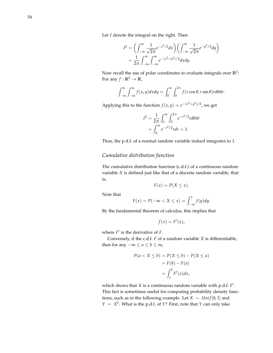Let *I* denote the integral on the right. Then

$$
I^{2} = \left(\int_{-\infty}^{\infty} \frac{1}{\sqrt{2\pi}} e^{-x^{2}/2} dx\right) \left(\int_{-\infty}^{\infty} \frac{1}{\sqrt{2\pi}} e^{-y^{2}/2} dy\right)
$$
  
=  $\frac{1}{2\pi} \int_{-\infty}^{\infty} \int_{-\infty}^{\infty} e^{-(x^{2}+y^{2})/2} dx dy.$ 

Now recall the use of polar coordinates to evaluate integrals over **R**<sup>2</sup> : For any  $f : \mathbb{R}^2 \to \mathbb{R}$ ,

$$
\int_{-\infty}^{\infty} \int_{-\infty}^{\infty} f(x, y) dx dy = \int_{0}^{\infty} \int_{0}^{2\pi} f(r \cos \theta, r \sin \theta) r d\theta dr.
$$

Applying this to the function  $f(x, y) = e^{-(x^2 + y^2)/2}$ , we get

$$
I^{2} = \frac{1}{2\pi} \int_{0}^{\infty} \int_{0}^{2\pi} e^{-r^{2}/2} r d\theta dr
$$
  
= 
$$
\int_{0}^{\infty} e^{-r^{2}/2} r dr = 1.
$$

Thus, the p.d.f. of a normal random variable indeed integrates to 1.

# *Cumulative distribution function*

The cumulative distribution function (c.d.f.) of a continuous random variable *X* is defined just like that of a discrete random variable, that is,

$$
F(x) = P(X \le x).
$$

Note that

$$
F(x) = P(-\infty < X \le x) = \int_{-\infty}^{x} f(y) \, dy.
$$

By the fundamental theorem of calculus, this implies that

$$
f(x) = F'(x),
$$

where  $F'$  is the derivative of  $F$ .

Conversely, if the c.d.f. *F* of a random variable *X* is differentiable, then for any  $-\infty \le a \le b \le \infty$ ,

$$
P(a < X \le b) = P(X \le b) - P(X \le a)
$$
\n
$$
= F(b) - F(a)
$$
\n
$$
= \int_{a}^{b} F'(x) dx,
$$

which shows that *X* is a continuous random variable with p.d.f. *F'*. This fact is sometimes useful for computing probability density functions, such as in the following example. Let *X*  $\sim Unif[0,1]$  and  $Y = X^2$ . What is the p.d.f. of *Y*? First, note that *Y* can only take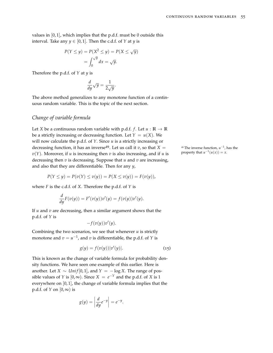values in  $[0, 1]$ , which implies that the p.d.f. must be 0 outside this interval. Take any  $y \in [0, 1]$ . Then the c.d.f. of *Y* at *y* is

$$
P(Y \le y) = P(X^2 \le y) = P(X \le \sqrt{y})
$$

$$
= \int_0^{\sqrt{y}} dx = \sqrt{y}.
$$

Therefore the p.d.f. of *Y* at *y* is

$$
\frac{d}{dy}\sqrt{y} = \frac{1}{2\sqrt{y}}.
$$

The above method generalizes to any monotone function of a continuous random variable. This is the topic of the next section.

#### *Change of variable formula*

Let *X* be a continuous random variable with p.d.f. *f*. Let  $u : \mathbb{R} \to \mathbb{R}$ be a strictly increasing or decreasing function. Let  $Y = u(X)$ . We will now calculate the p.d.f. of *Y*. Since *u* is a strictly increasing or decreasing function, it has an inverse<sup>49</sup>. Let us call it *v*, so that  $X =$  $v(Y)$ . Moreover, if *u* is increasing then *v* is also increasing, and if *u* is decreasing then *v* is decreasing. Suppose that *u* and *v* are increasing, and also that they are differentiable. Then for any *y*,

$$
P(Y \le y) = P(v(Y) \le v(y)) = P(X \le v(y)) = F(v(y)),
$$

where *F* is the c.d.f. of *X*. Therefore the p.d.f. of *Y* is

$$
\frac{d}{dy}F(v(y)) = F'(v(y))v'(y) = f(v(y))v'(y).
$$

If *u* and *v* are decreasing, then a similar argument shows that the p.d.f. of *Y* is

<span id="page-54-0"></span>
$$
-f(v(y))v'(y).
$$

Combining the two scenarios, we see that whenever  $u$  is strictly monotone and  $v = u^{-1}$ , and  $v$  is differentiable, the p.d.f. of  $Y$  is

$$
g(y) = f(v(y))|v'(y)|.
$$
 (15)

This is known as the change of variable formula for probability density functions. We have seen one example of this earlier. Here is another. Let *X* ∼ *Unif* [0, 1], and  $Y = -\log X$ . The range of possible values of *Y* is  $[0, \infty)$ . Since  $X = e^{-Y}$  and the p.d.f. of *X* is 1 everywhere on  $[0, 1]$ , the change of variable formula implies that the p.d.f. of *Y* on  $[0, \infty)$  is

$$
g(y) = \left| \frac{d}{dy} e^{-y} \right| = e^{-y}.
$$

 $^{-1}$ , has the property that  $u^{-1}(u(x)) = x$ .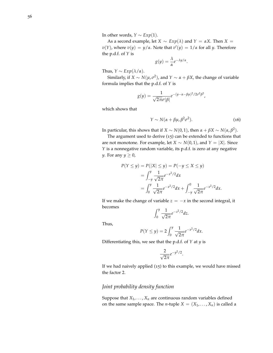In other words,  $Y \sim Exp(1)$ .

As a second example, let  $X \sim Exp(\lambda)$  and  $Y = \alpha X$ . Then  $X =$ *v*(*Y*), where *v*(*y*) = *y*/*α*. Note that  $v'(y) = 1/a$  for all *y*. Therefore the p.d.f. of *Y* is

$$
g(y) = \frac{\lambda}{\alpha} e^{-\lambda y/\alpha}
$$

<span id="page-55-0"></span>.

Thus,  $Y \sim Exp(\lambda/\alpha)$ .

Similarly, if  $X \sim N(\mu, \sigma^2)$ , and  $Y \sim \alpha + \beta X$ , the change of variable formula implies that the p.d.f. of *Y* is

$$
g(y) = \frac{1}{\sqrt{2\pi}\sigma|\beta|}e^{-(y-\alpha-\beta\mu)^2/2\sigma^2\beta^2},
$$

which shows that

$$
Y \sim N(\alpha + \beta \mu, \beta^2 \sigma^2). \tag{16}
$$

In particular, this shows that if *X* ∼ *N*(0, 1), then *α* + *βX* ∼ *N*(*α*, *β* 2 ).

The argument used to derive ([15](#page-54-0)) can be extended to functions that are not monotone. For example, let *X* ∼ *N*(0, 1), and *Y* = |*X*|. Since *Y* is a nonnegative random variable, its p.d.f. is zero at any negative *y*. For any  $y \geq 0$ ,

$$
P(Y \le y) = P(|X| \le y) = P(-y \le X \le y)
$$
  
= 
$$
\int_{-y}^{y} \frac{1}{\sqrt{2\pi}} e^{-x^2/2} dx
$$
  
= 
$$
\int_{0}^{y} \frac{1}{\sqrt{2\pi}} e^{-x^2/2} dx + \int_{-y}^{0} \frac{1}{\sqrt{2\pi}} e^{-x^2/2} dx.
$$

If we make the change of variable  $z = -x$  in the second integral, it becomes

$$
\int_0^y \frac{1}{\sqrt{2\pi}} e^{-z^2/2} dz.
$$

Thus,

$$
P(Y \le y) = 2 \int_0^y \frac{1}{\sqrt{2\pi}} e^{-x^2/2} dx.
$$

Differentiating this, we see that the p.d.f. of *Y* at *y* is

$$
\frac{2}{\sqrt{2\pi}}e^{-y^2/2}.
$$

If we had naively applied ([15](#page-54-0)) to this example, we would have missed the factor 2.

# *Joint probability density function*

Suppose that  $X_1, \ldots, X_n$  are continuous random variables defined on the same sample space. The *n*-tuple  $X = (X_1, \ldots, X_n)$  is called a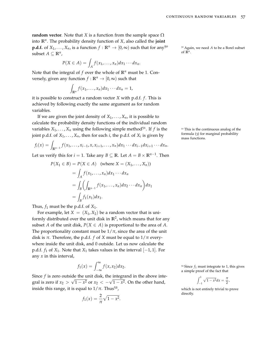**random vector**. Note that *X* is a function from the sample space  $\Omega$ into **R***<sup>n</sup>* . The probability density function of *X*, also called the **joint p.d.f.** of  $X_1, \ldots, X_n$ , is a function  $f : \mathbb{R}^n \to [0, \infty)$  such that for any<sup>50</sup>  $\ldots$  <sup>50</sup> Again, we need *A* to be a Borel subset subset  $A \subseteq \mathbb{R}^n$ ,

$$
P(X \in A) = \int_A f(x_1, \ldots, x_n) dx_1 \cdots dx_n.
$$

Note that the integral of  $f$  over the whole of  $\mathbb{R}^n$  must be 1. Conversely, given any function  $f : \mathbb{R}^n \to [0, \infty)$  such that

> Z  $\int_{\mathbb{R}^n} f(x_1,\ldots,x_n) dx_1\cdots dx_n = 1,$

it is possible to construct a random vector *X* with p.d.f. *f* . This is achieved by following exactly the same argument as for random variables.

If we are given the joint density of  $X_1, \ldots, X_n$ , it is possible to calculate the probability density functions of the individual random variables  $X_1, \ldots, X_n$  using the following simple method<sup>51</sup>. If f is the  $51$  This is the continuous analog of the joint p.d.f. of  $X_1, \ldots, X_n$ , then for each *i*, the p.d.f. of  $X_i$  is given by

$$
f_i(x) = \int_{\mathbb{R}^{n-1}} f(x_1, \ldots, x_{i-1}, x, x_{i+1}, \ldots, x_n) dx_1 \cdots dx_{i-1} dx_{i+1} \cdots dx_n.
$$

Let us verify this for  $i = 1$ . Take any  $B \subseteq \mathbb{R}$ . Let  $A = B \times \mathbb{R}^{n-1}$ . Then

$$
P(X_1 \in B) = P(X \in A) \quad \text{(where } X = (X_1, \dots, X_n))
$$
\n
$$
= \int_A f(x_1, \dots, x_n) dx_1 \cdots dx_n
$$
\n
$$
= \int_B \left( \int_{\mathbb{R}^{n-1}} f(x_1, \dots, x_n) dx_2 \cdots dx_n \right) dx_1
$$
\n
$$
= \int_B f_1(x_1) dx_1.
$$

Thus,  $f_1$  must be the p.d.f. of  $X_1$ .

For example, let  $X = (X_1, X_2)$  be a random vector that is uniformly distributed over the unit disk in  $\mathbb{R}^2$ , which means that for any subset *A* of the unit disk,  $P(X \in A)$  is proportional to the area of *A*. The proportionality constant must be  $1/\pi$ , since the area of the unit disk is  $\pi$ . Therefore, the p.d.f. *f* of *X* must be equal to  $1/\pi$  everywhere inside the unit disk, and 0 outside. Let us now calculate the p.d.f.  $f_1$  of  $X_1$ . Note that  $X_1$  takes values in the interval  $[-1, 1]$ . For any *x* in this interval,

$$
f_1(x) = \int_{-\infty}^{\infty} f(x, x_2) dx_2.
$$

Since *f* is zero outside the unit disk, the integrand in the above integral is zero if  $x_2 > \sqrt{1-x^2}$  or  $x_2 < -\sqrt{1-x^2}$ . On the other hand, inside this range, it is equal to  $1/\pi$ . Thus<sup>52</sup>,

$$
f_1(x) = \frac{2}{\pi}\sqrt{1-x^2}.
$$

of  $\mathbb{R}^n$ .

formula ([3](#page-24-0)) for marginal probability mass functions.

 $52$  Since  $f_1$  must integrate to 1, this gives a simple proof of the fact that

$$
\int_{-1}^1 \sqrt{1-x^2} dx = \frac{\pi}{2},
$$

which is not entirely trivial to prove directly.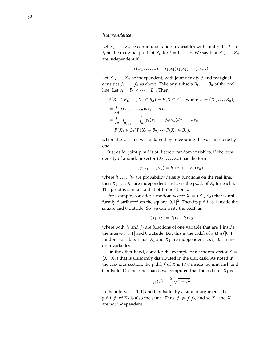# *Independence*

Let  $X_1, \ldots, X_n$  be continuous random variables with joint p.d.f. *f*. Let  $f_i$  be the marginal p.d.f. of  $X_i$ , for  $i = 1, \ldots, n$ . We say that  $X_1, \ldots, X_n$ are independent if

$$
f(x_1,\ldots,x_n)=f_1(x_1)f_2(x_2)\cdots f_n(x_n).
$$

Let  $X_1, \ldots, X_n$  be independent, with joint density  $f$  and marginal densities  $f_1, \ldots, f_n$  as above. Take any subsets  $B_1, \ldots, B_n$  of the real line. Let  $A = B_1 \times \cdots \times B_n$ . Then

$$
P(X_1 \in B_1, ..., X_n \in B_n) = P(X \in A) \text{ (where } X = (X_1, ..., X_n))
$$
  
=  $\int_A f(x_1, ..., x_n) dx_1 \cdots dx_n$   
=  $\int_{B_n} \int_{B_{n-1}} \cdots \int_{B_1} f_1(x_1) \cdots f_n(x_n) dx_1 \cdots dx_n$   
=  $P(X_1 \in B_1) P(X_2 \in B_2) \cdots P(X_n \in B_n),$ 

where the last line was obtained by integrating the variables one by one.

Just as for joint p.m.f.'s of discrete random variables, if the joint density of a random vector  $(X_1, \ldots, X_n)$  has the form

$$
f(x_1,\ldots,x_n)=h_1(x_1)\cdots h_n(x_n)
$$

where  $h_1, \ldots, h_n$  are probability density functions on the real line, then  $X_1, \ldots, X_n$  are independent and  $h_i$  is the p.d.f. of  $X_i$  for each *i*. The proof is similar to that of Proposition [5](#page-25-0).

For example, consider a random vector  $X = (X_1, X_2)$  that is uniformly distributed on the square  $[0,1]^2$ . Then its p.d.f. is 1 inside the square and 0 outside. So we can write the p.d.f. as

$$
f(x_1, x_2) = f_1(x_1) f_2(x_2)
$$

where both  $f_1$  and  $f_2$  are functions of one variable that are 1 inside the interval  $[0, 1]$  and 0 outside. But this is the p.d.f. of a *Unif*  $[0, 1]$ random variable. Thus,  $X_1$  and  $X_2$  are independent  $Unif[0,1]$  random variables.

On the other hand, consider the example of a random vector  $X =$  $(X_1, X_2)$  that is uniformly distributed in the unit disk. As noted in the previous section, the p.d.f. *f* of *X* is  $1/\pi$  inside the unit disk and 0 outside. On the other hand, we computed that the p.d.f. of *X*<sup>1</sup> is

$$
f_1(x) = \frac{2}{\pi} \sqrt{1 - x^2}
$$

in the interval  $[-1, 1]$  and 0 outside. By a similar argument, the p.d.f. *f*<sub>2</sub> of *X*<sub>2</sub> is also the same. Thus,  $f \neq f_1 f_2$ , and so *X*<sub>1</sub> and *X*<sub>2</sub> are not independent.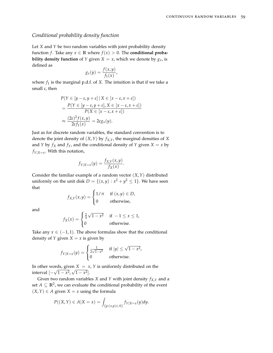#### *Conditional probability density function*

Let *X* and *Y* be two random variables with joint probability density function *f*. Take any  $x \in \mathbb{R}$  where  $f(x) > 0$ . The **conditional probability density function** of *Y* given *X* = *x*, which we denote by  $g_x$ , is defined as

$$
g_x(y) = \frac{f(x, y)}{f_1(x)},
$$

where  $f_1$  is the marginal p.d.f. of *X*. The intuition is that if we take a small *ε*, then

$$
P(Y \in [y - \varepsilon, y + \varepsilon] | X \in [x - \varepsilon, x + \varepsilon])
$$
  
= 
$$
\frac{P(Y \in [y - \varepsilon, y + \varepsilon], X \in [x - \varepsilon, x + \varepsilon])}{P(X \in [x - \varepsilon, x + \varepsilon])}
$$
  

$$
\approx \frac{(2\varepsilon)^2 f(x, y)}{2\varepsilon f_1(x)} = 2\varepsilon g_x(y).
$$

Just as for discrete random variables, the standard convention is to denote the joint density of (*X*,*Y*) by *fX*,*Y*, the marginal densities of *X* and *Y* by  $f_X$  and  $f_Y$ , and the conditional density of *Y* given  $X = x$  by  $f_{Y|X=x}$ . With this notation,

$$
f_{Y|X=x}(y) = \frac{f_{X,Y}(x,y)}{f_X(x)}.
$$

Consider the familiar example of a random vector (*X*,*Y*) distributed uniformly on the unit disk  $D = \{(x, y) : x^2 + y^2 \le 1\}$ . We have seen that

$$
f_{X,Y}(x,y) = \begin{cases} 1/\pi & \text{if } (x,y) \in D, \\ 0 & \text{otherwise,} \end{cases}
$$

and

$$
f_X(x) = \begin{cases} \frac{2}{\pi}\sqrt{1-x^2} & \text{if } -1 \le x \le 1, \\ 0 & \text{otherwise.} \end{cases}
$$

Take any  $x \in (-1, 1)$ . The above formulas show that the conditional density of *Y* given  $X = x$  is given by

$$
f_{Y|X=x}(y) = \begin{cases} \frac{1}{2\sqrt{1-x^2}} & \text{if } |y| \le \sqrt{1-x^2}, \\ 0 & \text{otherwise.} \end{cases}
$$

In other words, given  $X = x$ ,  $Y$  is uniformly distributed on the interval  $[-\sqrt{1-x^2}, \sqrt{1-x^2}]$ .

Given two random variables *X* and *Y* with joint density  $f_{X,Y}$  and a set  $A \subseteq \mathbb{R}^2$ , we can evaluate the conditional probability of the event  $(X, Y)$  ∈ *A* given *X* = *x* using the formula

$$
P((X,Y) \in A | X = x) = \int_{\{y: (x,y) \in A\}} f_{Y|X=x}(y) dy.
$$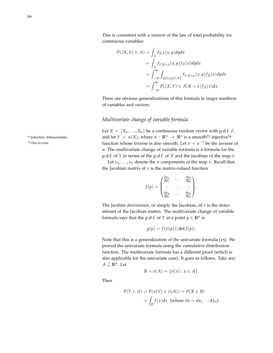60

This is consistent with a version of the law of total probability for continuous variables:

$$
P((X,Y) \in A) = \int_A f_{X,Y}(x,y) dy dx
$$
  
= 
$$
\int_A f_{Y|X=x}(x,y) f_X(x) dy dx
$$
  
= 
$$
\int_{-\infty}^{\infty} \int_{\{y:(x,y) \in A\}} f_{Y|X=x}(x,y) f_X(x) dy dx
$$
  
= 
$$
\int_{-\infty}^{\infty} P((X,Y) \in A|X=x) f_X(x) dx.
$$

There are obvious generalizations of this formula to larger numbers of variables and vectors.

# *Multivariate change of variable formula*

Let  $X = (X_1, \ldots, X_n)$  be a continuous random vector with p.d.f. *f*, <sup>53</sup> Infinitely differentiable. and let  $Y = u(X)$ , where  $u : \mathbb{R}^n \to \mathbb{R}^n$  is a smooth<sup>53</sup> injective<sup>54</sup> <sup>54</sup> One-to-one. function whose inverse is also smooth. Let  $v = u^{-1}$  be the inverse of *u*. The multivariate change of variable formula is a formula for the p.d.f. of *Y* in terms of the p.d.f. of *X* and the Jacobian of the map *v*.

> Let  $v_1, \ldots, v_n$  denote the *n* components of the map *v*. Recall that the Jacobian matrix of *v* is the matrix-valued function

$$
J(y) = \begin{pmatrix} \frac{\partial v_1}{\partial y_1} & \cdots & \frac{\partial v_1}{\partial y_n} \\ \vdots & \ddots & \vdots \\ \frac{\partial v_n}{\partial y_1} & \cdots & \frac{\partial v_n}{\partial y_n} \end{pmatrix}.
$$

The *Jacobian determinant*, or simply the Jacobian, of *v* is the determinant of the Jacobian matrix. The multivariate change of variable formula says that the p.d.f. of *Y* at a point  $y \in \mathbb{R}^n$  is

$$
g(y) = f(v(y)) |\det J(y)|.
$$

Note that this is a generalization of the univariate formula ([15](#page-54-0)). We proved the univariate formula using the cumulative distribution function. The multivariate formula has a different proof (which is also applicable for the univariate case). It goes as follows. Take any  $A \subseteq \mathbb{R}^n$ . Let

*B* = *v*(*A*) = {*v*(*x*) : *x*  $\in$  *A* }.

Then

$$
P(Y \in A) = P(v(Y) \in v(A)) = P(X \in B)
$$
  
=  $\int_B f(x) dx$  (where  $dx = dx_1 \cdots dx_n$ ).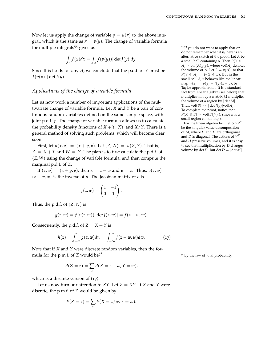Now let us apply the change of variable  $y = u(x)$  to the above integral, which is the same as  $x = v(y)$ . The change of variable formula for multiple integrals<sup>55</sup> gives us 55 If you do not want to apply that or

$$
\int_B f(x)dx = \int_A f(v(y)) |\det J(y)| dy.
$$

Since this holds for any *A*, we conclude that the p.d.f. of *Y* must be  $f(v(y))|\det J(y)|.$ 

# *Applications of the change of variable formula*

Let us now work a number of important applications of the multivariate change of variable formula. Let *X* and *Y* be a pair of continuous random variables defined on the same sample space, with joint p.d.f. *f*. The change of variable formula allows us to calculate the probability density functions of  $X + Y$ ,  $XY$  and  $X/Y$ . There is a general method of solving such problems, which will become clear soon.

First, let  $u(x, y) = (x + y, y)$ . Let  $(Z, W) = u(X, Y)$ . That is,  $Z = X + Y$  and  $W = Y$ . The plan is to first calculate the p.d.f. of (*Z*, *W*) using the change of variable formula, and then compute the marginal p.d.f. of *Z*.

If  $(z, w) = (x + y, y)$ , then  $x = z - w$  and  $y = w$ . Thus,  $v(z, w) = w$  $(z - w, w)$  is the inverse of *u*. The Jacobian matrix of *v* is

$$
J(z, w) = \begin{pmatrix} 1 & -1 \\ 0 & 1 \end{pmatrix}.
$$

Thus, the p.d.f. of (*Z*, *W*) is

$$
g(z, w) = f(v(z, w)) |\det J(z, w)| = f(z - w, w).
$$

Consequently, the p.d.f. of  $Z = X + Y$  is

$$
h(z) = \int_{-\infty}^{\infty} g(z, w) dw = \int_{-\infty}^{\infty} f(z - w, w) dw.
$$
 (17)

Note that if *X* and *Y* were discrete random variables, then the formula for the p.m.f. of *Z* would be<sup>56</sup>  $\frac{56}{5}$  By the law of total probability.

$$
P(Z = z) = \sum_{w} P(X = z - w, Y = w),
$$

which is a discrete version of ([17](#page-60-0)).

Let us now turn our attention to *XY*. Let  $Z = XY$ . If *X* and *Y* were discrete, the p.m.f. of *Z* would be given by

$$
P(Z = z) = \sum_{w} P(X = z/w, Y = w).
$$

do not remember what it is, here is an alternative sketch of the proof. Let *A* be a small ball containing *y*. Then  $P(Y \in$  $A) \approx \text{vol}(A)g(y)$ , where  $\text{vol}(A)$  denotes the volume of *A*. Let  $B = v(A)$ , so that  $P(Y \in A) = P(X \in B)$ . But in the small ball *A*, *v* behaves like the linear  $\text{map } w(z) = v(y) + J(y)(z - y)$ , by Taylor approximation. It is a standard fact from linear algebra (see below) that multiplication by a matrix *M* multiplies the volume of a region by | det *M*|. Thus,  $vol(B) \approx |det J(y)|vol(A)$ . To complete the proof, notice that  $P(X \in B) \approx \text{vol}(B)f(x)$ , since *B* is a small region containing *x*.

For the linear algebra fact, let *UDV<sup>T</sup>* be the singular value decomposition of *M*, where *U* and *V* are orthogonal, and *D* is diagonal. The actions of *V T* and *U* preserve volumes, and it is easy to see that multiplication by *D* changes volume by  $\det D$ . But  $\det D = |\det M|$ .

<span id="page-60-0"></span>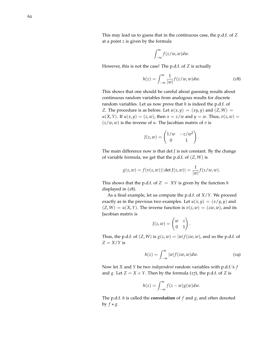This may lead us to guess that in the continuous case, the p.d.f. of *Z* at a point *z* is given by the formula

<span id="page-61-0"></span>
$$
\int_{-\infty}^{\infty} f(z/w, w) dw.
$$

However, this is not the case! The p.d.f. of *Z* is actually

$$
h(z) = \int_{-\infty}^{\infty} \frac{1}{|w|} f(z/w, w) dw.
$$
 (18)

This shows that one should be careful about guessing results about continuous random variables from analogous results for discrete random variables. Let us now prove that *h* is indeed the p.d.f. of *Z*. The procedure is as before. Let  $u(x, y) = (xy, y)$  and  $(Z, W) =$  $u(X, Y)$ . If  $u(x, y) = (z, w)$ , then  $x = z/w$  and  $y = w$ . Thus,  $v(z, w) = w$ .  $(z/w, w)$  is the inverse of *u*. The Jacobian matrix of *v* is

$$
J(z, w) = \begin{pmatrix} 1/w & -z/w^2 \\ 0 & 1 \end{pmatrix}.
$$

The main difference now is that det *J* is not constant. By the change of variable formula, we get that the p.d.f. of (*Z*, *W*) is

$$
g(z, w) = f(v(z, w)) |\det J(z, w)| = \frac{1}{|w|} f(z/w, w).
$$

This shows that the p.d.f. of  $Z = XY$  is given by the function *h* displayed in ([18](#page-61-0)).

As a final example, let us compute the p.d.f. of *X*/*Y*. We proceed exactly as in the previous two examples. Let  $u(x, y) = (x/y, y)$  and  $(Z, W) = u(X, Y)$ . The inverse function is  $v(z, w) = (zw, w)$ , and its Jacobian matrix is

<span id="page-61-1"></span>
$$
J(z,w) = \begin{pmatrix} w & z \\ 0 & 1 \end{pmatrix}.
$$

Thus, the p.d.f. of  $(Z, W)$  is  $g(z, w) = |w| f(zw, w)$ , and so the p.d.f. of  $Z = X/Y$  is

$$
h(z) = \int_{-\infty}^{\infty} |w| f(zw, w) dw.
$$
 (19)

Now let *X* and *Y* be two *independent* random variables with p.d.f.'s *f* and *g*. Let  $Z = X + Y$ . Then by the formula ([17](#page-60-0)), the p.d.f. of *Z* is

$$
h(z) = \int_{-\infty}^{\infty} f(z - w)g(w)dw.
$$

The p.d.f. *h* is called the **convolution** of *f* and *g*, and often denoted by  $f \star g$ .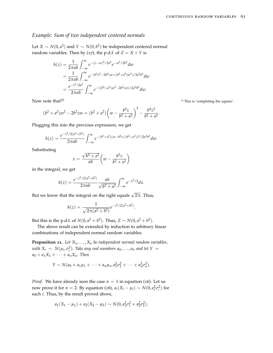## *Example: Sum of two independent centered normals*

Let  $X \sim N(0, a^2)$  and  $Y \sim N(0, b^2)$  be independent centered normal random variables. Then by ([17](#page-60-0)), the p.d.f. of  $Z = X + Y$  is

$$
h(z) = \frac{1}{2\pi ab} \int_{-\infty}^{\infty} e^{-(z-w)^2/2a^2} e^{-w^2/2b^2} dw
$$
  
= 
$$
\frac{1}{2\pi ab} \int_{-\infty}^{\infty} e^{-(b^2z^2 - 2b^2zw + (b^2 + a^2)w^2)/2a^2b^2} dw
$$
  
= 
$$
\frac{e^{-z^2/2a^2}}{2\pi ab} \int_{-\infty}^{\infty} e^{-((b^2 + a^2)w^2 - 2b^2zw)/2a^2b^2} dw.
$$

Now note that<sup>57</sup> Now note that the square'.

$$
(b2 + a2)w2 - 2b2zw = (b2 + a2) \left(w - \frac{b2z}{b2 + a2}\right)2 - \frac{b4z2}{b2 + a2}.
$$

Plugging this into the previous expression, we get

$$
h(z) = \frac{e^{-z^2/2(a^2+b^2)}}{2\pi ab} \int_{-\infty}^{\infty} e^{-(b^2+a^2)(w-b^2z/(b^2+a^2))^2/2a^2b^2} dw.
$$

Substituting

$$
x = \frac{\sqrt{b^2 + a^2}}{ab} \left( w - \frac{b^2 z}{b^2 + a^2} \right)
$$

in the integral, we get

$$
h(z) = \frac{e^{-z^2/2(a^2+b^2)}}{2\pi ab} \frac{ab}{\sqrt{b^2+a^2}} \int_{-\infty}^{\infty} e^{-x^2/2} dx.
$$

But we know that the integral on the right equals  $\sqrt{2\pi}$ . Thus,

$$
h(z) = \frac{1}{\sqrt{2\pi(a^2 + b^2)}} e^{-z^2/2(a^2 + b^2)}.
$$

But this is the p.d.f. of  $N(0, a^2 + b^2)$ . Thus,  $Z \sim N(0, a^2 + b^2)$ .

The above result can be extended by induction to arbitrary linear combinations of independent normal random variables.

**Proposition 11.** Let  $X_1, \ldots, X_n$  be independent normal random variables,  $with\ X_i\ \sim\ N(\mu_i,\sigma_i^2)$ . Take any real numbers  $a_0,\ldots,a_n$  and let  $Y=$  $a_0 + a_1 X_1 + \cdots + a_n X_n$ . Then

$$
Y \sim N(a_0 + a_1 \mu_1 + \cdots + a_n \mu_n, a_1^2 \sigma_1^2 + \cdots + a_n^2 \sigma_n^2).
$$

*Proof.* We have already seen the case  $n = 1$  in equation ([16](#page-55-0)). Let us now prove it for *n* = 2. By equation ([16](#page-55-0)),  $a_i(X_i - \mu_i) \sim N(0, a_i^2 \sigma_i^2)$  for each *i*. Thus, by the result proved above,

$$
a_1(X_1 - \mu_1) + a_2(X_2 - \mu_2) \sim N(0, a_1^2 \sigma_1^2 + a_2^2 \sigma_2^2).
$$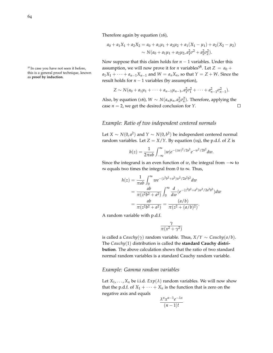Therefore again by equation ([16](#page-55-0)),

$$
a_0 + a_1 X_1 + a_2 X_2 = a_0 + a_1 \mu_1 + a_2 \mu_2 + a_1 (X_1 - \mu_1) + a_2 (X_2 - \mu_2)
$$
  
 
$$
\sim N(a_0 + a_1 \mu_1 + a_2 \mu_2, a_1^2 \sigma^2 + a_2^2 \sigma_2^2).
$$

Now suppose that this claim holds for *n* − 1 variables. Under this <sup>58</sup> In case you have not seen it before, assumption, we will now prove it for *n* variables<sup>58</sup>. Let  $Z = a_0 +$  $a_1X_1 + \cdots + a_{n-1}X_{n-1}$  and  $W = a_nX_n$ , so that  $Y = Z + W$ . Since the result holds for  $n - 1$  variables (by assumption),

$$
Z \sim N(a_0 + a_1\mu_1 + \cdots + a_{n-1}\mu_{n-1}, a_1^2\sigma_1^2 + \cdots + a_{n-1}^2\sigma_{n-1}^2).
$$

Also, by equation ([16](#page-55-0)),  $W \sim N(a_n \mu_n, a_n^2 \sigma_n^2)$ . Therefore, applying the case  $n = 2$ , we get the desired conclusion for *Y*.  $\Box$ 

# *Example: Ratio of two independent centered normals*

Let  $X \sim N(0, a^2)$  and  $Y \sim N(0, b^2)$  be independent centered normal random variables. Let  $Z = X/Y$ . By equation ([19](#page-61-1)), the p.d.f. of *Z* is

$$
h(z) = \frac{1}{2\pi ab} \int_{-\infty}^{\infty} |w| e^{-(zw)^2/2a^2} e^{-w^2/2b^2} dw.
$$

Since the integrand is an even function of *w*, the integral from  $-\infty$  to  $\infty$  equals two times the integral from 0 to  $\infty$ . Thus,

$$
h(z) = \frac{1}{\pi ab} \int_0^\infty w e^{-(z^2 b^2 + a^2) w^2 / 2a^2 b^2} dw
$$
  
= 
$$
\frac{ab}{\pi (z^2 b^2 + a^2)} \int_0^\infty \frac{d}{dw} (e^{-(z^2 b^2 + a^2) w^2 / 2a^2 b^2}) dw
$$
  
= 
$$
\frac{ab}{\pi (z^2 b^2 + a^2)} = \frac{(a/b)}{\pi (z^2 + (a/b)^2)}.
$$

A random variable with p.d.f.

$$
\frac{\gamma}{\pi(x^2+\gamma^2)}
$$

is called a *Cauchy*( $\gamma$ ) random variable. Thus,  $X/Y \sim$  *Cauchy*( $a/b$ ). The *Cauchy*(1) distribution is called the **standard Cauchy distribution**. The above calculation shows that the ratio of two standard normal random variables is a standard Cauchy random variable.

#### *Example: Gamma random variables*

Let  $X_1, \ldots, X_n$  be i.i.d.  $Exp(\lambda)$  random variables. We will now show that the p.d.f. of  $X_1 + \cdots + X_n$  is the function that is zero on the negative axis and equals

$$
\frac{\lambda^n x^{n-1} e^{-\lambda x}}{(n-1)!}
$$

this is a general proof technique, known as **proof by induction**.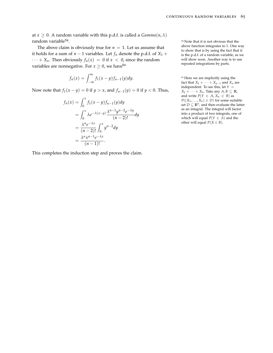at  $x \geq 0$ . A random variable with this p.d.f. is called a *Gamma*(*n*,  $\lambda$ ) random variable<sup>59</sup>.

The above claim is obviously true for  $n = 1$ . Let us assume that it holds for a sum of  $n - 1$  variables. Let  $f_n$  denote the p.d.f. of  $X_1$  +  $\cdots$  + *X<sub>n</sub>*. Then obviously  $f_n(x) = 0$  if  $x < 0$ , since the random variables are nonnegative. For  $x \geq 0$ , we have<sup>60</sup>

$$
f_n(x) = \int_{-\infty}^{\infty} f_1(x - y) f_{n-1}(y) dy.
$$

Now note that  $f_1(x - y) = 0$  if  $y > x$ , and  $f_{n-1}(y) = 0$  if  $y < 0$ . Thus,

$$
f_n(x) = \int_0^x f_1(x - y) f_{n-1}(y) dy
$$
  
= 
$$
\int_0^x \lambda e^{-\lambda(x-y)} \frac{\lambda^{n-1} y^{n-2} e^{-\lambda y}}{(n-2)!} dy
$$
  
= 
$$
\frac{\lambda^n e^{-\lambda x}}{(n-2)!} \int_0^x y^{n-2} dy
$$
  
= 
$$
\frac{\lambda^n x^{n-1} e^{-\lambda x}}{(n-1)!}.
$$

This completes the induction step and proves the claim.

<sup>59</sup> Note that it is not obvious that the above function integrates to 1. One way to show that is by using the fact that it is the p.d.f. of a random variable, as we will show soon. Another way is to use repeated integrations by parts.

<sup>60</sup> Here we are implicitly using the fact that  $X_1 + \cdots + X_{n-1}$  and  $X_n$  are independent. To see this, let *Y* =  $X_1 + \cdots + X_n$ . Take any  $A, B \subseteq \mathbb{R}$ , and write  $P(Y \in A, X_n \in B)$  as  $P((X_1, \ldots, X_n) \in D)$  for some suitable set  $D \subseteq \mathbb{R}^n$ , and then evaluate the latter as an integral. The integral will factor into a product of two integrals, one of which will equal  $P(Y \in A)$  and the other will equal  $P(X \in B)$ .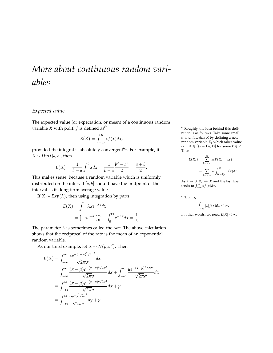# *More about continuous random variables*

# *Expected value*

The expected value (or expectation, or mean) of a continuous random variable *X* with p.d.f. *f* is defined as<sup>61</sup>  $\frac{61}{100}$  Roughly, the idea behind this defi-

$$
E(X) = \int_{-\infty}^{\infty} x f(x) dx,
$$

provided the integral is absolutely convergent $62$ . For example, if  $X \sim Unif[a, b]$ , then

$$
E(X) = \frac{1}{b-a} \int_a^b x dx = \frac{1}{b-a} \frac{b^2 - a^2}{2} = \frac{a+b}{2}.
$$

This makes sense, because a random variable which is uniformly distributed on the interval [*a*, *b*] should have the midpoint of the interval as its long-term average value.

If *X* ∼ *Exp*(*λ*), then using integration by parts,

$$
E(X) = \int_0^\infty \lambda x e^{-\lambda x} dx
$$
  
=  $[-xe^{-\lambda x}]_0^\infty + \int_0^\infty e^{-\lambda x} dx = \frac{1}{\lambda}.$ 

The parameter  $\lambda$  is sometimes called the *rate*. The above calculation shows that the reciprocal of the rate is the mean of an exponential random variable.

As our third example, let  $X \sim N(\mu, \sigma^2)$ . Then

$$
E(X) = \int_{-\infty}^{\infty} \frac{xe^{-(x-\mu)^2/2\sigma^2}}{\sqrt{2\pi}\sigma} dx
$$
  
= 
$$
\int_{-\infty}^{\infty} \frac{(x-\mu)e^{-(x-\mu)^2/2\sigma^2}}{\sqrt{2\pi}\sigma} dx + \int_{-\infty}^{\infty} \frac{\mu e^{-(x-\mu)^2/2\sigma^2}}{\sqrt{2\pi}\sigma} dx
$$
  
= 
$$
\int_{-\infty}^{\infty} \frac{(x-\mu)e^{-(x-\mu)^2/2\sigma^2}}{\sqrt{2\pi}\sigma} dx + \mu
$$
  
= 
$$
\int_{-\infty}^{\infty} \frac{ye^{-y^2/2\sigma^2}}{\sqrt{2\pi}\sigma} dy + \mu.
$$

nition is as follows. Take some small *ε*, and *discretize X* by defining a new random variable *X<sup>ε</sup>* which takes value  $k \in$  if *X* ∈ (( $k - 1$ ) $\varepsilon$ ,  $k \in$ ] for some  $k \in \mathbb{Z}$ . Then

$$
E(X_{\varepsilon}) = \sum_{k=-\infty}^{\infty} k\varepsilon P(X_{\varepsilon} = k\varepsilon)
$$
  
= 
$$
\sum_{k=-\infty}^{\infty} k\varepsilon \int_{(k-1)\varepsilon}^{k\varepsilon} f(x) dx.
$$

As  $\varepsilon \to 0$ ,  $X_{\varepsilon} \to X$  and the last line tends to  $\int_{-\infty}^{\infty} x f(x) dx$ .

 $\rm ^{62}$  That is,

$$
\int_{-\infty}^{\infty} |x| f(x) dx < \infty.
$$

In other words, we need  $E|X| < \infty$ .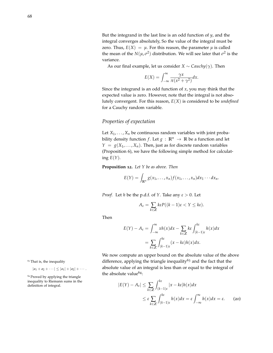But the integrand in the last line is an odd function of *y*, and the integral converges absolutely, So the value of the integral must be zero. Thus,  $E(X) = \mu$ . For this reason, the parameter  $\mu$  is called the mean of the  $N(\mu, \sigma^2)$  distribution. We will see later that  $\sigma^2$  is the variance.

As our final example, let us consider  $X \sim \text{Cauchy}(\gamma)$ . Then

$$
E(X) = \int_{-\infty}^{\infty} \frac{\gamma x}{\pi (x^2 + \gamma^2)} dx.
$$

Since the integrand is an odd function of *x*, you may think that the expected value is zero. However, note that the integral is not absolutely convergent. For this reason, *E*(*X*) is considered to be *undefined* for a Cauchy random variable.

# *Properties of expectation*

Let  $X_1, \ldots, X_n$  be continuous random variables with joint probability density function *f*. Let  $g : \mathbb{R}^n \to \mathbb{R}$  be a function and let  $Y = g(X_1, \ldots, X_n)$ . Then, just as for discrete random variables (Proposition [6](#page-30-0)), we have the following simple method for calculating  $E(Y)$ .

**Proposition 12.** *Let Y be as above. Then*

 $E(Y) = \int_{\mathbb{R}^n} g(x_1, \ldots, x_n) f(x_1, \ldots, x_n) dx_1 \cdots dx_n.$ 

*Proof.* Let *h* be the p.d.f. of *Y*. Take any *ε* > 0. Let

$$
A_{\varepsilon} = \sum_{k \in \mathbb{Z}} k\varepsilon P((k-1)\varepsilon < Y \leq k\varepsilon).
$$

Then

$$
E(Y) - A_{\varepsilon} = \int_{-\infty}^{\infty} xh(x)dx - \sum_{k \in \mathbb{Z}} k\varepsilon \int_{(k-1)\varepsilon}^{k\varepsilon} h(x)dx
$$

$$
= \sum_{k \in \mathbb{Z}} \int_{(k-1)\varepsilon}^{k\varepsilon} (x - k\varepsilon)h(x)dx.
$$

We now compute an upper bound on the absolute value of the above <sup>63</sup> That is, the inequality difference, applying the triangle inequality<sup>63</sup> and the fact that the  $|a_1 + a_2 + \cdots| \le |a_1| + |a_2| + \cdots$  absolute value of an integral is less than or equal to the integral of the absolute value $64$ :

<span id="page-67-0"></span>
$$
|E(Y) - A_{\varepsilon}| \le \sum_{k \in \mathbb{Z}} \int_{(k-1)\varepsilon}^{k\varepsilon} |x - k\varepsilon| h(x) dx
$$
  
 
$$
\le \varepsilon \sum_{k \in \mathbb{Z}} \int_{(k-1)\varepsilon}^{k\varepsilon} h(x) dx = \varepsilon \int_{-\infty}^{\infty} h(x) dx = \varepsilon. \qquad (20)
$$

<sup>64</sup> Proved by applying the triangle inequality to Riemann sums in the  $definition of integral.$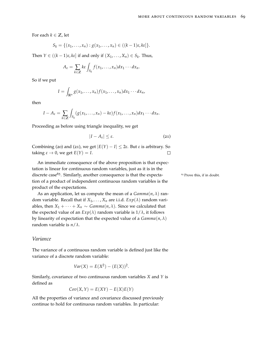For each  $k \in \mathbb{Z}$ , let

$$
S_k = \{(x_1,\ldots,x_n): g(x_1,\ldots,x_n) \in ((k-1)\varepsilon,k\varepsilon]\}.
$$

Then  $Y \in ((k-1)\varepsilon, k\varepsilon]$  if and only if  $(X_1, \ldots, X_n) \in S_k$ . Thus,

$$
A_{\varepsilon} = \sum_{k \in \mathbb{Z}} k \varepsilon \int_{S_k} f(x_1, \ldots, x_n) dx_1 \cdots dx_n.
$$

So if we put

$$
I=\int_{\mathbb{R}^n}g(x_1,\ldots,x_n)f(x_1,\ldots,x_n)dx_1\cdots dx_n,
$$

then

$$
I-A_{\varepsilon}=\sum_{k\in\mathbb{Z}}\int_{S_k}(g(x_1,\ldots,x_n)-k\varepsilon)f(x_1,\ldots,x_n)dx_1\cdots dx_n.
$$

Proceeding as before using triangle inequality, we get

$$
|I - A_{\varepsilon}| \le \varepsilon. \tag{21}
$$

Combining ([20](#page-67-0)) and ([21](#page-68-0)), we get  $|E(Y) - I| \le 2\varepsilon$ . But  $\varepsilon$  is arbitrary. So taking  $\varepsilon \to 0$ , we get  $E(Y) = I$ .  $\Box$ 

An immediate consequence of the above proposition is that expectation is linear for continuous random variables, just as it is in the discrete case<sup>65</sup>. Similarly, another consequence is that the expecta-  $65$  Prove this, if in doubt. tion of a product of independent continuous random variables is the product of the expectations.

As an application, let us compute the mean of a  $Gamma(n, \lambda)$  random variable. Recall that if  $X_1, \ldots, X_n$  are i.i.d.  $Exp(\lambda)$  random variables, then  $X_1 + \cdots + X_n \sim \text{Gamma}(n, \lambda)$ . Since we calculated that the expected value of an  $Exp(\lambda)$  random variable is  $1/\lambda$ , it follows by linearity of expectation that the expected value of a  $Gamma(n, \lambda)$ random variable is *n*/*λ*.

#### *Variance*

The variance of a continuous random variable is defined just like the variance of a discrete random variable:

$$
Var(X) = E(X^2) - (E(X))^2.
$$

Similarly, covariance of two continuous random variables *X* and *Y* is defined as

$$
Cov(X, Y) = E(XY) - E(X)E(Y)
$$

All the properties of variance and covariance discussed previously continue to hold for continuous random variables. In particular:

<span id="page-68-0"></span>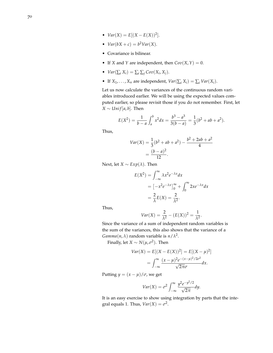- $Var(X) = E[(X E(X))^2].$
- $Var(bX + c) = b^2Var(X)$ .
- Covariance is bilinear.
- If *X* and *Y* are independent, then  $Cov(X, Y) = 0$ .
- $Var(\sum_i X_i) = \sum_i \sum_j Cov(X_i, X_j).$
- If  $X_1, \ldots, X_n$  are independent,  $Var(\sum_i X_i) = \sum_i Var(X_i)$ .

Let us now calculate the variances of the continuous random variables introduced earlier. We will be using the expected values computed earlier, so please revisit those if you do not remember. First, let *X* ∼ *Unif* [ $a$ ,  $b$ ]. Then

$$
E(X^{2}) = \frac{1}{b-a} \int_{a}^{b} x^{2} dx = \frac{b^{3} - a^{3}}{3(b-a)} = \frac{1}{3} (b^{2} + ab + a^{2}).
$$

Thus,

$$
Var(X) = \frac{1}{3}(b^2 + ab + a^2) - \frac{b^2 + 2ab + a^2}{4}
$$

$$
= \frac{(b-a)^2}{12}.
$$

Next, let *X* ∼  $Exp(\lambda)$ . Then

$$
E(X^{2}) = \int_{-\infty}^{\infty} \lambda x^{2} e^{-\lambda x} dx
$$
  
=  $[-x^{2} e^{-\lambda x}]_{0}^{\infty} + \int_{0}^{\infty} 2x e^{-\lambda x} dx$   
=  $\frac{2}{\lambda} E(X) = \frac{2}{\lambda^{2}}.$ 

Thus,

$$
Var(X) = \frac{2}{\lambda^2} - (E(X))^2 = \frac{1}{\lambda^2}.
$$

Since the variance of a sum of independent random variables is the sum of the variances, this also shows that the variance of a *Gamma*(*n*,  $\lambda$ ) random variable is  $n/\lambda^2$ .

Finally, let  $X \sim N(\mu, \sigma^2)$ . Then

$$
Var(X) = E[(X - E(X))^2] = E[(X - \mu)^2]
$$
  
= 
$$
\int_{-\infty}^{\infty} \frac{(x - \mu)^2 e^{-(x - \mu)^2 / 2\sigma^2}}{\sqrt{2\pi}\sigma} dx.
$$

Putting  $y = (x - \mu)/\sigma$ , we get

$$
Var(X) = \sigma^2 \int_{-\infty}^{\infty} \frac{y^2 e^{-y^2/2}}{\sqrt{2\pi}} dy.
$$

It is an easy exercise to show using integration by parts that the integral equals 1. Thus,  $Var(X) = \sigma^2$ .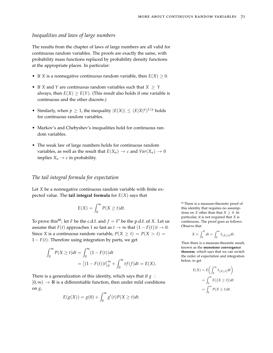#### *Inequalities and laws of large numbers*

The results from the chapter of laws of large numbers are all valid for continuous random variables. The proofs are exactly the same, with probability mass functions replaced by probability density functions at the appropriate places. In particular:

- If *X* is a nonnegative continuous random variable, then  $E(X) \geq 0$ .
- If *X* and *Y* are continuous random variables such that *X* ≥ *Y* always, then  $E(X) \ge E(Y)$ . (This result also holds if one variable is continuous and the other discrete.)
- Similarly, when  $p \geq 1$ , the inequality  $|E(X)| \leq (E|X|^p)^{1/p}$  holds for continuous random variables.
- Markov's and Chebyshev's inequalities hold for continuous random variables.
- The weak law of large numbers holds for continuous random variables, as well as the result that  $E(X_n) \to c$  and  $Var(X_n) \to 0$ implies  $X_n \to c$  in probability.

## *The tail integral formula for expectation*

Let *X* be a nonnegative continuous random variable with finite expected value. The **tail integral formula** for  $E(X)$  says that

$$
E(X) = \int_0^\infty P(X \ge t) dt.
$$

To prove this<sup>66</sup>, let *F* be the c.d.f. and  $f = F'$  be the p.d.f. of *X*. Let us assume that *F*(*t*) approaches 1 so fast as  $t \to \infty$  that  $(1 - F(t))t \to 0$ . Since *X* is a continuous random variable,  $P(X \ge t) = P(X > t)$  $1 - F(t)$ . Therefore using integration by parts, we get

$$
\int_0^\infty P(X \ge t)dt = \int_0^\infty (1 - F(t))dt
$$
  
= 
$$
[(1 - F(t))t]_0^\infty + \int_0^\infty tf(f)dt = E(X).
$$

There is a generalization of this identity, which says that if *g* :  $[0, \infty) \rightarrow \mathbb{R}$  is a differentiable function, then under mild conditions on *g*,

$$
E(g(X)) = g(0) + \int_0^{\infty} g'(t)P(X \ge t)dt.
$$

<sup>66</sup> There is a measure-theoretic proof of this identity that requires no assumptions on *X* other than that  $X \geq 0$ . In particular, it is not required that *X* is continuous. The proof goes as follows. Observe that

$$
X = \int_0^X dt = \int_0^\infty 1_{\{X \ge t\}} dt.
$$

Then there is a measure-theoretic result, known as the **monotone convergence theorem**, which says that we can switch the order of expectation and integration below, to get

$$
E(X) = E\left(\int_0^\infty 1_{\{X \ge t\}} dt\right)
$$
  
= 
$$
\int_0^\infty E\left(\{X \ge t\}\right) dt
$$
  
= 
$$
\int_0^\infty P(X \ge t) dt.
$$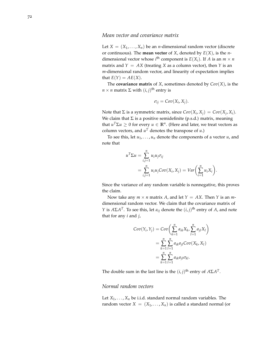# *Mean vector and covariance matrix*

Let  $X = (X_1, \ldots, X_n)$  be an *n*-dimensional random vector (discrete or continuous). The **mean vector** of *X*, denoted by *E*(*X*), is the *n*dimensional vector whose  $i^{\text{th}}$  component is  $E(X_i)$ . If *A* is an  $m \times n$ matrix and  $Y = AX$  (treating *X* as a column vector), then *Y* is an *m*-dimensional random vector, and linearity of expectation implies that  $E(Y) = AE(X)$ .

The **covariance matrix** of *X*, sometimes denoted by  $Cov(X)$ , is the  $n \times n$  matrix  $\Sigma$  with  $(i, j)$ <sup>th</sup> entry is

$$
\sigma_{ij} = Cov(X_i, X_j).
$$

Note that  $\Sigma$  is a symmetric matrix, since  $Cov(X_i, X_j) = Cov(X_j, X_i)$ . We claim that  $\Sigma$  is a positive semidefinite (p.s.d.) matrix, meaning that  $u^T \Sigma u \geq 0$  for every  $u \in \mathbb{R}^n$ . (Here and later, we treat vectors as column vectors, and  $u<sup>T</sup>$  denotes the transpose of  $u$ .)

To see this, let  $u_1, \ldots, u_n$  denote the components of a vector  $u$ , and note that

$$
u^T \Sigma u = \sum_{i,j=1}^n u_i u_j \sigma_{ij}
$$
  
= 
$$
\sum_{i,j=1}^n u_i u_j \text{Cov}(X_i, X_j) = \text{Var}\left(\sum_{i=1}^n u_i X_i\right).
$$

Since the variance of any random variable is nonnegative, this proves the claim.

Now take any  $m \times n$  matrix A, and let  $Y = AX$ . Then Y is an mdimensional random vector. We claim that the covariance matrix of *Y* is  $A\Sigma A^T$ . To see this, let *a*<sub>*ij*</sub> denote the  $(i, j)$ <sup>th</sup> entry of *A*, and note that for any *i* and *j*,

$$
Cov(Y_i, Y_j) = Cov\left(\sum_{k=1}^n a_{ik} X_k, \sum_{l=1}^n a_{jl} X_l\right)
$$
  
= 
$$
\sum_{k=1}^n \sum_{l=1}^n a_{ik} a_{jl} Cov(X_k, X_l)
$$
  
= 
$$
\sum_{k=1}^n \sum_{l=1}^n a_{ik} a_{jl} \sigma_{kl}.
$$

The double sum in the last line is the  $(i, j)$ <sup>th</sup> entry of  $A\Sigma A^{T}$ .

# *Normal random vectors*

Let  $X_1, \ldots, X_n$  be i.i.d. standard normal random variables. The random vector  $X = (X_1, \ldots, X_n)$  is called a standard normal (or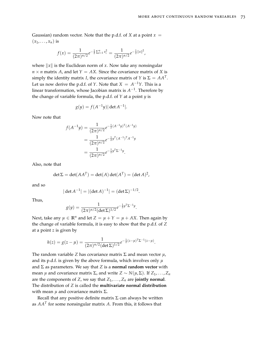Gaussian) random vector. Note that the p.d.f. of *X* at a point  $x =$  $(x_1, \ldots, x_n)$  is

$$
f(x) = \frac{1}{(2\pi)^{n/2}} e^{-\frac{1}{2}\sum_{i=1}^{n}x_i^2} = \frac{1}{(2\pi)^{n/2}} e^{-\frac{1}{2}||x||^2},
$$

where  $\|x\|$  is the Euclidean norm of *x*. Now take any nonsingular  $n \times n$  matrix *A*, and let  $Y = AX$ . Since the covariance matrix of *X* is simply the identity matrix *I*, the covariance matrix of *Y* is  $\Sigma = AA^T$ . Let us now derive the p.d.f. of *Y*. Note that  $X = A^{-1}Y$ . This is a linear transformation, whose Jacobian matrix is  $A^{-1}$ . Therefore by the change of variable formula, the p.d.f. of *Y* at a point *y* is

$$
g(y) = f(A^{-1}y) |\det A^{-1}|.
$$

Now note that

$$
f(A^{-1}y) = \frac{1}{(2\pi)^{n/2}} e^{-\frac{1}{2}(A^{-1}y)^T(A^{-1}y)}
$$
  
= 
$$
\frac{1}{(2\pi)^{n/2}} e^{-\frac{1}{2}y^T(A^{-1})^T A^{-1}y}
$$
  
= 
$$
\frac{1}{(2\pi)^{n/2}} e^{-\frac{1}{2}y^T \Sigma^{-1}y}.
$$

Also, note that

$$
\det \Sigma = \det(AA^T) = \det(A)\det(A^T) = (\det A)^2,
$$

and so

$$
|\det A^{-1}| = |(\det A)^{-1}| = (\det \Sigma)^{-1/2}.
$$

Thus,

$$
g(y) = \frac{1}{(2\pi)^{n/2} (\det \Sigma)^{1/2}} e^{-\frac{1}{2} y^T \Sigma^{-1} y}.
$$

Next, take any  $\mu \in \mathbb{R}^n$  and let  $Z = \mu + Y = \mu + AX$ . Then again by the change of variable formula, it is easy to show that the p.d.f. of *Z* at a point *z* is given by

$$
h(z) = g(z - \mu) = \frac{1}{(2\pi)^{n/2} (\det \Sigma)^{1/2}} e^{-\frac{1}{2} (z - \mu)^T \Sigma^{-1} (z - \mu)}.
$$

The random variable *Z* has covariance matrix  $\Sigma$  and mean vector  $\mu$ , and its p.d.f. is given by the above formula, which involves only *µ* and Σ as parameters. We say that *Z* is a **normal random vector** with mean *µ* and covariance matrix  $\Sigma$ , and write  $Z \sim N(\mu, \Sigma)$ . If  $Z_1, \ldots, Z_n$ are the components of *Z*, we say that  $Z_1, \ldots, Z_n$  are **jointly normal**. The distribution of *Z* is called the **multivariate normal distribution** with mean  $\mu$  and covariance matrix Σ.

Recall that any positive definite matrix  $\Sigma$  can always be written as *AA<sup>T</sup>* for some nonsingular matrix *A*. From this, it follows that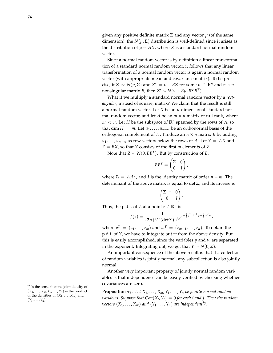given any positive definite matrix  $\Sigma$  and any vector  $\mu$  (of the same dimension), the  $N(\mu, \Sigma)$  distribution is well-defined since it arises as the distribution of  $\mu + AX$ , where *X* is a standard normal random vector.

Since a normal random vector is by definition a linear transformation of a standard normal random vector, it follows that any linear transformation of a normal random vector is again a normal random vector (with appropriate mean and covariance matrix). To be precise, if  $Z \sim N(\mu, \Sigma)$  and  $Z' = \nu + BZ$  for some  $\nu \in \mathbb{R}^n$  and  $n \times n$ nonsingular matrix *B*, then  $Z' \sim N(\nu + B\mu, B\Sigma B^T)$ .

What if we multiply a standard normal random vector by a *rectangular*, instead of square, matrix? We claim that the result is still a normal random vector. Let *X* be an *n*-dimensional standard normal random vector, and let *A* be an  $m \times n$  matrix of full rank, where  $m < n$ . Let *H* be the subspace of  $\mathbb{R}^n$  spanned by the rows of *A*, so that dim  $H = m$ . Let  $u_1, \ldots, u_{n-m}$  be an orthonormal basis of the orthogonal complement of *H*. Produce an  $n \times n$  matrix *B* by adding  $u_1, \ldots, u_{n-m}$  as row vectors below the rows of *A*. Let  $Y = AX$  and *Z* = *BX*, so that *Y* consists of the first *m* elements of *Z*.

Note that  $Z \sim N(0,BB^T)$ . But by construction of *B*,

$$
BB^T = \begin{pmatrix} \Sigma & 0 \\ 0 & I \end{pmatrix},
$$

where  $\Sigma = AA^T$ , and *I* is the identity matrix of order  $n - m$ . The determinant of the above matrix is equal to det  $\Sigma$ , and its inverse is

$$
\begin{pmatrix} \Sigma^{-1} & 0 \\ 0 & I \end{pmatrix}
$$

.

Thus, the p.d.f. of *Z* at a point  $z \in \mathbb{R}^n$  is

$$
f(z) = \frac{1}{(2\pi)^{n/2} (\det \Sigma)^{1/2}} e^{-\frac{1}{2} y^T \Sigma^{-1} y - \frac{1}{2} w^T w},
$$

where  $y^T = (z_1, \ldots, z_m)$  and  $w^T = (z_{m+1}, \ldots, z_n)$ . To obtain the p.d.f. of *Y*, we have to integrate out *w* from the above density. But this is easily accomplished, since the variables *y* and *w* are separated in the exponent. Integrating out, we get that *Y* ∼ *N*(0,  $\Sigma$ ).

An important consequence of the above result is that if a collection of random variables is jointly normal, any subcollection is also jointly normal.

Another very important property of jointly normal random variables is that independence can be easily verified by checking whether covariances are zero.

**Proposition 13.** Let  $X_1, \ldots, X_m, Y_1, \ldots, Y_n$  be jointly normal random *variables. Suppose that Cov*(*X<sup>i</sup>* ,*Yj*) = 0 *for each i and j. Then the random vectors*  $(X_1, \ldots, X_m)$  *and*  $(Y_1, \ldots, Y_n)$  *are independent*<sup>67</sup>.

<sup>67</sup> In the sense that the joint density of  $(X_1, \ldots, X_m, Y_1, \ldots, Y_n)$  is the product of the densities of  $(X_1, \ldots, X_m)$  and  $(Y_1, \ldots, Y_n).$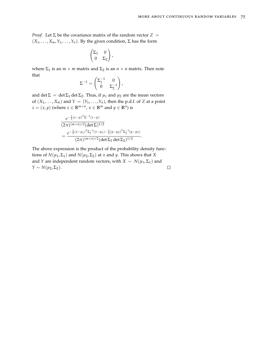*Proof.* Let  $\Sigma$  be the covariance matrix of the random vector  $Z =$  $(X_1, \ldots, X_m, Y_1, \ldots, Y_n)$ . By the given condition,  $\Sigma$  has the form

$$
\begin{pmatrix} \Sigma_1 & 0 \\ 0 & \Sigma_2 \end{pmatrix},
$$

where  $\Sigma_1$  is an *m* × *m* matrix and  $\Sigma_2$  is an *n* × *n* matrix. Then note that

$$
\Sigma^{-1} = \begin{pmatrix} \Sigma_1^{-1} & 0 \\ 0 & \Sigma_2^{-1} \end{pmatrix},
$$

and det  $\Sigma = \det \Sigma_1 \det \Sigma_2$ . Thus, if  $\mu_1$  and  $\mu_2$  are the mean vectors of  $(X_1, \ldots, X_m)$  and  $Y = (Y_1, \ldots, Y_n)$ , then the p.d.f. of *Z* at a point  $z = (x, y)$  (where  $z \in \mathbb{R}^{m+n}$ ,  $x \in \mathbb{R}^m$  and  $y \in \mathbb{R}^n$ ) is

$$
\frac{e^{-\frac{1}{2}(z-\mu)^T\Sigma^{-1}(z-\mu)}}{(2\pi)^{(m+n)/2}(\det\Sigma)^{1/2}} \\
=\frac{e^{-\frac{1}{2}(x-\mu_1)^T\Sigma_1^{-1}(x-\mu_1)-\frac{1}{2}(y-\mu_2)^T\Sigma_2^{-1}(y-\mu_2)}}{(2\pi)^{(m+n)/2}(\det\Sigma_1 \det\Sigma_2)^{1/2}}.
$$

The above expression is the product of the probability density functions of  $N(\mu_1, \Sigma_1)$  and  $N(\mu_2, \Sigma_2)$  at *x* and *y*. This shows that *X* and *Y* are independent random vectors, with *X* ~  $N(\mu_1, \Sigma_1)$  and  $Y \sim N(\mu_2, \Sigma_2)$ .  $\Box$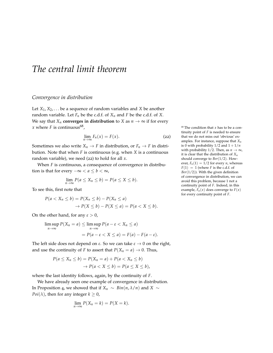## *The central limit theorem*

#### *Convergence in distribution*

Let  $X_1, X_2, \ldots$  be a sequence of random variables and *X* be another random variable. Let  $F_n$  be the c.d.f. of  $X_n$  and  $F$  be the c.d.f. of  $X$ . We say that  $X_n$  **converges in distribution** to *X* as  $n \to \infty$  if for every *x* where *F* is continuous<sup>68</sup>,

<span id="page-76-0"></span>
$$
\lim_{n \to \infty} F_n(x) = F(x). \tag{22}
$$

Sometimes we also write  $X_n \to F$  in distribution, or  $F_n \to F$  in distribution. Note that when *F* is continuous (e.g. when *X* is a continuous random variable), we need ([22](#page-76-0)) to hold for all *x*.

When *F* is continuous, a consequence of convergence in distribution is that for every  $-\infty < a \leq b < \infty$ ,

$$
\lim_{n\to\infty} P(a\leq X_n\leq b)=P(a\leq X\leq b).
$$

To see this, first note that

$$
P(a < X_n \le b) = P(X_n \le b) - P(X_n \le a)
$$
\n
$$
\rightarrow P(X \le b) - P(X \le a) = P(a < X \le b).
$$

On the other hand, for any  $\varepsilon > 0$ ,

$$
\limsup_{n \to \infty} P(X_n = a) \le \limsup_{n \to \infty} P(a - \varepsilon < X_n \le a)
$$
\n
$$
= P(a - \varepsilon < X \le a) = F(a) - F(a - \varepsilon).
$$

The left side does not depend on  $\varepsilon$ . So we can take  $\varepsilon \to 0$  on the right, and use the continuity of *F* to assert that  $P(X_n = a) \rightarrow 0$ . Thus,

$$
P(a \le X_n \le b) = P(X_n = a) + P(a < X_n \le b)
$$
\n
$$
\rightarrow P(a < X \le b) = P(a \le X \le b),
$$

where the last identity follows, again, by the continuity of *F*.

We have already seen one example of convergence in distribution. In Proposition [4](#page-23-0), we showed that if *X<sup>n</sup>* ∼ *Bin*(*n*, *λ*/*n*) and *X* ∼ *Poi*( $\lambda$ ), then for any integer  $k \geq 0$ ,

$$
\lim_{n\to\infty} P(X_n = k) = P(X = k).
$$

 $68$  The condition that *x* has to be a continuity point of *F* is needed to ensure that we do not miss out 'obvious' examples. For instance, suppose that *X<sup>n</sup>* is 0 with probability  $1/2$  and  $1 + 1/n$ with probability 1/2. Then, as  $n \to \infty$ , it is clear that the distribution of *X<sup>n</sup>* should converge to *Ber*(1/2). However,  $F_n(1) = 1/2$  for every *n*, whereas  $F(1) = 1$  (where *F* is the c.d.f. of *Ber*(1/2)). With the given definition of convergence in distribution, we can avoid this problem, because 1 not a continuity point of *F*. Indeed, in this example,  $F_n(x)$  does converge to  $F(x)$ for every continuity point of *F*.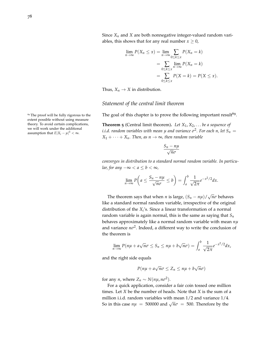Since *X<sup>n</sup>* and *X* are both nonnegative integer-valued random variables, this shows that for any real number  $x \geq 0$ ,

$$
\lim_{n \to \infty} P(X_n \le x) = \lim_{n \to \infty} \sum_{0 \le k \le x} P(X_n = k)
$$

$$
= \sum_{0 \le k \le x} \lim_{n \to \infty} P(X_n = k)
$$

$$
= \sum_{0 \le k \le x} P(X = k) = P(X \le x).
$$

Thus,  $X_n \to X$  in distribution.

#### *Statement of the central limit theorem*

The goal of this chapter is to prove the following important result<sup>69</sup>.

**Theorem 5** (Central limit theorem)**.** *Let X*1, *X*2, . . . *be a sequence of*  $i.i.d.$   $r$  *andom variables with mean*  $\mu$  *and variance*  $\sigma^2.$  *For each*  $n$ *, let*  $S_n = \sigma^2$  $X_1 + \cdots + X_n$ *. Then, as n*  $\rightarrow \infty$ *, then random variable* 

$$
\frac{S_n - n\mu}{\sqrt{n}\sigma}
$$

*converges in distribution to a standard normal random variable. In particular, for any*  $-\infty < a \le b < \infty$ *,* 

$$
\lim_{n\to\infty}P\left(a\leq\frac{S_n-n\mu}{\sqrt{n}\sigma}\leq b\right)=\int_a^b\frac{1}{\sqrt{2\pi}}e^{-x^2/2}dx.
$$

The theorem says that when *n* is large,  $(S_n - n\mu) / \sqrt{S_n}$ *nσ* behaves like a standard normal random variable, irrespective of the original distribution of the  $X_i$ 's. Since a linear transformation of a normal random variable is again normal, this is the same as saying that *S<sup>n</sup>* behaves approximately like a normal random variable with mean *nµ* and variance *nσ* 2 . Indeed, a different way to write the conclusion of the theorem is

$$
\lim_{n\to\infty} P(n\mu + a\sqrt{n}\sigma \leq S_n \leq n\mu + b\sqrt{n}\sigma) = \int_a^b \frac{1}{\sqrt{2\pi}} e^{-x^2/2} dx,
$$

and the right side equals

$$
P(n\mu + a\sqrt{n}\sigma \le Z_n \le n\mu + b\sqrt{n}\sigma)
$$

for any *n*, where  $Z_n \sim N(n\mu, n\sigma^2)$ .

For a quick application, consider a fair coin tossed one million times. Let *X* be the number of heads. Note that *X* is the sum of a million i.i.d. random variables with mean 1/2 and variance 1/4. So in this case  $n\mu = 500000$  and  $\sqrt{n\sigma} = 500$ . Therefore by the

<sup>69</sup> The proof will be fully rigorous to the extent possible without using measure theory. To avoid certain complications, we will work under the additional assumption that  $E|X_i - \mu|^3 < \infty$ .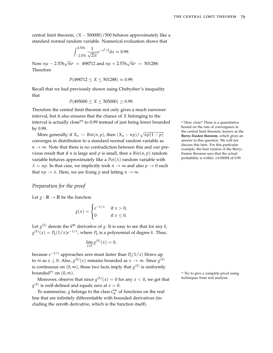central limit theorem,  $(X - 500000)/500$  behaves approximately like a standard normal random variable. Numerical evaluation shows that

$$
\int_{-2.576}^{2.576} \frac{1}{\sqrt{2\pi}} e^{-x^2/2} dx \approx 0.99.
$$

Now  $n\mu - 2.576\sqrt{n}\sigma = 498712$  and  $n\mu + 2.576\sqrt{n}\sigma = 501288$ . Therefore

$$
P(498712 \le X \le 501288) \approx 0.99.
$$

Recall that we had previously shown using Chebyshev's inequality that

$$
P(495000 \le X \le 505000) \ge 0.99.
$$

Therefore the central limit theorem not only gives a much narrower interval, but it also ensures that the chance of *X* belonging to the interval is actually close<sup>70</sup> to 0.99 instead of just being lower bounded  $\frac{70 \text{ How close}}{200}$  There is a quantitative by 0.99.

More generally, if  $X_n \sim Bin(n, p)$ , then  $(X_n - np) / \sqrt{np(1-p)}$ converges in distribution to a standard normal random variable as  $n \to \infty$ . Note that there is no contradiction between this and our previous result that if *n* is large and *p* is small, then a  $Bin(n, p)$  random variable behaves approximately like a  $Poi(\lambda)$  random variable with  $\lambda = np$ . In that case, we implicitly took  $n \to \infty$  and also  $p \to 0$  such that  $np \to \lambda$ . Here, we are fixing p and letting  $n \to \infty$ .

#### *Preparation for the proof*

Let  $g : \mathbb{R} \to \mathbb{R}$  be the function

$$
g(x) = \begin{cases} e^{-1/x} & \text{if } x > 0, \\ 0 & \text{if } x \le 0. \end{cases}
$$

Let  $g^{(k)}$  denote the  $k^{\text{th}}$  derivative of *g*. It is easy to see that for any *k*,  $g^{(k)}(x) = P_k(1/x)e^{-1/x}$ , where  $P_k$  is a polynomial of degree *k*. Thus,

$$
\lim_{x\downarrow 0} g^{(k)}(x) = 0,
$$

because *e* <sup>−</sup>1/*<sup>x</sup>* approaches zero must faster than *P<sup>k</sup>* (1/*x*) blows up to ∞ as  $x \downarrow 0$ . Also,  $g^{(k)}(x)$  remains bounded as  $x \to \infty$ . Since  $g^{(k)}$ is continuous on  $(0, \infty)$ , these two facts imply that  $g^{(k)}$  is uniformly bounded<sup>71</sup> on  $(0, \infty)$ .

Moreover, observe that since  $g^{(k)}(x) = 0$  for any  $x < 0$ , we get that techniques from real analysis.  $g^{(k)}$  is well-defined and equals zero at  $x=0$ .

To summarize, *g* belongs to the class  $C_b^{\infty}$  of functions on the real line that are infinitely differentiable with bounded derivatives (including the zeroth derivative, which is the function itself).

example, the best version of the Berry– Esséen theorem says that the actual probability is within  $\pm 0.00094$  of 0.99.

bound on the rate of convergence in the central limit theorem, known as the **Berry–Esséen theorem**, which gives an answer to this question. We will not discuss this here. For this particular

 $71$  Try to give a complete proof using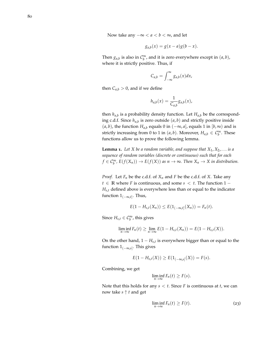Now take any  $-\infty < a < b < \infty$ , and let

$$
g_{a,b}(x) = g(x-a)g(b-x).
$$

Then  $g_{a,b}$  is also in  $C_b^{\infty}$ , and it is zero everywhere except in  $(a, b)$ , where it is strictly positive. Thus, if

$$
C_{a,b}=\int_{-\infty}^{\infty}g_{a,b}(x)dx,
$$

then  $C_{a,b} > 0$ , and if we define

$$
h_{a,b}(x) = \frac{1}{C_{a,b}} g_{a,b}(x),
$$

then *ha*,*<sup>b</sup>* is a probability density function. Let *Ha*,*<sup>b</sup>* be the corresponding c.d.f. Since *ha*,*<sup>b</sup>* is zero outside (*a*, *b*) and strictly positive inside  $(a, b)$ , the function  $H_{a,b}$  equals 0 in  $(-∞, a]$ , equals 1 in  $[b, ∞)$  and is strictly increasing from 0 to 1 in  $(a, b)$ . Moreover,  $H_{a,b} \in C_b^{\infty}$ . These functions allow us to prove the following lemma.

<span id="page-79-1"></span>**Lemma 1.** Let *X* be a random variable, and suppose that  $X_1, X_2, \ldots$  is a *sequence of random variables (discrete or continuous) such that for each*  $f \in C_b^{\infty}$ ,  $E(f(X_n)) \to E(f(X))$  as  $n \to \infty$ . Then  $X_n \to X$  in distribution.

*Proof.* Let  $F_n$  be the c.d.f. of  $X_n$  and  $F$  be the c.d.f. of  $X$ . Take any *t* ∈ **R** where *F* is continuous, and some *s*  $\lt$  *t*. The function 1 −  $H_{s,t}$  defined above is everywhere less than or equal to the indicator function 1(−∞,*t*] . Thus,

$$
E(1 - H_{s,t}(X_n)) \leq E(1_{(-\infty,t]}(X_n)) = F_n(t).
$$

Since  $H_{s,t} \in C_b^{\infty}$ , this gives

$$
\liminf_{n\to\infty}F_n(t)\geq \lim_{n\to\infty}E(1-H_{s,t}(X_n))=E(1-H_{s,t}(X)).
$$

On the other hand, 1 − *H<sub>s,t</sub>* is everywhere bigger than or equal to the function 1(−∞,*s*] . This gives

$$
E(1 - H_{s,t}(X)) \ge E(1_{(-\infty,s]}(X)) = F(s).
$$

Combining, we get

$$
\liminf_{n\to\infty}F_n(t)\geq F(s).
$$

Note that this holds for any *s* < *t*. Since *F* is continuous at *t*, we can now take *s* ↑ *t* and get

<span id="page-79-0"></span>
$$
\liminf_{n \to \infty} F_n(t) \ge F(t). \tag{23}
$$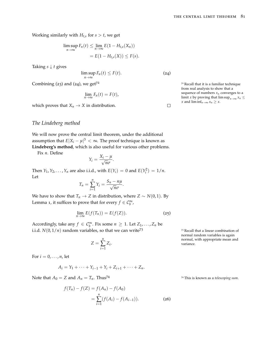Working similarly with  $H$ <sub>*t*,*s*</sub> for *s* > *t*, we get

$$
\limsup_{n \to \infty} F_n(t) \leq \lim_{n \to \infty} E(1 - H_{t,s}(X_n))
$$
  
=  $E(1 - H_{t,s}(X)) \leq F(s).$ 

Taking  $s \downarrow t$  gives

<span id="page-80-0"></span> $\limsup_{n\to\infty} F_n(t) \leq F(t).$  (24)

Combining  $(23)$  $(23)$  $(23)$  and  $(24)$  $(24)$  $(24)$ , we get<sup> $72$ </sup>  $\phantom{1}72$   $\phantom{1}72$  Recall that it is a familiar technique

$$
\lim_{n\to\infty}F_n(t)=F(t),
$$

which proves that  $X_n \to X$  in distribution.

### *The Lindeberg method*

We will now prove the central limit theorem, under the additional assumption that  $E|X_i - \mu|^3 < \infty$ . The proof technique is known as **Lindeberg's method**, which is also useful for various other problems.

Fix *n*. Define

$$
Y_i = \frac{X_i - \mu}{\sqrt{n}\sigma}.
$$

Then *Y*<sub>1</sub>, *Y*<sub>2</sub>, . . . , *Y*<sub>*n*</sub> are also i.i.d., with  $E(Y_i) = 0$  and  $E(Y_i^2) = 1/n$ . Let

$$
T_n = \sum_{i=1}^n Y_i = \frac{S_n - n\mu}{\sqrt{n}\sigma}.
$$

We have to show that  $T_n \to Z$  in distribution, where  $Z \sim N(0, 1)$ . By Lemma [1](#page-79-1), it suffices to prove that for every  $f \in C_b^{\infty}$ ,

$$
\lim_{n \to \infty} E(f(T_n)) = E(f(Z)). \tag{25}
$$

Accordingly, take any  $f \in C_b^{\infty}$ . Fix some  $n \geq 1$ . Let  $Z_1, \ldots, Z_n$  be i.i.d.  $N(0, 1/n)$  random variables, so that we can write<sup>73</sup> 73 Recall that a linear combination of

$$
Z = \sum_{i=1}^{n} Z_i.
$$

For  $i = 0, \ldots, n$ , let

$$
A_i = Y_1 + \cdots + Y_{i-1} + Y_i + Z_{i+1} + \cdots + Z_n.
$$

Note that  $A_0 = Z$  and  $A_n = T_n$ . Thus<sup>74</sup> 74 This is known as a *telescoping sum*.

$$
f(T_n) - f(Z) = f(A_n) - f(A_0)
$$
  
= 
$$
\sum_{i=1}^{n} (f(A_i) - f(A_{i-1})).
$$
 (26)

from real analysis to show that a sequence of numbers  $x_n$  converges to a limit *x* by proving that lim sup<sub>*n*→∞</sub>  $x_n$  ≤ *x* and  $\liminf_{n\to\infty} x_n \geq x$ .

 $\Box$ 

<span id="page-80-2"></span>normal random variables is again normal, with appropriate mean and

<span id="page-80-1"></span>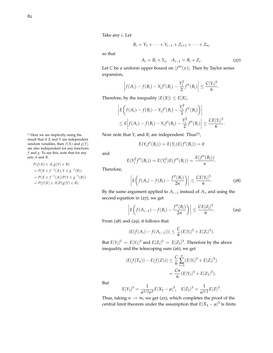Take any *i*. Let

$$
B_i = Y_1 + \cdots + Y_{i-1} + Z_{i+1} + \cdots + Z_n,
$$

<span id="page-81-0"></span>so that

$$
A_i = B_i + Y_i, \quad A_{i-1} = B_i + Z_i.
$$
 (27)

Let *C* be a uniform upper bound on  $|f'''(x)|$ . Then by Taylor series expansion,

$$
\left|f(A_i) - f(B_i) - Y_i f'(B_i) - \frac{Y_i^2}{2} f''(B_i) \right| \leq \frac{C|Y_i|^3}{6}.
$$

Therefore, by the inequality  $|E(X)| \le E|X|$ ,

$$
\left| E\left(f(A_i) - f(B_i) - Y_i f'(B_i) - \frac{Y_i^2}{2} f''(B_i) \right) \right|
$$
  
\n
$$
\leq E \left| f(A_i) - f(B_i) - Y_i f'(B_i) - \frac{Y_i^2}{2} f''(B_i) \right| \leq \frac{CE |Y_i|^3}{6}.
$$

Now note that  $Y_i$  and  $B_i$  are independent. Thus<sup>75</sup>,

<span id="page-81-1"></span>
$$
E(Y_i f'(B_i)) = E(Y_i)E(f'(B_i)) = 0
$$

and

$$
E(Y_i^2 f''(B_i)) = E(Y_i^2) E(f''(B_i)) = \frac{E(f''(B_i))}{n}.
$$

Therefore,

$$
\left|E\bigg(f(A_i)-f(B_i)-\frac{f''(B_i)}{2n}\bigg)\right|\leq \frac{CE|Y_i|^3}{6}.\tag{28}
$$

By the same argument applied to *Ai*−<sup>1</sup> instead of *A<sup>i</sup>* , and using the second equation in ([27](#page-81-0)), we get

<span id="page-81-2"></span>
$$
\left| E\bigg(f(A_{i-1}) - f(B_i) - \frac{f''(B_i)}{2n}\bigg) \right| \le \frac{CE|Z_i|^3}{6}.
$$
 (29)

From ([28](#page-81-1)) and ([29](#page-81-2)), it follows that

$$
|E(f(A_i) - f(A_{i-1}))| \leq \frac{C}{6} (E|Y_i|^3 + E|Z_i|^3).
$$

But  $E|Y_i|^3 = E|Y_1|^3$  and  $E|Z_i|^3 = E|Z_1|^3$ . Therefore by the above inequality and the telescoping sum ([26](#page-80-1)), we get

$$
|E(f(T_n)) - E(f(Z))| \le \frac{C}{6} \sum_{i=1}^{n} (E|Y_i|^3 + E|Z_i|^3)
$$
  
= 
$$
\frac{Cn}{6} (E|Y_1|^3 + E|Z_1|^3).
$$

But

$$
E|Y_1|^3 = \frac{1}{n^{3/2}\sigma^3}E|X_1 - \mu|^3, \quad E|Z_1|^3 = \frac{1}{n^{3/2}}E|Z|^3.
$$

Thus, taking  $n \to \infty$ , we get ([25](#page-80-2)), which completes the proof of the central limit theorem under the assumption that  $E|X_1 - \mu|^3$  is finite.

<sup>75</sup> Here we are implicitly using the result that if *X* and *Y* are independent random variables, then  $f(X)$  and  $g(Y)$ are also independent for any functions *f* and *g*. To see this, note that for any sets *A* and *B*,

$$
P(f(X) \in A, g(Y) \in B)
$$
  
=  $P(X \in f^{-1}(A), Y \in g^{-1}(B))$   
=  $P(X \in f^{-1}(A))P(Y \in g^{-1}(B))$   
=  $P(f(X) \in A)P(g(Y) \in B)$ .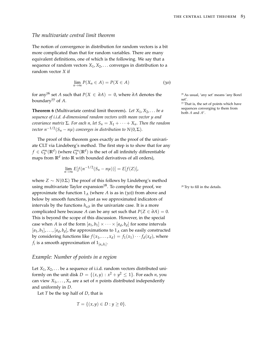#### *The multivariate central limit theorem*

The notion of convergence in distribution for random vectors is a bit more complicated than that for random variables. There are many equivalent definitions, one of which is the following. We say that a sequence of random vectors  $X_1, X_2, \ldots$  converges in distribution to a random vector *X* if

<span id="page-82-0"></span>
$$
\lim_{n \to \infty} P(X_n \in A) = P(X \in A)
$$
\n(30)

for any<sup>76</sup> set *A* such that  $P(X \in \partial A) = 0$ , where  $\partial A$  denotes the  $\frac{76}{10}$  As usual, 'any set' means 'any Borel houndom:<sup>77</sup> of *A* boundary<sup>77</sup> of A.

**Theorem 6** (Multivariate central limit theorem). Let  $X_1, X_2, \ldots$  be a *sequence of i.i.d. d-dimensional random vectors with mean vector µ and covariance matrix*  $\Sigma$ *. For each n, let*  $S_n = X_1 + \cdots + X_n$ *. Then the random vector*  $n^{-1/2}(S_n - n\mu)$  *converges in distribution to*  $N(0, \Sigma)$ *.* 

The proof of this theorem goes exactly as the proof of the univariate CLT via Lindeberg's method. The first step is to show that for any  $f \in \mathcal{C}^\infty_b(\mathbb{R}^d)$  (where  $\mathcal{C}^\infty_b(\mathbb{R}^d)$  is the set of all infinitely differentiable maps from **R***<sup>d</sup>* into **R** with bounded derivatives of all orders),

$$
\lim_{n\to\infty} E[f(n^{-1/2}(S_n-n\mu))] = E[f(Z)],
$$

where *Z* ∼ *N*(0.Σ) The proof of this follows by Lindeberg's method using multivariate Taylor expansion<sup>78</sup>. To complete the proof, we <sup>78</sup> Try to fill in the details. approximate the function  $1_A$  (where *A* is as in ([30](#page-82-0))) from above and below by smooth functions, just as we approximated indicators of intervals by the functions  $h_{a,b}$  in the univariate case. It is a more complicated here because *A* can be any set such that  $P(Z \in \partial A) = 0$ . This is beyond the scope of this discussion. However, in the special case when *A* is of the form  $[a_1, b_1] \times \cdots \times [a_d, b_d]$  for some intervals  $[a_1, b_1], \ldots, [a_d, b_d]$ , the approximations to  $1_A$  can be easily constructed by considering functions like  $f(x_1, ..., x_d) = f_1(x_1) \cdots f_d(x_d)$ , where  $f_i$  is a smooth approximation of  $1_{[a_i,b_i]}.$ 

#### *Example: Number of points in a region*

Let  $X_1, X_2, \ldots$  be a sequence of i.i.d. random vectors distributed uniformly on the unit disk  $D = \{(x, y) : x^2 + y^2 \le 1\}$ . For each *n*, you can view  $X_1, \ldots, X_n$  are a set of *n* points distributed independently and uniformly in *D*.

Let *T* be the top half of *D*, that is

$$
T = \{ (x, y) \in D : y \ge 0 \}.
$$

<sup>77</sup> That is, the set of points which have sequences converging to them from both  $A$  and  $A^c$ .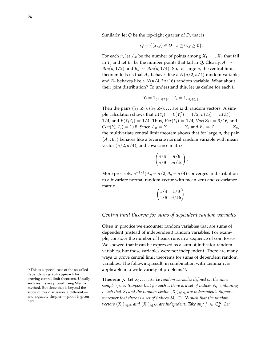Similarly, let *Q* be the top-right quarter of *D*, that is

$$
Q = \{(x, y) \in D : x \ge 0, y \ge 0\}.
$$

For each *n*, let  $A_n$  be the number of points among  $X_1, \ldots, X_n$  that fall in *T*, and let *B*<sup>*n*</sup> be the number points that fall in *Q*. Clearly,  $A_n \sim$ *Bin*(*n*, 1/2) and  $B_n \sim Bin(n, 1/4)$ . So, for large *n*, the central limit theorem tells us that  $A_n$  behaves like a  $N(n/2, n/4)$  random variable, and  $B_n$  behaves like a  $N(n/4, 3n/16)$  random variable. What about their joint distribution? To understand this, let us define for each *i*,

$$
Y_i = 1_{\{X_i \in T\}}, \quad Z_i = 1_{\{X_i \in Q\}}.
$$

Then the pairs  $(Y_1, Z_1)$ ,  $(Y_2, Z_2)$ , ... are i.i.d. random vectors. A simple calculation shows that  $E(Y_i) = E(Y_i^2) = 1/2$ ,  $E(Z_i) = E(Z_i^2) = 1/2$ 1/4, and  $E(Y_i Z_i) = 1/4$ . Thus,  $Var(Y_i) = 1/4$ ,  $Var(Z_i) = 3/16$ , and  $Cov(Y_i, Z_i) = 1/8$ . Since  $A_n = Y_1 + \cdots + Y_n$  and  $B_n = Z_1 + \cdots + Z_n$ , the multivariate central limit theorem shows that for large *n*, the pair  $(A_n, B_n)$  behaves like a bivariate normal random variable with mean vector  $(n/2, n/4)$ , and covariance matrix

$$
\begin{pmatrix} n/4 & n/8 \ n/8 & 3n/16 \end{pmatrix}
$$

.

More precisely,  $n^{-1/2}(A_n - n/2, B_n - n/4)$  converges in distribution to a bivariate normal random vector with mean zero and covariance matrix

$$
\begin{pmatrix} 1/4 & 1/8 \\ 1/8 & 3/16 \end{pmatrix}.
$$

#### *Central limit theorem for sums of dependent random variables*

Often in practice we encounter random variables that are sums of dependent (instead of independent) random variables. For example, consider the number of heads runs in a sequence of coin tosses. We showed that it can be expressed as a sum of indicator random variables, but those variables were not independent. There are many ways to prove central limit theorems for sums of dependent random variables. The following result, in combination with Lemma [1](#page-79-1), is applicable in a wide variety of problems<sup>79</sup>.

<span id="page-83-0"></span>**Theorem** 7. Let  $X_1, \ldots, X_n$  be random variables defined on the same *sample space. Suppose that for each i, there is a set of indices N<sup>i</sup> containing i such that X<sup>i</sup> and the random vector* (*Xj*)*j*∈/*N<sup>i</sup> are independent. Suppose*  $m$ oreover that there is a set of indices  $M_i \supseteq N_i$  such that the random  $\mathit{vectors}\,(X_j)_{j\in N_i}$  and  $(X_j)_{j\not\in M_i}$  are indepedent. Take any  $f\,\in\, \mathcal{C}^\infty_b$ . Let

<sup>79</sup> This is a special case of the so-called **dependency graph approach** for proving central limit theorems. Usually such results are proved using **Stein's method**. But since that is beyond the scope of this discussion, a different and arguably simpler — proof is given here.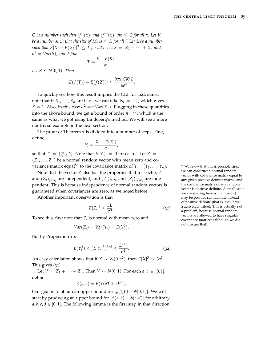*C* be a number such that  $|f''(x)|$  and  $|f'''(x)|$  are  $\leq C$  for all x. Let K *be a number such that the size of M<sup>i</sup> is* ≤ *K for all i. Let L be a number*  $\int$ *such that*  $E|X_i - E(X_i)|^3$  ≤ *L* for all *i*. Let S =  $X_1 + \cdots + X_n$  and *σ* <sup>2</sup> = *Var*(*S*)*, and define*

$$
T=\frac{S-E(S)}{\sigma}.
$$

*Let*  $Z$  ∼  $N(0, 1)$ *. Then* 

$$
|E(f(T)) - E(f(Z))| \le \frac{9\pi nCK^2L}{4\sigma^3}.
$$

To quickly see how this result implies the CLT for i.i.d. sums, note that if  $X_1, \ldots, X_n$  are i.i.d., we can take  $N_i = \{i\}$ , which gives  $K = 1$ . Also, in this case  $\sigma^2 = nVar(X_1)$ . Plugging in these quantities into the above bound, we get a bound of order *n* <sup>−</sup>1/2, which is the same as what we got using Lindeberg's method. We will see a more nontrivial example in the next section.

The proof of Theorem [7](#page-83-0) is divided into a number of steps. First, define

$$
Y_i = \frac{X_i - E(X_i)}{\sigma}
$$

,

so that  $T = \sum_{i=1}^{n} Y_i$ . Note that  $E(Y_i) = 0$  for each *i*. Let  $Z =$  $(Z_1, \ldots, Z_n)$  be a normal random vector with mean zero and covariance matrix equal<sup>80</sup> to the covariance matrix of  $Y = (Y_1, \ldots, Y_n)$ .

Note that the vector *Z* also has the properties that for each *i*, *Z<sup>i</sup>* and  $(Z_j)_{j \notin N_i}$  are independent, and  $(Z_j)_{j \in N_i}$  and  $(Z_j)_{j \notin M_i}$  are independent. This is because independence of normal random vectors is guaranteed when covariances are zero, as we noted before.

Another important observation is that

<span id="page-84-0"></span>
$$
E|Z_i|^3 \le \frac{3L}{\sigma^3}.\tag{31}
$$

To see this, first note that  $Z_i$  is normal with mean zero and

<span id="page-84-1"></span>
$$
Var(Z_i) = Var(Y_i) = E(Y_i^2).
$$

But by Proposition [10](#page-41-0),

$$
E(Y_i^2) \le (E|Y_i|^3)^{2/3} \le \frac{L^{2/3}}{\sigma^2}.
$$
 (32)

An easy calculation shows that if  $X \sim N(0, a^2)$ , then  $E|X|^3 \leq 3a^3$ . This gives ([31](#page-84-0)).

Let *V* =  $Z_1 + \cdots + Z_n$ . Then *V* ∼ *N*(0, 1). For each *a*, *b* ∈ [0, 1], define

$$
\phi(a,b) = E(f(aT + bV)).
$$

Our goal is to obtain an upper bound on  $|\phi(1,0) - \phi(0,1)|$ . We will start by producing an upper bound for  $|\phi(a, b) - \phi(c, d)|$  for arbitrary  $a, b, c, d \in [0, 1]$ . The following lemma is the first step in that direction.

<sup>80</sup> We know that this is possible since we can construct a normal random vector with covariance matrix equal to any given positive definite matrix, and the covariance matrix of any random vector is positive definite. A small issue we are skirting here is that *Cov*(*Y*) may be positive semidefinite instead of positive definite (that is, may have a zero eigenvalue). This is actually not a problem, because normal random vectors are allowed to have singular covariance matrices (although we did not discuss that).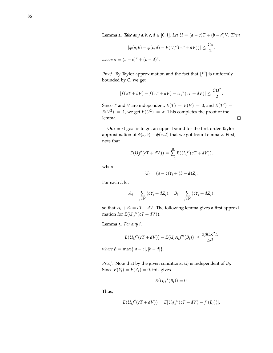<span id="page-85-0"></span>**Lemma 2.** *Take any a, b, c, d*  $\in$  [0, 1]*. Let*  $U = (a - c)T + (b - d)V$ *. Then* 

$$
|\phi(a,b)-\phi(c,d)-E(Uf'(cT+dV))|\leq \frac{C\alpha}{2}.
$$

*where*  $\alpha = (a - c)^2 + (b - d)^2$ .

*Proof.* By Taylor approximation and the fact that  $|f''|$  is uniformly bounded by *C*, we get

$$
|f(aT+bV)-f(cT+dV)-Uf'(cT+dV)| \leq \frac{CU^2}{2}.
$$

Since *T* and *V* are independent,  $E(T) = E(V) = 0$ , and  $E(T^2) =$  $E(V^2) = 1$ , we get  $E(U^2) = \alpha$ . This completes the proof of the lemma.

 $\Box$ 

Our next goal is to get an upper bound for the first order Taylor approximation of  $\phi(a, b) - \phi(c, d)$  that we got from Lemma [2](#page-85-0). First, note that

$$
E(Uf'(cT+dV)) = \sum_{i=1}^{n} E(U_i f'(cT+dV)),
$$

where

$$
U_i = (a - c)Y_i + (b - d)Z_i.
$$

For each *i*, let

$$
A_i = \sum_{j \in N_i} (cY_j + dZ_j), \quad B_i = \sum_{j \notin N_i} (cY_j + dZ_j),
$$

so that  $A_i + B_i = cT + dV$ . The following lemma gives a first approximation for  $E(U_i f'(cT + dV))$ .

<span id="page-85-1"></span>**Lemma 3.** *For any i,*

$$
|E(U_i f'(cT+dV)) - E(U_i A_i f''(B_i))| \leq \frac{3\beta C K^2 L}{2\sigma^3},
$$

*where*  $\beta = \max\{|a - c|, |b - d|\}.$ 

*Proof.* Note that by the given conditions, *U<sup>i</sup>* is independent of *B<sup>i</sup>* . Since  $E(Y_i) = E(Z_i) = 0$ , this gives

$$
E(U_i f'(B_i))=0.
$$

Thus,

$$
E(U_{i}f'(cT + dV)) = E[U_{i}(f'(cT + dV) - f'(B_{i}))].
$$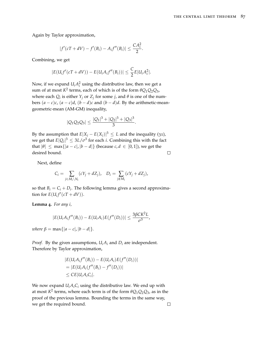Again by Taylor approximation,

$$
|f'(cT+dV) - f'(B_i) - A_i f''(B_i)| \leq \frac{CA_i^2}{2}.
$$

Combining, we get

$$
|E(U_i f'(cT+dV)) - E(U_i A_i f''(B_i))| \leq \frac{C}{2} E|U_i A_i^2|.
$$

Now, if we expand  $U_i A_i^2$  using the distributive law, then we get a sum of at most  $K^2$  terms, each of which is of the form  $\theta Q_1 Q_2 Q_3$ , where each  $Q_i$  is either  $Y_j$  or  $Z_j$  for some *j*, and  $\theta$  is one of the numbers  $(a - c)c$ ,  $(a - c)d$ ,  $(b - d)c$  and  $(b - d)d$ . By the arithmetic-meangeometric-mean (AM-GM) inequality,

$$
|Q_1Q_2Q_3|\leq \frac{|Q_1|^3+|Q_2|^3+|Q_3|^3}{3}.
$$

By the assumption that  $E|X_j - E(X_j)|^3 \leq L$  and the inequality ([31](#page-84-0)), we get that  $E|Q_i|^3 \leq 3L/\sigma^3$  for each *i*. Combining this with the fact that  $|\theta| \le \max\{|a - c|, |b - d|\}$  (because  $c, d \in [0, 1]$ ), we get the desired bound.  $\Box$ 

Next, define

$$
C_i = \sum_{j \in M_i \setminus N_i} (cY_j + dZ_j), \quad D_i = \sum_{j \notin M_i} (cY_j + dZ_j),
$$

so that  $B_i = C_i + D_i$ . The following lemma gives a second approximation for  $E(U_i f'(cT + dV)).$ 

<span id="page-86-0"></span>**Lemma 4.** *For any i,*

$$
|E(U_iA_if''(B_i))-E(U_iA_i)E(f''(D_i))|\leq \frac{3\beta C K^2L}{\sigma^3},
$$

*where*  $\beta = \max\{|a - c|, |b - d|\}.$ 

*Proof.* By the given assumptions,  $U_i A_i$  and  $D_i$  are independent. Therefore by Taylor approximation,

$$
|E(U_iA_if''(B_i)) - E(U_iA_i)E(f''(D_i))|
$$
  
= |E(U\_iA\_i(f''(B\_i) - f''(D\_i))|  

$$
\leq CE|U_iA_iC_i|.
$$

We now expand  $U_iA_iC_i$  using the distributive law. We end up with at most  $K^2$  terms, where each term is of the form  $\theta Q_1 Q_2 Q_3$ , as in the proof of the previous lemma. Bounding the terms in the same way, we get the required bound. $\Box$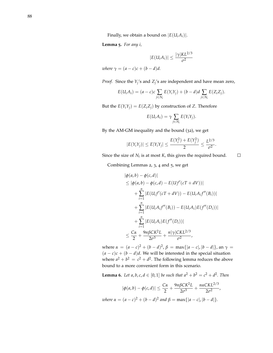<span id="page-87-0"></span>**Lemma 5.** *For any i,*

$$
|E(U_i A_i)| \leq \frac{|\gamma| K L^{2/3}}{\sigma^2}
$$

*where*  $\gamma = (a - c)c + (b - d)d$ .

*Proof.* Since the *Y<sup>j</sup>* 's and *Z<sup>j</sup>* 's are independent and have mean zero,

$$
E(U_iA_i) = (a-c)c\sum_{j\in N_i}E(Y_iY_j) + (b-d)d\sum_{j\in N_i}E(Z_iZ_j).
$$

But the  $E(Y_iY_j) = E(Z_iZ_j)$  by construction of *Z*. Therefore

$$
E(U_iA_i)=\gamma\sum_{j\in N_i}E(Y_iY_j).
$$

By the AM-GM inequality and the bound ([32](#page-84-1)), we get

$$
|E(Y_iY_j)| \le E|Y_iY_j| \le \frac{E(Y_i^2) + E(Y_j^2)}{2} \le \frac{L^{2/3}}{\sigma^2}.
$$

 $\Box$ Since the size of  $N_i$  is at most  $K$ , this gives the required bound.

Combining Lemmas [2](#page-85-0), [3](#page-85-1), [4](#page-86-0) and [5](#page-87-0), we get

$$
|\phi(a,b) - \phi(c,d)|
$$
  
\n
$$
\leq |\phi(a,b) - \phi(c,d) - E(Uf'(cT + dV))|
$$
  
\n
$$
+ \sum_{i=1}^{n} |E(U_i f'(cT + dV)) - E(U_i A_i f''(B_i))|
$$
  
\n
$$
+ \sum_{i=1}^{n} |E(U_i A_i f''(B_i)) - E(U_i A_i) E(f''(D_i))|
$$
  
\n
$$
+ \sum_{i=1}^{n} |E(U_i A_i) E(f''(D_i))|
$$
  
\n
$$
\leq \frac{C\alpha}{2} + \frac{9n\beta C K^2 L}{2\sigma^3} + \frac{n|\gamma| CKL^{2/3}}{\sigma^2},
$$

 $\mathbf{where } *α* = (*a* − *c*)<sup>2</sup> + (*b* − *d*)<sup>2</sup>, *β* = max{ |*a* − *c*|, |*b* − *d*|}, \text{ an } *γ* =$  $(a - c)c + (b - d)d$ . We will be interested in the special situation where  $a^2 + b^2 = c^2 + d^2$ . The following lemma reduces the above bound to a more convenient form in this scenario.

<span id="page-87-1"></span>**Lemma 6.** Let a, b, c,  $d \in [0, 1]$  be such that  $a^2 + b^2 = c^2 + d^2$ . Then

$$
|\phi(a,b) - \phi(c,d)| \le \frac{C\alpha}{2} + \frac{9n\beta C K^2 L}{2\sigma^3} + \frac{n\alpha C K L^{2/3}}{2\sigma^2},
$$
  
 
$$
c\alpha - (a-c)^2 + (b-d)^2 \text{ and } \beta = \max\{|a-c|, |b-d|\}
$$

 $\alpha = (a - c)^2 + (b - d)^2$  and  $\beta = \max\{|a - c|, |b - d|\}.$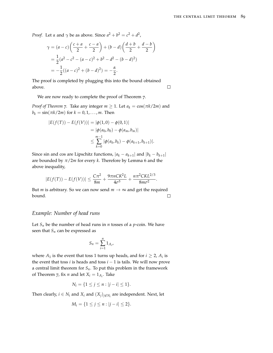$\Box$ 

*Proof.* Let *α* and  $\gamma$  be as above. Since  $a^2 + b^2 = c^2 + d^2$ ,

$$
\gamma = (a - c) \left( \frac{c + a}{2} + \frac{c - a}{2} \right) + (b - d) \left( \frac{d + b}{2} + \frac{d - b}{2} \right)
$$
  
=  $\frac{1}{2} (a^2 - c^2 - (a - c)^2 + b^2 - d^2 - (b - d)^2)$   
=  $-\frac{1}{2} ((a - c)^2 + (b - d)^2) = -\frac{\alpha}{2}.$ 

The proof is completed by plugging this into the bound obtained above.

We are now ready to complete the proof of Theorem [7](#page-83-0).

*Proof of Theorem* [7](#page-83-0)*.* Take any integer  $m \geq 1$ . Let  $a_k = \cos(\pi k / 2m)$  and  $b_k = \sin(\pi k / 2m)$  for  $k = 0, 1, ..., m$ . Then

$$
|E(f(T)) - E(f(V))| = |\phi(1,0) - \phi(0,1)|
$$
  
= |\phi(a\_0, b\_0) - \phi(a\_m, b\_m)|  

$$
\leq \sum_{k=0}^{m-1} |\phi(a_k, b_k) - \phi(a_{k+1}, b_{k+1})|.
$$

Since sin and cos are Lipschitz functions,  $|a_k - a_{k+1}|$  and  $|b_k - b_{k+1}|$ are bounded by *π*/2*m* for every *k*. Therefore by Lemma [6](#page-87-1) and the above inequality,

$$
|E(f(T)) - E(f(V))| \le \frac{C\pi^2}{8m} + \frac{9\pi nCK^2L}{4\sigma^3} + \frac{n\pi^2CKL^{2/3}}{8m\sigma^2}.
$$

But *m* is arbitrary. So we can now send  $m \to \infty$  and get the required bound.  $\Box$ 

#### *Example: Number of head runs*

Let  $S_n$  be the number of head runs in  $n$  tosses of a  $p$ -coin. We have seen that  $S_n$  can be expressed as

$$
S_n = \sum_{i=1}^n 1_{A_i},
$$

where  $A_1$  is the event that toss 1 turns up heads, and for  $i \geq 2$ ,  $A_i$  is the event that toss *i* is heads and toss  $i - 1$  is tails. We will now prove a central limit theorem for  $S_n$ . To put this problem in the framework of Theorem [7](#page-83-0), fix *n* and let  $X_i = 1_{A_i}$ . Take

$$
N_i = \{1 \le j \le n : |j - i| \le 1\}.
$$

Then clearly,  $i \in N_i$  and  $X_i$  and  $(X_j)_{j \notin N_i}$  are independent. Next, let

$$
M_i = \{1 \le j \le n : |j - i| \le 2\}.
$$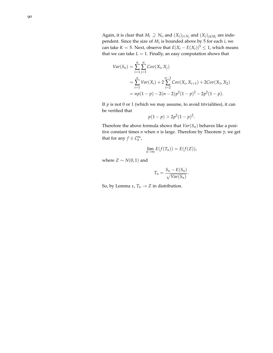Again, it is clear that  $M_i \supseteq N_i$ , and  $(X_j)_{j \in N_i}$  and  $(X_j)_{j \notin M_i}$  are independent. Since the size of *M<sup>i</sup>* is bounded above by 5 for each *i*, we can take  $K = 5$ . Next, observe that  $E|X_i - E(X_i)|^3 \leq 1$ , which means that we can take  $L = 1$ . Finally, an easy computation shows that

$$
Var(S_n) = \sum_{i=1}^{n} \sum_{j=1}^{n} Cov(X_i, X_j)
$$
  
= 
$$
\sum_{i=1}^{n} Var(X_i) + 2 \sum_{i=2}^{n-1} Cov(X_i, X_{i+1}) + 2Cov(X_1, X_2)
$$
  
= 
$$
np(1-p) - 2(n-2)p^2(1-p)^2 - 2p^2(1-p).
$$

If  $p$  is not 0 or 1 (which we may assume, to avoid trivialities), it can be verified that

$$
p(1-p) > 2p^2(1-p)^2.
$$

Therefore the above formula shows that  $Var(S_n)$  behaves like a positive constant times *n* when *n* is large. Therefore by Theorem [7](#page-83-0), we get that for any  $f \in C_b^{\infty}$ ,

$$
\lim_{n\to\infty}E(f(T_n))=E(f(Z)),
$$

where  $Z \sim N(0, 1)$  and

$$
T_n = \frac{S_n - E(S_n)}{\sqrt{Var(S_n)}}.
$$

So, by Lemma [1](#page-79-1),  $T_n \to Z$  in distribution.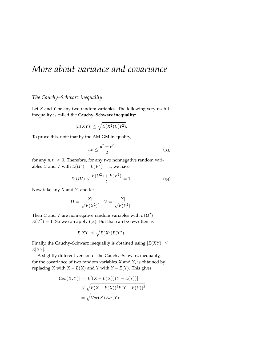# *More about variance and covariance*

#### *The Cauchy–Schwarz inequality*

Let *X* and *Y* be any two random variables. The following very useful inequality is called the **Cauchy–Schwarz inequality**:

$$
|E(XY)| \le \sqrt{E(X^2)E(Y^2)}.
$$

To prove this, note that by the AM-GM inequality,

<span id="page-90-1"></span><span id="page-90-0"></span>
$$
uv \le \frac{u^2 + v^2}{2} \tag{33}
$$

for any  $u, v \geq 0$ . Therefore, for any two nonnegative random variables *U* and *V* with  $E(U^2) = E(V^2) = 1$ , we have

$$
E(UV) \le \frac{E(U^2) + E(V^2)}{2} = 1.
$$
 (34)

Now take any *X* and *Y*, and let

$$
U = \frac{|X|}{\sqrt{E(X^2)}}, \quad V = \frac{|Y|}{\sqrt{E(Y^2)}}.
$$

Then *U* and *V* are nonnegative random variables with  $E(U^2) =$  $E(V^2) = 1$ . So we can apply ([34](#page-90-0)). But that can be rewritten as

$$
E|XY| \le \sqrt{E(X^2)E(Y^2)}.
$$

Finally, the Cauchy–Schwarz inequality is obtained using  $|E(XY)| \le$ *E*|*XY*|.

A slightly different version of the Cauchy–Schwarz inequality, for the covariance of two random variables *X* and *Y*, is obtained by replacing *X* with  $X - E(X)$  and *Y* with  $Y - E(Y)$ . This gives

$$
|\mathcal{C}ov(X,Y)| = |E[(X - E(X))(Y - E(Y))]
$$
  
\n
$$
\leq \sqrt{E(X - E(X))^2 E(Y - E(Y))^2}
$$
  
\n
$$
= \sqrt{Var(X)Var(Y)}.
$$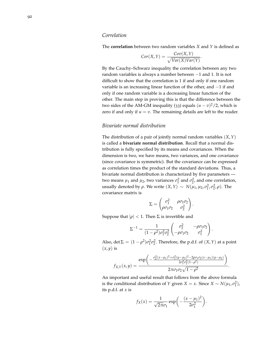#### *Correlation*

The **correlation** between two random variables *X* and *Y* is defined as

$$
Cor(X,Y) = \frac{Cov(X,Y)}{\sqrt{Var(X)Var(Y)}}.
$$

By the Cauchy–Schwarz inequality the correlation between any two random variables is always a number between −1 and 1. It is not difficult to show that the correlation is 1 if and only if one random variable is an increasing linear function of the other, and −1 if and only if one random variable is a decreasing linear function of the other. The main step in proving this is that the difference between the two sides of the AM-GM inequality ([33](#page-90-1)) equals  $(u - v)^2/2$ , which is zero if and only if  $u = v$ . The remaining details are left to the reader.

#### *Bivariate normal distribution*

The distribution of a pair of jointly normal random variables (*X*,*Y*) is called a **bivariate normal distribution**. Recall that a normal distribution is fully specified by its means and covariances. When the dimension is two, we have means, two variances, and one covariance (since covariance is symmetric). But the covariance can be expressed as correlation times the product of the standard deviations. Thus, a bivariate normal distribution is characterized by five parameters two means  $\mu_1$  and  $\mu_2$ , two variances  $\sigma_1^2$  and  $\sigma_2^2$ , and one correlation, usually denoted by *ρ*. We write  $(X, Y) \sim N(μ_1, μ_2, σ_1^2, σ_2^2, ρ)$ . The covariance matrix is

$$
\Sigma = \begin{pmatrix} \sigma_1^2 & \rho \sigma_1 \sigma_2 \\ \rho \sigma_1 \sigma_2 & \sigma_2^2 \end{pmatrix}
$$

.

Suppose that  $|\rho| < 1$ . Then  $\Sigma$  is invertible and

$$
\Sigma^{-1} = \frac{1}{(1 - \rho^2)\sigma_1^2 \sigma_2^2} \begin{pmatrix} \sigma_2^2 & -\rho \sigma_1 \sigma_2 \\ -\rho \sigma_1 \sigma_2 & \sigma_1^2 \end{pmatrix}.
$$

Also, det  $\Sigma = (1 - \rho^2)\sigma_1^2\sigma_2^2$ . Therefore, the p.d.f. of  $(X, Y)$  at a point  $(x, y)$  is

$$
f_{X,Y}(x,y) = \frac{\exp\left(-\frac{\sigma_2^2(x-\mu_1)^2 + \sigma_1^2(y-\mu_2)^2 - 2\rho\sigma_1\sigma_2(x-\mu_1)(y-\mu_2)}{2\sigma_1^2\sigma_2^2(1-\rho^2)}\right)}{2\pi\sigma_1\sigma_2\sqrt{1-\rho^2}}.
$$

An important and useful result that follows from the above formula is the conditional distribution of *Y* given *X* = *x*. Since *X* ~ *N*( $\mu_1$ ,  $\sigma_1^2$ ), its p.d.f. at *x* is

$$
f_X(x) = \frac{1}{\sqrt{2\pi}\sigma_1} \exp\left(-\frac{(x-\mu_1)^2}{2\sigma_1^2}\right).
$$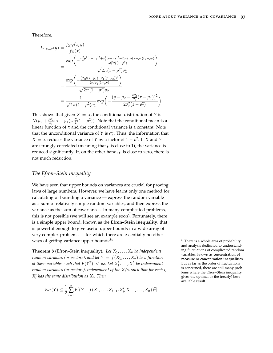.

Therefore,

$$
f_{Y|X=x}(y) = \frac{f_{X,Y}(x,y)}{f_X(x)}
$$
  
= 
$$
\frac{\exp\left(-\frac{\sigma_2^2 \rho^2 (x-\mu_1)^2 + \sigma_1^2 (y-\mu_2)^2 - 2\rho \sigma_1 \sigma_2 (x-\mu_1)(y-\mu_2)}{2\sigma_1^2 \sigma_2^2 (1-\rho^2)}\right)}{\sqrt{2\pi (1-\rho^2)}\sigma_2}
$$
  
= 
$$
\frac{\exp\left(-\frac{(\sigma_2 \rho (x-\mu_1) - \sigma_1 (y-\mu_2))^2}{2\sigma_1^2 \sigma_2^2 (1-\rho^2)}\right)}{\sqrt{2\pi (1-\rho^2)}\sigma_2}
$$
  
= 
$$
\frac{1}{\sqrt{2\pi (1-\rho^2)}\sigma_2} \exp\left(-\frac{(y-\mu_2 - \frac{\rho \sigma_2}{\sigma_1} (x-\mu_1))^2}{2\sigma_2^2 (1-\rho^2)}\right)
$$

This shows that given  $X = x$ , the conditional distribution of *Y* is  $N(\mu_2 + \frac{\rho \sigma_2}{\sigma_1})$  $\frac{\partial \sigma_2}{\partial \sigma_1}(x - \mu_1), \sigma_2^2(1 - \rho^2)$ ). Note that the conditional mean is a linear function of *x* and the conditional variance is a constant. Note that the unconditional variance of *Y* is  $\sigma_2^2$ . Thus, the information that  $X = x$  reduces the variance of *Y* by a factor of  $1 - \rho^2$ . If *X* and *Y* are strongly correlated (meaning that  $\rho$  is close to 1), the variance is reduced significantly. If, on the other hand,  $\rho$  is close to zero, there is not much reduction.

#### *The Efron–Stein inequality*

We have seen that upper bounds on variances are crucial for proving laws of large numbers. However, we have learnt only one method for calculating or bounding a variance — express the random variable as a sum of relatively simple random variables, and then express the variance as the sum of covariances. In many complicated problems, this is not possible (we will see an example soon). Fortunately, there is a simple upper bound, known as the **Efron–Stein inequality**, that is powerful enough to give useful upper bounds in a wide array of very complex problems — for which there are essentially no other ways of getting variance upper bounds $81$ .

**Theorem 8** (Efron–Stein inequality). Let  $X_1, \ldots, X_n$  be independent *random variables (or vectors), and let*  $Y = f(X_1, \ldots, X_n)$  *be a function of these variables such that*  $E(Y^2) < \infty$ . Let  $X'_1, \ldots, X'_n$  be independent *random variables (or vectors), independent of the X<sup>i</sup> 's, such that for each i,*  $X_i'$  has the same distribution as  $X_i$ . Then

$$
Var(Y) \leq \frac{1}{2} \sum_{i=1}^{n} E[(Y - f(X_1, \ldots, X_{i-1}, X'_i, X_{i+1}, \ldots, X_n))^2].
$$

 $81$ <sup>81</sup> There is a whole area of probability and analysis dedicated to understanding fluctuations of complicated random variables, known as **concentration of measure** or **concentration inequalities**. But as far as the order of fluctuations is concerned, there are still many problems where the Efron–Stein inequality gives the optimal or the (nearly) best available result.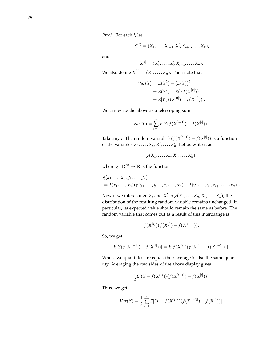*Proof.* For each *i*, let

$$
X^{(i)} = (X_1, \ldots, X_{i-1}, X'_i, X_{i+1}, \ldots, X_n),
$$

and

$$
X^{[i]} = (X'_1, \ldots, X'_i, X_{i+1}, \ldots, X_n).
$$

We also define  $X^{[0]} = (X_1, \ldots, X_n)$ . Then note that

$$
Var(Y) = E(Y2) - (E(Y))2
$$
  
= E(Y<sup>2</sup>) - E(Yf(X<sup>[n]</sup>))  
= E[Y(f(X<sup>[0]</sup>) - f(X<sup>[n]</sup>))].

We can write the above as a telescoping sum:

$$
Var(Y) = \sum_{i=1}^{n} E[Y(f(X^{[i-1]}) - f(X^{[i]}))].
$$

Take any *i*. The random variable  $Y(f(X^{[i-1]}) - f(X^{[i]}))$  is a function of the variables  $X_1, \ldots, X_n, X'_1, \ldots, X'_n$ . Let us write it as

$$
g(X_1,\ldots,X_n,X'_1,\ldots,X'_n),
$$

where  $g: \mathbb{R}^{2n} \to \mathbb{R}$  is the function

$$
g(x_1,...,x_n,y_1,...,y_n)
$$
  
=  $f(x_1,...,x_n)(f(y_1,...,y_{i-1},x_i,...,x_n)-f(y_1,...,y_i,x_{i+1},...,x_n)).$ 

Now if we interchange  $X_i$  and  $X'_i$  in  $g(X_1, \ldots, X_n, X'_1, \ldots, X'_n)$ , the distribution of the resulting random variable remains unchanged. In particular, its expected value should remain the same as before. The random variable that comes out as a result of this interchange is

$$
f(X^{(i)})(f(X^{[i]}) - f(X^{[i-1]})).
$$

So, we get

$$
E[Y(f(X^{[i-1]}) - f(X^{[i]}))] = E[f(X^{(i)})(f(X^{[i]}) - f(X^{[i-1]}))].
$$

When two quantities are equal, their average is also the same quantity. Averaging the two sides of the above display gives

$$
\frac{1}{2}E[(Y - f(X^{(i)}))(f(X^{[i-1]}) - f(X^{[i]}))].
$$

Thus, we get

$$
Var(Y) = \frac{1}{2} \sum_{i=1}^{n} E[(Y - f(X^{(i)}))(f(X^{[i-1]}) - f(X^{[i]}))].
$$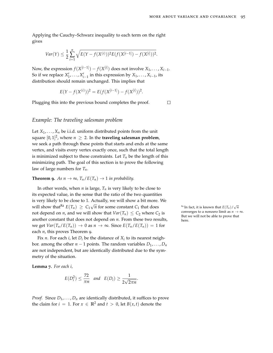$\Box$ 

Applying the Cauchy–Schwarz inequality to each term on the right gives

$$
Var(Y) \leq \frac{1}{2} \sum_{i=1}^{n} \sqrt{E(Y - f(X^{(i)}))^2 E(f(X^{[i-1]}) - f(X^{[i]}))^2}.
$$

Now, the expression  $f(X^{[i-1]}) - f(X^{[i]})$  does not involve  $X_1, \ldots, X_{i-1}$ . So if we replace  $X'_1, \ldots, X'_{i-1}$  in this expression by  $X_1, \ldots, X_{i-1}$ , its distribution should remain unchanged. This implies that

$$
E(Y - f(X^{(i)}))^2 = E(f(X^{[i-1]}) - f(X^{[i]}))^2.
$$

Plugging this into the previous bound completes the proof.

#### *Example: The traveling salesman problem*

Let  $X_1, \ldots, X_n$  be i.i.d. uniform distributed points from the unit square  $[0,1]^2$ , where  $n~\geq~2.$  In the **traveling salesman problem**, we seek a path through these points that starts and ends at the same vertex, and visits every vertex exactly once, such that the total length is minimized subject to these constraints. Let  $T<sub>n</sub>$  be the length of this minimizing path. The goal of this section is to prove the following law of large numbers for *Tn*.

<span id="page-94-0"></span>**Theorem 9.** As  $n \to \infty$ ,  $T_n / E(T_n) \to 1$  *in probability.* 

In other words, when  $n$  is large,  $T_n$  is very likely to be close to its expected value, in the sense that the ratio of the two quantities is very likely to be close to 1. Actually, we will show a bit more. We will show that<sup>82</sup>  $E(T_n) \ge C_1 \sqrt{2}$ *n* for some constant  $C_1$  that does  $\frac{82 \text{ In fact, it is known that } E(T_n) / E(T_n)}{n}$ not depend on *n*, and we will show that  $Var(T_n) \leq C_2$  where  $C_2$  is another constant that does not depend on *n*. From these two results, we get  $Var(T_n / E(T_n)) \rightarrow 0$  as  $n \rightarrow \infty$ . Since  $E(T_n / E(T_n)) = 1$  for each *n*, this proves Theorem [9](#page-94-0).

Fix *n*. For each *i*, let  $D_i$  be the distance of  $X_i$  to its nearest neighbor. among the other  $n - 1$  points. The random variables  $D_1, \ldots, D_n$ are not independent, but are identically distributed due to the symmetry of the situation.

<span id="page-94-1"></span>**Lemma 7.** *For each i,*

$$
E(D_i^2) \leq \frac{72}{\pi n} \quad \text{and} \quad E(D_i) \geq \frac{1}{2\sqrt{2\pi n}}.
$$

*Proof.* Since  $D_1, \ldots, D_n$  are identically distributed, it suffices to prove the claim for  $i = 1$ . For  $x \in \mathbb{R}^2$  and  $t > 0$ , let  $B(x, t)$  denote the

√ *n* converges to a nonzero limit as  $n \to \infty$ . But we will not be able to prove that here.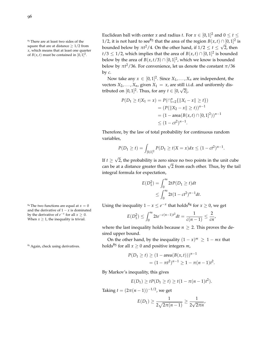square that are at distance  $> 1/2$  from *x*, which means that at least one quarter of  $B(x, t)$  must be contained in  $[0, 1]^2$ .

Euclidean ball with center *x* and radius *t*. For  $x \in [0,1]^2$  and  $0 \le t \le 1$ <sup>83</sup> There are at least two sides of the  $1/2$ , it is not hard to see<sup>83</sup> that the area of the region  $B(x, t) \cap [0, 1]^2$  is bounded below by  $\pi t^2/4$ . On the other hand, if  $1/2 \leq t \leq \sqrt{2}$ , then *t*/3 ≤ 1/2, which implies that the area of  $B(x,t) \cap [0,1]^2$  is bounded below by the area of  $B(x, t/3) \cap [0, 1]^2$ , which we know is bounded below by *πt* <sup>2</sup>/36. For convenience, let us denote the constant *π*/36 by *c*.

> Now take any  $x \in [0, 1]^2$ . Since  $X_1, \ldots, X_n$  are independent, the vectors  $X_2, \ldots, X_n$ , given  $X_1 = x$ , are still i.i.d. and uniformly distributed on  $[0, 1]^2$ . Thus, for any  $t \in [0, \sqrt{2}]$ ,

$$
P(D_1 \ge t | X_1 = x) = P(\bigcap_{i=2}^n \{ \|X_i - x\| \ge t \})
$$
  
=  $(P(\|X_2 - x\| \ge t))^{n-1}$   
=  $(1 - \text{area}(B(x, t) \cap [0, 1]^2))^{n-1}$   
 $\le (1 - ct^2)^{n-1}.$ 

Therefore, by the law of total probability for continuous random variables,

$$
P(D_1 \ge t) = \int_{[0,1]^2} P(D_1 \ge t | X = x) dx \le (1 - ct^2)^{n-1}
$$

.

If  $t \ge$ √ 2, the probability is zero since no two points in the unit cube  $\mu \geq \nu$ , the probability is zero since no two points in the difficulties can be at a distance greater than  $\sqrt{2}$  from each other. Thus, by the tail integral formula for expectation,

$$
E(D_1^2) = \int_0^\infty 2t P(D_1 \ge t) dt
$$
  
 
$$
\le \int_0^\infty 2t (1 - ct^2)^{n-1} dt.
$$

<sup>84</sup> The two functions are equal at *x* = 0 Using the inequality  $1 - x \le e^{-x}$  that holds<sup>84</sup> for  $x \ge 0$ , we get

$$
E(D_1^2) \le \int_0^\infty 2te^{-c(n-1)t^2} dt = \frac{1}{c(n-1)} \le \frac{2}{cn},
$$

where the last inequality holds because  $n \geq 2$ . This proves the desired upper bound.

On the other hand, by the inequality  $(1 - x)^m \geq 1 - mx$  that holds<sup>85</sup> for all  $x \ge 0$  and positive integers *m*,

$$
P(D_1 \ge t) \ge (1 - \operatorname{area}(B(x, t)))^{n-1}
$$
  
=  $(1 - \pi t^2)^{n-1} \ge 1 - \pi (n - 1) t^2$ .

By Markov's inequality, this gives

$$
E(D_1) \ge t P(D_1 \ge t) \ge t(1 - \pi(n-1)t^2).
$$

Taking  $t = (2\pi(n-1))^{-1/2}$ , we get

$$
E(D_1) \ge \frac{1}{2\sqrt{2\pi(n-1)}} \ge \frac{1}{2\sqrt{2\pi n}},
$$

and the derivative of  $1 - x$  is dominated by the derivative of  $e^{-x}$  for all  $x \ge 0$ . When  $x \geq 1$ , the inequality is trivial.

<sup>85</sup> Again, check using derivatives.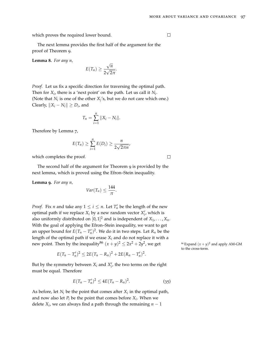which proves the required lower bound.

 $\Box$ 

The next lemma provides the first half of the argument for the proof of Theorem [9](#page-94-0).

<span id="page-96-1"></span>**Lemma 8.** *For any n,*

$$
E(T_n) \geq \frac{\sqrt{n}}{2\sqrt{2\pi}}.
$$

*Proof.* Let us fix a specific direction for traversing the optimal path. Then for  $X_i$ , there is a 'next point' on the path. Let us call it  $N_i$ . (Note that  $N_i$  is one of the other  $X_j$ 's, but we do not care which one.) Clearly,  $\|X_i - N_i\| \ge D_i$ , and

$$
T_n = \sum_{i=1}^n \|X_i - N_i\|.
$$

Therefore by Lemma [7](#page-94-1),

$$
E(T_n) \geq \sum_{i=1}^n E(D_i) \geq \frac{n}{2\sqrt{2\pi n}},
$$

which completes the proof.

The second half of the argument for Theorem [9](#page-94-0) is provided by the next lemma, which is proved using the Efron–Stein inequality.

<span id="page-96-2"></span>**Lemma 9.** *For any n,*

$$
Var(T_n) \leq \frac{144}{\pi}.
$$

*Proof.* Fix *n* and take any  $1 \le i \le n$ . Let  $T'_n$  be the length of the new optimal path if we replace  $X_i$  by a new random vector  $X'_i$ , which is also uniformly distributed on  $[0,1]^2$  and is independent of  $X_1, \ldots, X_n$ . With the goal of applying the Efron–Stein inequality, we want to get an upper bound for  $E(T_n - T'_n)^2$ . We do it in two steps. Let  $R_n$  be the length of the optimal path if we erase  $X_i$  and do not replace it with a new point. Then by the inequality<sup>86</sup>  $(x + y)^2 \le 2x^2 + 2y^2$ 

$$
E(T_n-T'_n)^2 \leq 2E(T_n-R_n)^2 + 2E(R_n-T'_n)^2.
$$

But by the symmetry between  $X_i$  and  $X'_i$ , the two terms on the right must be equal. Therefore

$$
E(T_n - T'_n)^2 \le 4E(T_n - R_n)^2. \tag{35}
$$

As before, let *N<sup>i</sup>* be the point that comes after *X<sup>i</sup>* in the optimal path, and now also let  $P_i$  be the point that comes before  $X_i$ . When we delete  $X_i$ , we can always find a path through the remaining  $n-1$ 

<span id="page-96-0"></span>, we get  $^{86}$  Expand  $(x + y)^2$  and apply AM-GM to the cross-term.

 $\Box$